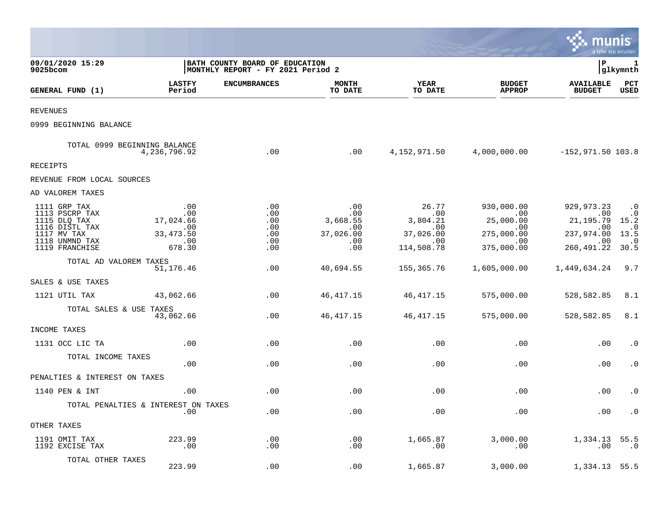|                                                                                                                     |                                                               |                                                                     |                                                          |                                                                               |                                                                         | munis                                                                                             | a tyler erp solution                                                       |
|---------------------------------------------------------------------------------------------------------------------|---------------------------------------------------------------|---------------------------------------------------------------------|----------------------------------------------------------|-------------------------------------------------------------------------------|-------------------------------------------------------------------------|---------------------------------------------------------------------------------------------------|----------------------------------------------------------------------------|
| 09/01/2020 15:29<br>9025bcom                                                                                        |                                                               | BATH COUNTY BOARD OF EDUCATION<br>MONTHLY REPORT - FY 2021 Period 2 |                                                          |                                                                               |                                                                         | l P                                                                                               | 1<br> glkymnth                                                             |
| GENERAL FUND (1)                                                                                                    | <b>LASTFY</b><br>Period                                       | <b>ENCUMBRANCES</b>                                                 | <b>MONTH</b><br>TO DATE                                  | <b>YEAR</b><br>TO DATE                                                        | <b>BUDGET</b><br><b>APPROP</b>                                          | <b>AVAILABLE</b><br><b>BUDGET</b>                                                                 | PCT<br><b>USED</b>                                                         |
| REVENUES                                                                                                            |                                                               |                                                                     |                                                          |                                                                               |                                                                         |                                                                                                   |                                                                            |
| 0999 BEGINNING BALANCE                                                                                              |                                                               |                                                                     |                                                          |                                                                               |                                                                         |                                                                                                   |                                                                            |
| TOTAL 0999 BEGINNING BALANCE                                                                                        | 4,236,796.92                                                  | .00                                                                 | .00                                                      |                                                                               | 4, 152, 971.50 4, 000, 000.00 -152, 971.50 103.8                        |                                                                                                   |                                                                            |
| RECEIPTS                                                                                                            |                                                               |                                                                     |                                                          |                                                                               |                                                                         |                                                                                                   |                                                                            |
| REVENUE FROM LOCAL SOURCES                                                                                          |                                                               |                                                                     |                                                          |                                                                               |                                                                         |                                                                                                   |                                                                            |
| AD VALOREM TAXES                                                                                                    |                                                               |                                                                     |                                                          |                                                                               |                                                                         |                                                                                                   |                                                                            |
| 1111 GRP TAX<br>1113 PSCRP TAX<br>1115 DLQ TAX<br>1116 DISTL TAX<br>1117 MV TAX<br>1118 UNMND TAX<br>1119 FRANCHISE | .00<br>.00<br>17,024.66<br>.00<br>33, 473.50<br>.00<br>678.30 | .00<br>.00<br>.00<br>.00<br>.00<br>.00<br>.00                       | .00<br>.00<br>3,668.55<br>.00<br>37,026.00<br>.00<br>.00 | 26.77<br>00.<br>3,804.21<br>.00<br>37,026.00<br>$\overline{00}$<br>114,508.78 | 930,000.00<br>00<br>25,000.00<br>.00<br>275,000.00<br>.00<br>375,000.00 | 929,973.23<br>00 <sub>1</sub><br>21,195.79<br>.00<br>237,974.00<br>$\overline{00}$<br>260, 491.22 | $\cdot$ 0<br>$\cdot$ 0<br>15.2<br>$\cdot$ .0<br>13.5<br>$\cdot$ .0<br>30.5 |
| TOTAL AD VALOREM TAXES                                                                                              | 51,176.46                                                     | .00                                                                 | 40,694.55                                                | 155,365.76                                                                    | 1,605,000.00                                                            | 1,449,634.24                                                                                      | 9.7                                                                        |
| SALES & USE TAXES                                                                                                   |                                                               |                                                                     |                                                          |                                                                               |                                                                         |                                                                                                   |                                                                            |
| 1121 UTIL TAX                                                                                                       | 43,062.66                                                     | .00                                                                 | 46, 417. 15                                              | 46,417.15                                                                     | 575,000.00                                                              | 528,582.85                                                                                        | 8.1                                                                        |
| TOTAL SALES & USE TAXES                                                                                             | 43,062.66                                                     | .00                                                                 | 46, 417. 15                                              | 46,417.15                                                                     | 575,000.00                                                              | 528,582.85                                                                                        | 8.1                                                                        |
| INCOME TAXES                                                                                                        |                                                               |                                                                     |                                                          |                                                                               |                                                                         |                                                                                                   |                                                                            |
| 1131 OCC LIC TA                                                                                                     | .00                                                           | .00                                                                 | .00                                                      | .00                                                                           | .00                                                                     | .00                                                                                               | $\cdot$ 0                                                                  |
| TOTAL INCOME TAXES                                                                                                  | .00                                                           | .00                                                                 | .00                                                      | .00                                                                           | .00                                                                     | .00                                                                                               | $\cdot$ 0                                                                  |
| PENALTIES & INTEREST ON TAXES                                                                                       |                                                               |                                                                     |                                                          |                                                                               |                                                                         |                                                                                                   |                                                                            |
| 1140 PEN & INT                                                                                                      | .00                                                           | .00                                                                 | .00                                                      | .00                                                                           | .00                                                                     | .00                                                                                               | $\cdot$ 0                                                                  |
|                                                                                                                     | TOTAL PENALTIES & INTEREST ON TAXES<br>.00                    | .00                                                                 | .00                                                      | .00                                                                           | .00                                                                     | .00                                                                                               | $\cdot$ 0                                                                  |
| OTHER TAXES                                                                                                         |                                                               |                                                                     |                                                          |                                                                               |                                                                         |                                                                                                   |                                                                            |
| 1191 OMIT TAX<br>1192 EXCISE TAX                                                                                    | 223.99<br>$\,.\,00$                                           | .00<br>.00                                                          | .00<br>.00                                               | 1,665.87<br>.00                                                               | 3,000.00<br>.00                                                         | 1,334.13<br>.00                                                                                   | 55.5<br>.0                                                                 |
| TOTAL OTHER TAXES                                                                                                   | 223.99                                                        | .00                                                                 | .00                                                      | 1,665.87                                                                      | 3,000.00                                                                | 1,334.13                                                                                          | 55.5                                                                       |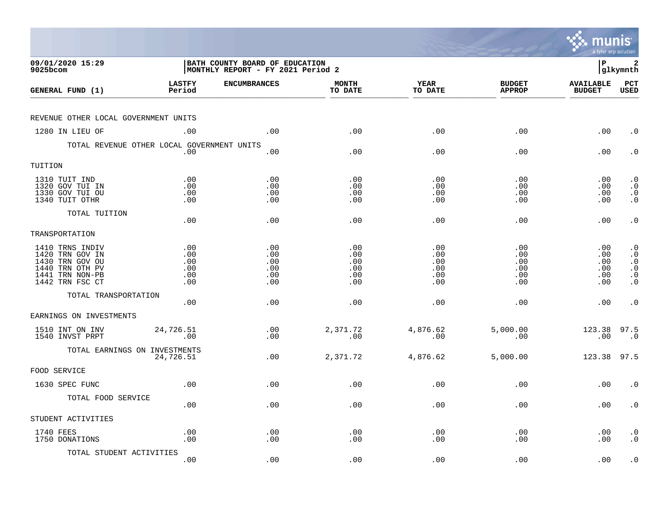|                                                                                                                |                                        |                                                                     |                                        |                                        |                                        | munis<br>a tyler erp solution           |                                                                                         |
|----------------------------------------------------------------------------------------------------------------|----------------------------------------|---------------------------------------------------------------------|----------------------------------------|----------------------------------------|----------------------------------------|-----------------------------------------|-----------------------------------------------------------------------------------------|
| 09/01/2020 15:29<br>9025bcom                                                                                   |                                        | BATH COUNTY BOARD OF EDUCATION<br>MONTHLY REPORT - FY 2021 Period 2 |                                        |                                        |                                        | l P                                     | 2<br> glkymnth                                                                          |
| GENERAL FUND (1)                                                                                               | <b>LASTFY</b><br>Period                | <b>ENCUMBRANCES</b>                                                 | <b>MONTH</b><br>TO DATE                | <b>YEAR</b><br>TO DATE                 | <b>BUDGET</b><br><b>APPROP</b>         | <b>AVAILABLE</b><br><b>BUDGET</b>       | $_{\rm PCT}$<br><b>USED</b>                                                             |
| REVENUE OTHER LOCAL GOVERNMENT UNITS                                                                           |                                        |                                                                     |                                        |                                        |                                        |                                         |                                                                                         |
| 1280 IN LIEU OF                                                                                                | .00                                    | .00                                                                 | .00                                    | .00                                    | .00                                    | .00                                     | $\cdot$ 0                                                                               |
| TOTAL REVENUE OTHER LOCAL GOVERNMENT UNITS                                                                     | .00                                    | .00                                                                 | .00                                    | .00                                    | .00                                    | .00                                     | $\cdot$ 0                                                                               |
| TUITION                                                                                                        |                                        |                                                                     |                                        |                                        |                                        |                                         |                                                                                         |
| 1310 TUIT IND<br>1320 GOV TUI IN<br>1330 GOV TUI OU<br>1340 TUIT OTHR                                          | .00<br>.00<br>.00<br>.00               | .00<br>.00<br>.00<br>.00                                            | .00<br>.00<br>.00<br>.00               | .00<br>.00<br>.00<br>.00               | .00<br>.00<br>.00<br>.00               | $.00 \,$<br>$.00 \,$<br>.00<br>$.00 \,$ | $\cdot$ 0<br>$\cdot$ 0<br>$\begin{smallmatrix} 0 \\ 0 \\ 0 \end{smallmatrix}$           |
| TOTAL TUITION                                                                                                  | .00                                    | .00                                                                 | .00                                    | .00                                    | .00                                    | .00                                     | $\cdot$ 0                                                                               |
| TRANSPORTATION                                                                                                 |                                        |                                                                     |                                        |                                        |                                        |                                         |                                                                                         |
| 1410 TRNS INDIV<br>1420 TRN GOV IN<br>1430 TRN GOV OU<br>1440 TRN OTH PV<br>1441 TRN NON-PB<br>1442 TRN FSC CT | .00<br>.00<br>.00<br>.00<br>.00<br>.00 | .00<br>.00<br>.00<br>.00<br>.00<br>.00                              | .00<br>.00<br>.00<br>.00<br>.00<br>.00 | .00<br>.00<br>.00<br>.00<br>.00<br>.00 | .00<br>.00<br>.00<br>.00<br>.00<br>.00 | .00<br>.00<br>.00<br>.00<br>.00<br>.00  | $\cdot$ 0<br>$\cdot$ 0<br>$\cdot$ 0<br>$\boldsymbol{\cdot}$ 0<br>$\cdot$ 0<br>$\cdot$ 0 |
| TOTAL TRANSPORTATION                                                                                           | .00                                    | .00                                                                 | .00                                    | .00                                    | .00                                    | $.00 \,$                                | $\cdot$ 0                                                                               |
| EARNINGS ON INVESTMENTS                                                                                        |                                        |                                                                     |                                        |                                        |                                        |                                         |                                                                                         |
| 1510 INT ON INV<br>1540 INVST PRPT                                                                             | 24,726.51<br>.00                       | .00<br>.00                                                          | 2,371.72<br>.00                        | 4,876.62<br>.00                        | 5,000.00<br>.00                        | 123.38 97.5<br>.00                      | $\cdot$ 0                                                                               |
| TOTAL EARNINGS ON INVESTMENTS                                                                                  | 24,726.51                              | .00                                                                 | 2,371.72                               | 4,876.62                               | 5,000.00                               | 123.38                                  | 97.5                                                                                    |
| FOOD SERVICE                                                                                                   |                                        |                                                                     |                                        |                                        |                                        |                                         |                                                                                         |
| 1630 SPEC FUNC                                                                                                 | .00                                    | .00                                                                 | .00                                    | .00                                    | .00                                    | .00                                     | $\cdot$ 0                                                                               |
| TOTAL FOOD SERVICE                                                                                             | .00                                    | .00                                                                 | .00                                    | .00                                    | .00                                    | $.00 \,$                                | $\cdot$ 0                                                                               |
| STUDENT ACTIVITIES                                                                                             |                                        |                                                                     |                                        |                                        |                                        |                                         |                                                                                         |
| 1740 FEES<br>1750 DONATIONS                                                                                    | .00<br>.00                             | .00<br>.00                                                          | .00<br>.00                             | .00<br>.00                             | .00<br>.00                             | .00<br>.00                              | $\cdot$ 0<br>$\cdot$ 0                                                                  |
| TOTAL STUDENT ACTIVITIES                                                                                       | .00                                    | .00                                                                 | .00                                    | .00                                    | .00                                    | .00                                     | $\cdot$ 0                                                                               |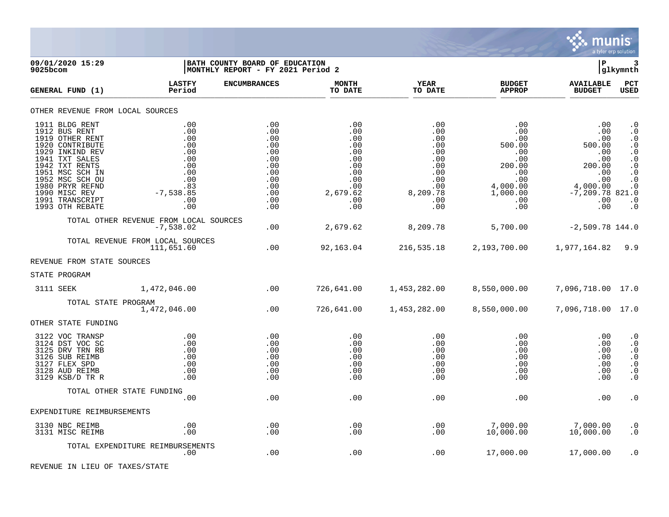

| 9025bcom | 09/01/2020 15:29                                                                                                                                                                                                                             |                                                                                                 | BATH COUNTY BOARD OF EDUCATION<br>MONTHLY REPORT - FY 2021 Period 2                     |                                                                                              |                                                                                                   |                                                                                                         | IΡ                                                                                                              | 3<br> glkymnth                                                                                                                                     |
|----------|----------------------------------------------------------------------------------------------------------------------------------------------------------------------------------------------------------------------------------------------|-------------------------------------------------------------------------------------------------|-----------------------------------------------------------------------------------------|----------------------------------------------------------------------------------------------|---------------------------------------------------------------------------------------------------|---------------------------------------------------------------------------------------------------------|-----------------------------------------------------------------------------------------------------------------|----------------------------------------------------------------------------------------------------------------------------------------------------|
|          | GENERAL FUND (1)                                                                                                                                                                                                                             | <b>LASTFY</b><br>Period                                                                         | <b>ENCUMBRANCES</b>                                                                     | <b>MONTH</b><br>TO DATE                                                                      | <b>YEAR</b><br>TO DATE                                                                            | <b>BUDGET</b><br><b>APPROP</b>                                                                          | <b>AVAILABLE</b><br><b>BUDGET</b>                                                                               | PCT<br><b>USED</b>                                                                                                                                 |
|          | OTHER REVENUE FROM LOCAL SOURCES                                                                                                                                                                                                             |                                                                                                 |                                                                                         |                                                                                              |                                                                                                   |                                                                                                         |                                                                                                                 |                                                                                                                                                    |
|          | 1911 BLDG RENT<br>1912 BUS RENT<br>1919 OTHER RENT<br>1920 CONTRIBUTE<br>1929 INKIND REV<br>1941 TXT SALES<br>1942 TXT RENTS<br>1951 MSC SCH IN<br>1952 MSC SCH OU<br>1980 PRYR REFND<br>1990 MISC REV<br>1991 TRANSCRIPT<br>1993 OTH REBATE | .00<br>.00<br>.00<br>.00<br>.00<br>.00<br>.00<br>.00<br>.00<br>.83<br>$-7,538.85$<br>.00<br>.00 | .00<br>.00<br>.00<br>.00<br>.00<br>.00<br>.00<br>.00<br>.00<br>.00<br>.00<br>.00<br>.00 | .00<br>.00<br>.00<br>.00<br>.00<br>.00<br>.00<br>.00<br>.00<br>.00<br>2,679.62<br>.00<br>.00 | .00<br>.00<br>.00<br>.00<br>.00<br>.00<br>.00<br>.00<br>.00<br>$.00 \,$<br>8,209.78<br>.00<br>.00 | .00<br>.00<br>.00<br>500.00<br>.00<br>.00<br>200.00<br>.00<br>.00<br>4,000.00<br>1,000.00<br>.00<br>.00 | .00<br>.00<br>.00<br>500.00<br>.00<br>.00<br>200.00<br>.00<br>.00<br>4,000.00<br>$-7,209.78821.0$<br>.00<br>.00 | . 0<br>$\cdot$ 0<br>$\cdot$ 0<br>$\cdot$ 0<br>$\cdot$ 0<br>$\cdot$ 0<br>$\cdot$ 0<br>$\cdot$ 0<br>$\cdot$ 0<br>$\cdot$ 0<br>$\cdot$ 0<br>$\cdot$ 0 |
|          |                                                                                                                                                                                                                                              | TOTAL OTHER REVENUE FROM LOCAL SOURCES<br>$-7,538.02$                                           | .00                                                                                     | 2,679.62                                                                                     | 8,209.78                                                                                          | 5,700.00                                                                                                | $-2,509.78$ 144.0                                                                                               |                                                                                                                                                    |
|          |                                                                                                                                                                                                                                              | TOTAL REVENUE FROM LOCAL SOURCES<br>111,651.60                                                  | .00                                                                                     | 92,163.04                                                                                    | 216,535.18                                                                                        | 2,193,700.00                                                                                            | 1,977,164.82                                                                                                    | 9.9                                                                                                                                                |
|          | REVENUE FROM STATE SOURCES                                                                                                                                                                                                                   |                                                                                                 |                                                                                         |                                                                                              |                                                                                                   |                                                                                                         |                                                                                                                 |                                                                                                                                                    |
|          | STATE PROGRAM                                                                                                                                                                                                                                |                                                                                                 |                                                                                         |                                                                                              |                                                                                                   |                                                                                                         |                                                                                                                 |                                                                                                                                                    |
|          | 3111 SEEK                                                                                                                                                                                                                                    | 1,472,046.00                                                                                    | .00                                                                                     | 726,641.00                                                                                   | 1,453,282.00                                                                                      | 8,550,000.00                                                                                            | 7,096,718.00 17.0                                                                                               |                                                                                                                                                    |
|          | TOTAL STATE PROGRAM                                                                                                                                                                                                                          | 1,472,046.00                                                                                    | .00                                                                                     | 726,641.00                                                                                   | 1,453,282.00                                                                                      | 8,550,000.00                                                                                            | 7,096,718.00 17.0                                                                                               |                                                                                                                                                    |
|          | OTHER STATE FUNDING                                                                                                                                                                                                                          |                                                                                                 |                                                                                         |                                                                                              |                                                                                                   |                                                                                                         |                                                                                                                 |                                                                                                                                                    |
|          | 3122 VOC TRANSP<br>3124 DST VOC SC<br>3125 DRV TRN RB<br>3126 SUB REIMB<br>3127 FLEX SPD<br>3128 AUD REIMB<br>3129 KSB/D TR R                                                                                                                | .00<br>.00<br>.00<br>.00<br>.00<br>.00<br>.00                                                   | .00<br>.00<br>.00<br>.00<br>.00<br>.00<br>.00                                           | .00<br>.00<br>.00<br>.00<br>.00<br>.00<br>.00                                                | .00<br>.00<br>.00<br>.00<br>.00<br>.00<br>.00                                                     | .00<br>.00<br>.00<br>.00<br>.00<br>.00<br>.00                                                           | .00<br>.00.<br>.00.<br>.00<br>.00<br>.00<br>.00                                                                 | . 0<br>$\cdot$ 0<br>$\cdot$ 0<br>$\cdot$ 0<br>$\cdot$ 0<br>$\cdot$ 0<br>$\cdot$ 0                                                                  |
|          | TOTAL OTHER STATE FUNDING                                                                                                                                                                                                                    |                                                                                                 |                                                                                         |                                                                                              |                                                                                                   |                                                                                                         |                                                                                                                 |                                                                                                                                                    |
|          |                                                                                                                                                                                                                                              | .00                                                                                             | .00                                                                                     | .00                                                                                          | .00                                                                                               | .00                                                                                                     | .00                                                                                                             | $\cdot$ 0                                                                                                                                          |
|          | EXPENDITURE REIMBURSEMENTS                                                                                                                                                                                                                   |                                                                                                 |                                                                                         |                                                                                              |                                                                                                   |                                                                                                         |                                                                                                                 |                                                                                                                                                    |
|          | 3130 NBC REIMB<br>3131 MISC REIMB                                                                                                                                                                                                            | .00<br>.00                                                                                      | .00<br>.00                                                                              | .00<br>.00                                                                                   | .00<br>.00                                                                                        | 7,000.00<br>10,000.00                                                                                   | 7,000.00<br>10,000.00                                                                                           | $\cdot$ 0<br>$\cdot$ 0                                                                                                                             |
|          |                                                                                                                                                                                                                                              | TOTAL EXPENDITURE REIMBURSEMENTS<br>.00                                                         | .00                                                                                     | .00                                                                                          | .00                                                                                               | 17,000.00                                                                                               | 17,000.00                                                                                                       | $\cdot$ 0                                                                                                                                          |

REVENUE IN LIEU OF TAXES/STATE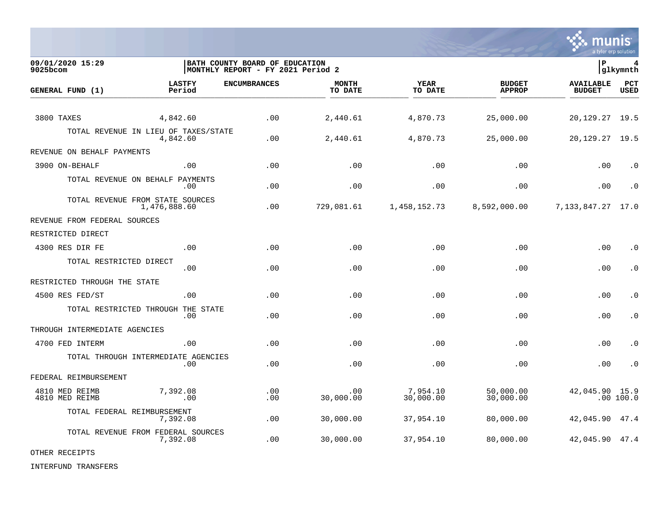

**09/01/2020 15:29 |BATH COUNTY BOARD OF EDUCATION |P 4**  $MONTHLY REPORT - FY 2021 Period 2$ **LASTFY ENCUMBRANCES MONTH YEAR BUDGET AVAILABLE PCT GENERAL FUND (1)** TO DATE THE RELIGION CONDUCT TO DATE THE RELIGION CONDUCT TO DATE THE RELIGION OF THE RELIGION OF THE RELIGION OF THE RELIGION OF THE RELIGION OF THE RELIGION OF THE RELIGION OF THE RELIGION OF THE RELIGION OF THE RELIGION 3800 TAXES 4,842.60 .00 2,440.61 4,870.73 25,000.00 20,129.27 19.5 TOTAL REVENUE IN LIEU OF TAXES/STATE<br>4.842.60 4,842.60 .00 2,440.61 4,870.73 25,000.00 20,129.27 19.5 REVENUE ON BEHALF PAYMENTS 3900 ON-BEHALF .00 .00 .00 .00 .00 .00 .0 TOTAL REVENUE ON BEHALF PAYMENTS .00 .00 .00 .00 .00 .00 .0 TOTAL REVENUE FROM STATE SOURCES<br>1.476.888.60 1,476,888.60 .00 729,081.61 1,458,152.73 8,592,000.00 7,133,847.27 17.0 REVENUE FROM FEDERAL SOURCES RESTRICTED DIRECT 4300 RES DIR FE .00 .00 .00 .00 .00 .00 .0 TOTAL RESTRICTED DIRECT .00 .00 .00 .00 .00 .00 .0 RESTRICTED THROUGH THE STATE 4500 RES FED/ST .00 .00 .00 .00 .00 .00 .0 TOTAL RESTRICTED THROUGH THE STATE .00 .00 .00 .00 .00 .00 .0 THROUGH INTERMEDIATE AGENCIES 4700 FED INTERM .00 .00 .00 .00 .00 .00 .0 TOTAL THROUGH INTERMEDIATE AGENCIES .00 .00 .00 .00 .00 .00 .0 FEDERAL REIMBURSEMENT 4810 MED REIMB 7,392.08 .00 .00 7,954.10 50,000.00 42,045.90 15.9 4810 MED REIMB .00 .00 30,000.00 30,000.00 30,000.00 .00 100.0 TOTAL FEDERAL REIMBURSEMENT 7,392.08 .00 30,000.00 37,954.10 80,000.00 42,045.90 47.4 TOTAL REVENUE FROM FEDERAL SOURCES 7,392.08 .00 30,000.00 37,954.10 80,000.00 42,045.90 47.4

OTHER RECEIPTS

INTERFUND TRANSFERS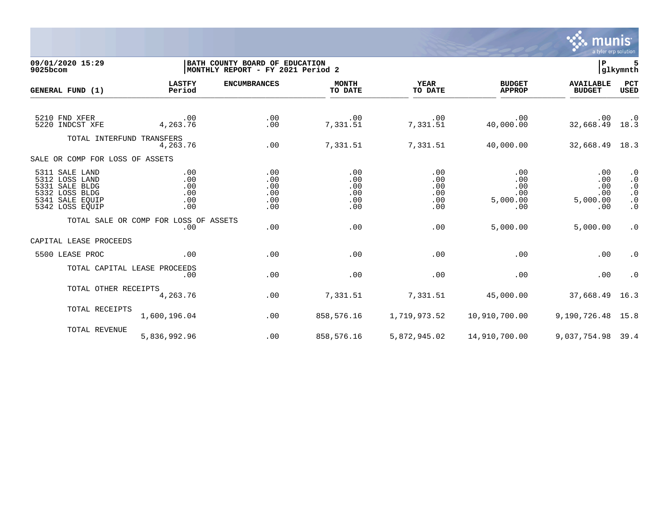

## **09/01/2020 15:29 |BATH COUNTY BOARD OF EDUCATION |P 5 9025bcom |MONTHLY REPORT - FY 2021 Period 2 |glkymnth**

| GENERAL FUND (1)                                                                                           | <b>LASTFY</b><br>Period                      | <b>ENCUMBRANCES</b>                    | <b>MONTH</b><br>TO DATE                | <b>YEAR</b><br>TO DATE                 | <b>BUDGET</b><br><b>APPROP</b>                   | <b>AVAILABLE</b><br><b>BUDGET</b>                | PCT<br>USED                                                                |
|------------------------------------------------------------------------------------------------------------|----------------------------------------------|----------------------------------------|----------------------------------------|----------------------------------------|--------------------------------------------------|--------------------------------------------------|----------------------------------------------------------------------------|
| 5210 FND XFER<br>5220 INDCST XFE                                                                           | $\sim$ 00<br>4,263.76                        | .00<br>.00                             | .00<br>7,331.51                        | $\overline{00}$<br>7,331.51            | .00<br>40,000.00                                 | .00<br>32,668.49 18.3                            | $\cdot$ 0                                                                  |
| TOTAL INTERFUND TRANSFERS                                                                                  | 4,263.76                                     | .00                                    | 7,331.51                               | 7,331.51                               | 40,000.00                                        | 32,668.49 18.3                                   |                                                                            |
| SALE OR COMP FOR LOSS OF ASSETS                                                                            |                                              |                                        |                                        |                                        |                                                  |                                                  |                                                                            |
| 5311 SALE LAND<br>5312 LOSS LAND<br>5331 SALE BLDG<br>5332 LOSS BLDG<br>5341 SALE EOUIP<br>5342 LOSS EQUIP | .00<br>.00<br>.00<br>.00<br>.00<br>.00       | .00<br>.00<br>.00<br>.00<br>.00<br>.00 | .00<br>.00<br>.00<br>.00<br>.00<br>.00 | .00<br>.00<br>.00<br>.00<br>.00<br>.00 | .00<br>.00<br>.00<br>.00<br>5,000.00<br>$.00 \,$ | $.00 \,$<br>.00<br>.00<br>.00<br>5,000.00<br>.00 | $\cdot$ 0<br>$\cdot$ 0<br>$\cdot$ 0<br>$\cdot$ 0<br>$\cdot$ 0<br>$\cdot$ 0 |
|                                                                                                            | TOTAL SALE OR COMP FOR LOSS OF ASSETS<br>.00 | .00                                    | .00                                    | .00                                    | 5,000.00                                         | 5,000.00                                         | $\cdot$ 0                                                                  |
| CAPITAL LEASE PROCEEDS                                                                                     |                                              |                                        |                                        |                                        |                                                  |                                                  |                                                                            |
| 5500 LEASE PROC                                                                                            | .00                                          | .00                                    | .00                                    | .00                                    | .00                                              | .00                                              | $\cdot$ 0                                                                  |
|                                                                                                            | TOTAL CAPITAL LEASE PROCEEDS<br>.00          | .00                                    | .00                                    | .00                                    | .00                                              | .00                                              | $\cdot$ 0                                                                  |
| TOTAL OTHER RECEIPTS                                                                                       | 4,263.76                                     | .00                                    | 7,331.51                               | 7,331.51                               | 45,000.00                                        | 37,668.49 16.3                                   |                                                                            |
| TOTAL RECEIPTS                                                                                             | 1,600,196.04                                 | .00                                    | 858,576.16                             | 1,719,973.52                           | 10,910,700.00                                    | 9,190,726.48 15.8                                |                                                                            |
| TOTAL REVENUE                                                                                              | 5,836,992.96                                 | .00                                    | 858,576.16                             |                                        | 5,872,945.02    14,910,700.00                    | 9,037,754.98 39.4                                |                                                                            |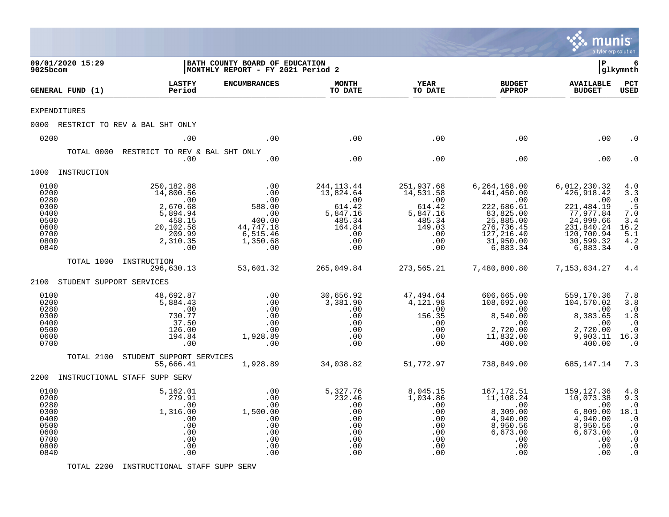|                                                                              |                                                                                                                                  |                                                                                          |                                                                                                        |                                                                                               |                                                                                                                                    | munis<br>a tyler erp solution                                                                                                           |                                                                                                                |
|------------------------------------------------------------------------------|----------------------------------------------------------------------------------------------------------------------------------|------------------------------------------------------------------------------------------|--------------------------------------------------------------------------------------------------------|-----------------------------------------------------------------------------------------------|------------------------------------------------------------------------------------------------------------------------------------|-----------------------------------------------------------------------------------------------------------------------------------------|----------------------------------------------------------------------------------------------------------------|
| 09/01/2020 15:29<br>9025bcom                                                 |                                                                                                                                  | BATH COUNTY BOARD OF EDUCATION<br>MONTHLY REPORT - FY 2021 Period 2                      |                                                                                                        |                                                                                               |                                                                                                                                    | l P                                                                                                                                     | 6<br> glkymnth                                                                                                 |
| GENERAL FUND (1)                                                             | <b>LASTFY</b><br>Period                                                                                                          | <b>ENCUMBRANCES</b>                                                                      | <b>MONTH</b><br>TO DATE                                                                                | <b>YEAR</b><br>TO DATE                                                                        | <b>BUDGET</b><br><b>APPROP</b>                                                                                                     | <b>AVAILABLE</b><br><b>BUDGET</b>                                                                                                       | PCT<br><b>USED</b>                                                                                             |
| <b>EXPENDITURES</b>                                                          |                                                                                                                                  |                                                                                          |                                                                                                        |                                                                                               |                                                                                                                                    |                                                                                                                                         |                                                                                                                |
|                                                                              | 0000 RESTRICT TO REV & BAL SHT ONLY                                                                                              |                                                                                          |                                                                                                        |                                                                                               |                                                                                                                                    |                                                                                                                                         |                                                                                                                |
| 0200                                                                         | .00                                                                                                                              | .00                                                                                      | .00                                                                                                    | .00                                                                                           | .00                                                                                                                                | .00                                                                                                                                     | . 0                                                                                                            |
| TOTAL 0000                                                                   | RESTRICT TO REV & BAL SHT ONLY<br>.00                                                                                            | .00                                                                                      | .00                                                                                                    | .00                                                                                           | .00                                                                                                                                | .00                                                                                                                                     | . 0                                                                                                            |
| 1000 INSTRUCTION                                                             |                                                                                                                                  |                                                                                          |                                                                                                        |                                                                                               |                                                                                                                                    |                                                                                                                                         |                                                                                                                |
| 0100<br>0200<br>0280<br>0300<br>0400<br>0500<br>0600<br>0700<br>0800<br>0840 | 250,182.88<br>14,800.56<br>$\cdot$ 00<br>2,670.68<br>$\overline{5}$ , 894.94<br>458.15<br>20,102.58<br>209.99<br>2,310.35<br>.00 | .00<br>.00<br>.00<br>588.00<br>.00<br>400.00<br>44,747.18<br>6,515.46<br>1,350.68<br>.00 | 244, 113. 44<br>13,824.64<br>$\cdot$ 00<br>614.42<br>5,847.16<br>485.34<br>164.84<br>.00<br>.00<br>.00 | 251,937.68<br>14,531.58<br>.00<br>614.42<br>5,847.16<br>485.34<br>149.03<br>.00<br>.00<br>.00 | 6, 264, 168.00<br>441,450.00<br>.00<br>222,686.61<br>83,825.00<br>25,885.00<br>276, 736.45<br>127, 216.40<br>31,950.00<br>6,883.34 | 6,012,230.32<br>426, 918.42<br>$\,$ .00<br>221, 484.19<br>77, 977.84<br>24, 999.66<br>231,840.24<br>120,700.94<br>30,599.32<br>6,883.34 | 4.0<br>3.3<br>$\overline{0}$<br>.5<br>7.0<br>3.4<br>16.2<br>5.1<br>4.2<br>$\cdot$ 0                            |
| TOTAL 1000                                                                   | INSTRUCTION<br>296,630.13                                                                                                        | 53,601.32                                                                                | 265,049.84                                                                                             | 273,565.21                                                                                    | 7,480,800.80                                                                                                                       | 7,153,634.27                                                                                                                            | 4.4                                                                                                            |
| 2100 STUDENT SUPPORT SERVICES                                                |                                                                                                                                  |                                                                                          |                                                                                                        |                                                                                               |                                                                                                                                    |                                                                                                                                         |                                                                                                                |
| 0100<br>0200<br>0280<br>0300<br>0400<br>0500<br>0600<br>0700                 | 48,692.87<br>5,884.43<br>.00<br>730.77<br>37.50<br>126.00<br>194.84<br>.00                                                       | .00<br>.00<br>.00<br>.00<br>.00<br>.00<br>1,928.89<br>.00                                | 30,656.92<br>3,381.90<br>.00<br>.00<br>.00<br>.00<br>.00<br>.00                                        | 47,494.64<br>4,121.98<br>.00<br>156.35<br>.00<br>.00<br>.00<br>.00                            | 606,665.00<br>108,692.00<br>.00<br>8,540.00<br>.00<br>2,720.00<br>11,832.00<br>400.00                                              | 559,170.36<br>104,570.02<br>.00<br>8,383.65<br>.00<br>2,720.00<br>9,903.11<br>400.00                                                    | 7.8<br>3.8<br>$\cdot$ 0<br>$1.8\,$<br>$\cdot$ 0<br>$\cdot$ 0<br>16.3<br>$\cdot$ 0                              |
| TOTAL 2100                                                                   | STUDENT SUPPORT SERVICES<br>55,666.41                                                                                            | 1,928.89                                                                                 | 34,038.82                                                                                              | 51,772.97                                                                                     | 738,849.00                                                                                                                         | 685,147.14                                                                                                                              | 7.3                                                                                                            |
| 2200 INSTRUCTIONAL STAFF SUPP SERV                                           |                                                                                                                                  |                                                                                          |                                                                                                        |                                                                                               |                                                                                                                                    |                                                                                                                                         |                                                                                                                |
| 0100<br>0200<br>0280<br>0300<br>0400<br>0500<br>0600<br>0700<br>0800<br>0840 | 5,162.01<br>279.91<br>.00<br>1,316.00<br>.00<br>.00<br>.00<br>.00<br>.00<br>.00                                                  | .00<br>.00<br>.00<br>1,500.00<br>.00<br>.00<br>.00<br>.00<br>.00<br>.00                  | 5,327.76<br>232.46<br>.00<br>.00<br>.00<br>.00<br>.00<br>.00<br>.00<br>.00                             | 8,045.15<br>1,034.86<br>.00<br>.00<br>.00<br>.00<br>.00<br>.00<br>.00<br>.00                  | 167,172.51<br>11,108.24<br>.00<br>8,309.00<br>4,940.00<br>8,950.56<br>6,673.00<br>.00<br>.00<br>.00                                | 159,127.36<br>10,073.38<br>.00<br>6,809.00<br>4,940.00<br>8,950.56<br>6,673.00<br>.00<br>.00<br>.00                                     | 4.8<br>9.3<br>$\cdot$ 0<br>18.1<br>$\cdot$ 0<br>$\cdot$ 0<br>$\cdot$ 0<br>$\ddot{0}$<br>$\cdot$ 0<br>$\cdot$ 0 |

TOTAL 2200 INSTRUCTIONAL STAFF SUPP SERV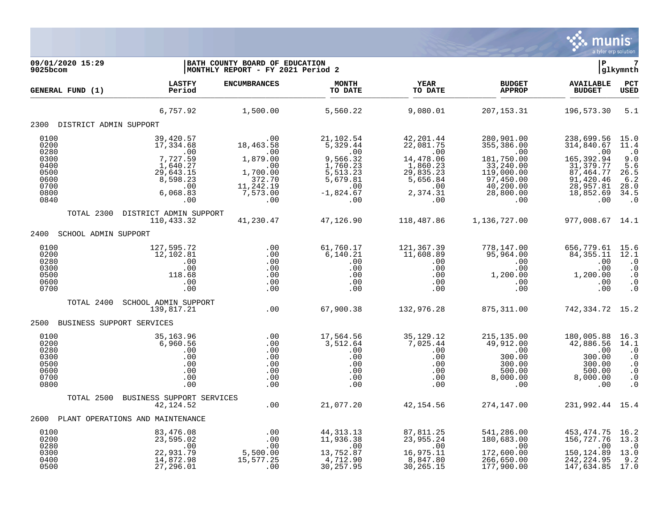

| 09/01/2020 15:29<br>9025bcom                                                 |                                                                                                          | BATH COUNTY BOARD OF EDUCATION<br>MONTHLY REPORT - FY 2021 Period 2                               |                                                                                                                |                                                                                                            |                                                                                                                              | P                                                                                                                        | 7<br>glkymnth                                                                                            |
|------------------------------------------------------------------------------|----------------------------------------------------------------------------------------------------------|---------------------------------------------------------------------------------------------------|----------------------------------------------------------------------------------------------------------------|------------------------------------------------------------------------------------------------------------|------------------------------------------------------------------------------------------------------------------------------|--------------------------------------------------------------------------------------------------------------------------|----------------------------------------------------------------------------------------------------------|
| GENERAL FUND (1)                                                             | <b>LASTFY</b><br>Period                                                                                  | <b>ENCUMBRANCES</b>                                                                               | <b>MONTH</b><br>TO DATE                                                                                        | <b>YEAR</b><br>TO DATE                                                                                     | <b>BUDGET</b><br><b>APPROP</b>                                                                                               | <b>AVAILABLE</b><br><b>BUDGET</b>                                                                                        | PCT<br><b>USED</b>                                                                                       |
|                                                                              | 6,757.92                                                                                                 | 1,500.00                                                                                          | 5,560.22                                                                                                       | 9,080.01                                                                                                   | 207, 153.31                                                                                                                  | 196,573.30                                                                                                               | 5.1                                                                                                      |
| 2300 DISTRICT ADMIN SUPPORT                                                  |                                                                                                          |                                                                                                   |                                                                                                                |                                                                                                            |                                                                                                                              |                                                                                                                          |                                                                                                          |
| 0100<br>0200<br>0280<br>0300<br>0400<br>0500<br>0600<br>0700<br>0800<br>0840 | 39,420.57<br>17,334.68<br>.00<br>7,727.59<br>1,640.27<br>29,643.15<br>8,598.23<br>.00<br>6,068.83<br>.00 | .00<br>18,463.58<br>.00<br>1,879.00<br>.00<br>1,700.00<br>372.70<br>11, 242.19<br>7,573.00<br>.00 | 21,102.54<br>5,329.44<br>.00<br>9,566.32<br>1,760.23<br>5,513.23<br>5,679.81<br>$.00 \,$<br>$-1,824.67$<br>.00 | 42, 201.44<br>22,081.75<br>.00<br>14,478.06<br>1,860.23<br>29,835.23<br>5,656.84<br>.00<br>2,374.31<br>.00 | 280,901.00<br>355,386.00<br>$.00 \,$<br>181,750.00<br>33,240.00<br>119,000.00<br>97,450.00<br>40, 200.00<br>28,800.00<br>.00 | 238,699.56<br>314,840.67<br>.00<br>165,392.94<br>31, 379. 77<br>87, 464.77<br>91,420.46<br>28,957.81<br>18,852.69<br>.00 | 15.0<br>11.4<br>$\cdot$ 0<br>9.0<br>5.6<br>26.5<br>$\frac{6.2}{28.0}$<br>34.5<br>$\cdot$ 0               |
| TOTAL 2300                                                                   | DISTRICT ADMIN SUPPORT<br>110,433.32                                                                     | 41,230.47                                                                                         | 47,126.90                                                                                                      | 118,487.86                                                                                                 | 1,136,727.00                                                                                                                 | 977,008.67 14.1                                                                                                          |                                                                                                          |
| 2400<br>SCHOOL ADMIN SUPPORT                                                 |                                                                                                          |                                                                                                   |                                                                                                                |                                                                                                            |                                                                                                                              |                                                                                                                          |                                                                                                          |
| 0100<br>0200<br>0280<br>0300<br>0500<br>0600<br>0700                         | 127,595.72<br>12,102.81<br>.00<br>.00<br>118.68<br>.00<br>.00                                            | .00<br>.00<br>.00<br>.00<br>.00<br>.00<br>.00                                                     | 61,760.17<br>6,140.21<br>.00<br>.00<br>.00<br>.00<br>.00                                                       | 121,367.39<br>11,608.89<br>.00<br>.00<br>.00<br>.00<br>.00                                                 | 778,147.00<br>95,964.00<br>.00<br>.00<br>1,200.00<br>.00<br>.00                                                              | 656,779.61<br>84, 355. 11<br>.00<br>.00<br>1,200.00<br>.00<br>.00                                                        | 15.6<br>12.1<br>$\cdot$ 0<br>$\cdot$ 0<br>$\cdot$ 0<br>$\cdot$ 0<br>$\cdot$ 0                            |
| TOTAL 2400                                                                   | SCHOOL ADMIN SUPPORT<br>139,817.21                                                                       | .00                                                                                               | 67,900.38                                                                                                      | 132,976.28                                                                                                 | 875, 311.00                                                                                                                  | 742, 334. 72 15. 2                                                                                                       |                                                                                                          |
| 2500                                                                         | BUSINESS SUPPORT SERVICES                                                                                |                                                                                                   |                                                                                                                |                                                                                                            |                                                                                                                              |                                                                                                                          |                                                                                                          |
| 0100<br>0200<br>0280<br>0300<br>0500<br>0600<br>0700<br>0800                 | 35,163.96<br>6,960.56<br>.00<br>.00<br>.00<br>.00<br>.00<br>.00                                          | .00<br>.00<br>.00<br>.00<br>.00<br>.00<br>.00<br>.00                                              | 17,564.56<br>3,512.64<br>.00<br>.00<br>.00<br>.00<br>.00<br>.00                                                | 35, 129. 12<br>7,025.44<br>.00<br>.00<br>.00<br>.00<br>.00<br>.00                                          | 215, 135.00<br>49,912.00<br>.00<br>300.00<br>300.00<br>500.00<br>8,000.00<br>$.00 \,$                                        | 180,005.88<br>42,886.56<br>.00<br>300.00<br>300.00<br>500.00<br>8,000.00<br>.00                                          | 16.3<br>14.1<br>$\cdot$ 0<br>$\ddot{0}$<br>$\boldsymbol{\cdot}$ 0<br>$\cdot$ 0<br>$\cdot$ 0<br>$\cdot$ 0 |
| TOTAL 2500                                                                   | BUSINESS SUPPORT SERVICES                                                                                |                                                                                                   |                                                                                                                |                                                                                                            |                                                                                                                              |                                                                                                                          |                                                                                                          |
| 2600                                                                         | 42, 124.52                                                                                               | .00                                                                                               | 21,077.20                                                                                                      | 42,154.56                                                                                                  | 274,147.00                                                                                                                   | 231,992.44 15.4                                                                                                          |                                                                                                          |
|                                                                              | PLANT OPERATIONS AND MAINTENANCE                                                                         |                                                                                                   |                                                                                                                |                                                                                                            |                                                                                                                              |                                                                                                                          |                                                                                                          |
| 0100<br>0200<br>0280<br>0300<br>0400<br>0500                                 | 83,476.08<br>23,595.02<br>.00<br>22,931.79<br>14,872.98<br>27,296.01                                     | .00<br>.00<br>.00<br>5,500.00<br>15,577.25<br>.00                                                 | 44, 313. 13<br>11,936.38<br>.00<br>13,752.87<br>4,712.90<br>30,257.95                                          | 87,811.25<br>23,955.24<br>$\cdot$ 00<br>16,975.11<br>8,847.80<br>30,265.15                                 | 541,286.00<br>180,683.00<br>.00<br>172,600.00<br>266,650.00<br>177,900.00                                                    | 453,474.75<br>156,727.76<br>.00<br>150, 124.89<br>242, 224.95<br>147,634.85                                              | 16.2<br>13.3<br>$\cdot$ 0<br>13.0<br>9.2<br>17.0                                                         |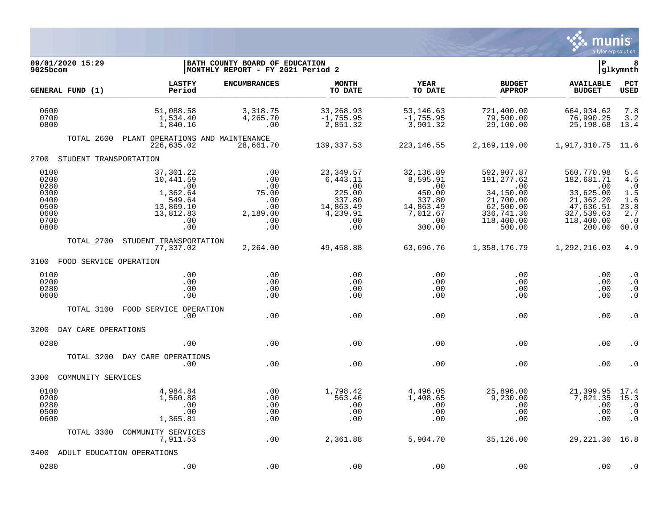

| 09/01/2020 15:29<br>9025bcom                                         |                                                                                             | BATH COUNTY BOARD OF EDUCATION<br> MONTHLY REPORT - FY 2021 Period 2 |                                                                                         |                                                                                            |                                                                                                               | ΙP                                                                                                           | 8<br> glkymnth                                                              |
|----------------------------------------------------------------------|---------------------------------------------------------------------------------------------|----------------------------------------------------------------------|-----------------------------------------------------------------------------------------|--------------------------------------------------------------------------------------------|---------------------------------------------------------------------------------------------------------------|--------------------------------------------------------------------------------------------------------------|-----------------------------------------------------------------------------|
| GENERAL FUND (1)                                                     | <b>LASTFY</b><br>Period                                                                     | <b>ENCUMBRANCES</b>                                                  | <b>MONTH</b><br>TO DATE                                                                 | <b>YEAR</b><br>TO DATE                                                                     | <b>BUDGET</b><br><b>APPROP</b>                                                                                | <b>AVAILABLE</b><br><b>BUDGET</b>                                                                            | PCT<br><b>USED</b>                                                          |
| 0600<br>0700<br>0800                                                 | 51,088.58<br>1,534.40<br>1,840.16                                                           | 3,318.75<br>4,265.70<br>.00                                          | 33,268.93<br>$-1,755.95$<br>2,851.32                                                    | 53,146.63<br>$-1,755.95$<br>3,901.32                                                       | 721,400.00<br>79,500.00<br>29,100.00                                                                          | 664,934.62<br>76,990.25<br>25,198.68                                                                         | 7.8<br>3.2<br>13.4                                                          |
| TOTAL 2600                                                           | PLANT OPERATIONS AND MAINTENANCE<br>226,635.02                                              | 28,661.70                                                            | 139,337.53                                                                              | 223, 146.55                                                                                | 2,169,119.00                                                                                                  | 1,917,310.75 11.6                                                                                            |                                                                             |
| 2700<br>STUDENT TRANSPORTATION                                       |                                                                                             |                                                                      |                                                                                         |                                                                                            |                                                                                                               |                                                                                                              |                                                                             |
| 0100<br>0200<br>0280<br>0300<br>0400<br>0500<br>0600<br>0700<br>0800 | 37,301.22<br>10,441.59<br>.00<br>1,362.64<br>549.64<br>13,869.10<br>13,812.83<br>.00<br>.00 | .00<br>.00<br>.00<br>75.00<br>.00<br>.00<br>2,189.00<br>.00<br>.00   | 23,349.57<br>6,443.11<br>.00<br>225.00<br>337.80<br>14,863.49<br>4,239.91<br>.00<br>.00 | 32,136.89<br>8,595.91<br>.00<br>450.00<br>337.80<br>14,863.49<br>7,012.67<br>.00<br>300.00 | 592,907.87<br>191, 277.62<br>.00<br>34,150.00<br>21,700.00<br>62,500.00<br>336,741.30<br>118,400.00<br>500.00 | 560,770.98<br>182,681.71<br>.00<br>33,625.00<br>21,362.20<br>47,636.51<br>327,539.63<br>118,400.00<br>200.00 | 5.4<br>4.5<br>$\cdot$ 0<br>1.5<br>1.6<br>23.8<br>2.7<br>$\cdot$ . 0<br>60.0 |
| TOTAL 2700                                                           | STUDENT TRANSPORTATION<br>77,337.02                                                         | 2,264.00                                                             | 49,458.88                                                                               | 63,696.76                                                                                  | 1,358,176.79                                                                                                  | 1,292,216.03                                                                                                 | 4.9                                                                         |
| 3100<br>FOOD SERVICE OPERATION                                       |                                                                                             |                                                                      |                                                                                         |                                                                                            |                                                                                                               |                                                                                                              |                                                                             |
| 0100<br>0200<br>0280<br>0600                                         | .00<br>.00<br>.00<br>.00                                                                    | .00<br>.00<br>.00<br>.00                                             | .00<br>.00<br>.00<br>.00                                                                | .00<br>.00<br>.00<br>.00                                                                   | .00<br>.00<br>.00<br>.00                                                                                      | .00<br>.00<br>.00<br>.00                                                                                     | $\cdot$ 0<br>$\cdot$ 0<br>$\cdot$ 0<br>$\cdot$ 0                            |
| TOTAL 3100                                                           | FOOD SERVICE OPERATION<br>.00.                                                              | .00                                                                  | .00                                                                                     | .00                                                                                        | .00                                                                                                           | .00                                                                                                          | $\cdot$ 0                                                                   |
| 3200<br>DAY CARE OPERATIONS                                          |                                                                                             |                                                                      |                                                                                         |                                                                                            |                                                                                                               |                                                                                                              |                                                                             |
| 0280                                                                 | .00                                                                                         | .00                                                                  | .00                                                                                     | .00                                                                                        | .00                                                                                                           | .00                                                                                                          | . 0                                                                         |
| TOTAL 3200                                                           | DAY CARE OPERATIONS<br>.00                                                                  | .00                                                                  | .00                                                                                     | .00                                                                                        | .00                                                                                                           | .00                                                                                                          | . 0                                                                         |
| 3300<br>COMMUNITY SERVICES                                           |                                                                                             |                                                                      |                                                                                         |                                                                                            |                                                                                                               |                                                                                                              |                                                                             |
| 0100<br>0200<br>0280<br>0500<br>0600                                 | 4,984.84<br>1,560.88<br>.00<br>.00<br>1,365.81                                              | .00<br>.00<br>.00<br>.00<br>.00                                      | 1,798.42<br>563.46<br>.00<br>.00<br>.00                                                 | 4,496.05<br>1,408.65<br>.00<br>.00<br>.00                                                  | 25,896.00<br>9,230.00<br>.00<br>.00<br>.00                                                                    | 21,399.95<br>7,821.35<br>.00<br>.00<br>.00                                                                   | 17.4<br>15.3<br>$\cdot$ 0<br>$\cdot$ 0<br>$\cdot$ 0                         |
| TOTAL 3300                                                           | COMMUNITY SERVICES<br>7,911.53                                                              | .00                                                                  | 2,361.88                                                                                | 5,904.70                                                                                   | 35,126.00                                                                                                     | 29, 221.30 16.8                                                                                              |                                                                             |
| 3400                                                                 | ADULT EDUCATION OPERATIONS                                                                  |                                                                      |                                                                                         |                                                                                            |                                                                                                               |                                                                                                              |                                                                             |
| 0280                                                                 | .00                                                                                         | .00                                                                  | .00                                                                                     | .00                                                                                        | .00                                                                                                           | .00                                                                                                          | $\cdot$ 0                                                                   |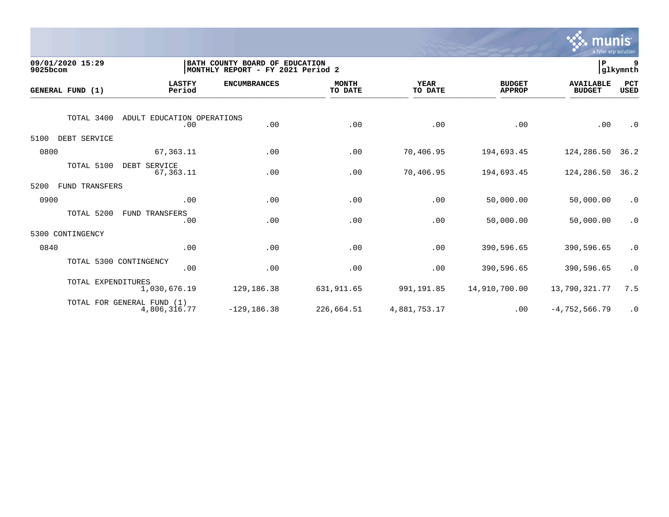

| 09/01/2020 15:29<br>9025bcom |                                          | BATH COUNTY BOARD OF EDUCATION<br>MONTHLY REPORT - FY 2021 Period 2 |                     |                         |                 |                                |                                   | 9<br> glkymnth     |
|------------------------------|------------------------------------------|---------------------------------------------------------------------|---------------------|-------------------------|-----------------|--------------------------------|-----------------------------------|--------------------|
| GENERAL FUND (1)             |                                          | <b>LASTFY</b><br>Period                                             | <b>ENCUMBRANCES</b> | <b>MONTH</b><br>TO DATE | YEAR<br>TO DATE | <b>BUDGET</b><br><b>APPROP</b> | <b>AVAILABLE</b><br><b>BUDGET</b> | PCT<br><b>USED</b> |
|                              | TOTAL 3400<br>ADULT EDUCATION OPERATIONS | .00                                                                 | .00                 | .00                     | .00             | .00                            | .00                               | $\cdot$ 0          |
| 5100                         | DEBT SERVICE                             |                                                                     |                     |                         |                 |                                |                                   |                    |
| 0800                         |                                          | 67, 363.11                                                          | .00                 | .00                     | 70,406.95       | 194,693.45                     | 124,286.50                        | 36.2               |
|                              | TOTAL 5100<br>DEBT SERVICE               | 67,363.11                                                           | .00                 | .00                     | 70,406.95       | 194,693.45                     | 124,286.50                        | 36.2               |
| 5200                         | <b>FUND TRANSFERS</b>                    |                                                                     |                     |                         |                 |                                |                                   |                    |
| 0900                         |                                          | .00                                                                 | .00                 | .00                     | .00             | 50,000.00                      | 50,000.00                         | $\cdot$ 0          |
|                              | TOTAL 5200<br>FUND TRANSFERS             | .00                                                                 | .00                 | .00                     | .00             | 50,000.00                      | 50,000.00                         | $\cdot$ 0          |
| 5300                         | CONTINGENCY                              |                                                                     |                     |                         |                 |                                |                                   |                    |
| 0840                         |                                          | .00                                                                 | .00                 | .00                     | .00             | 390,596.65                     | 390,596.65                        | $\cdot$ 0          |
|                              | TOTAL 5300 CONTINGENCY                   | .00                                                                 | .00                 | .00                     | .00             | 390,596.65                     | 390,596.65                        | $\cdot$ 0          |
|                              | TOTAL EXPENDITURES                       | 1,030,676.19                                                        | 129,186.38          | 631, 911.65             | 991,191.85      | 14,910,700.00                  | 13,790,321.77                     | 7.5                |
|                              | TOTAL FOR GENERAL FUND (1)               | 4,806,316.77                                                        | $-129, 186.38$      | 226,664.51              | 4,881,753.17    | .00                            | $-4,752,566.79$                   | $\cdot$ 0          |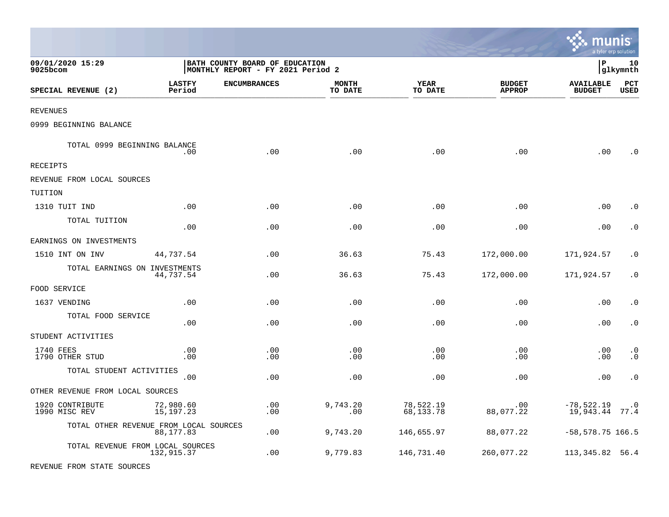|                                        |                          |                                                                     |                         |                          |                                |                                   | a tyler erp solution   |
|----------------------------------------|--------------------------|---------------------------------------------------------------------|-------------------------|--------------------------|--------------------------------|-----------------------------------|------------------------|
| 09/01/2020 15:29<br>9025bcom           |                          | BATH COUNTY BOARD OF EDUCATION<br>MONTHLY REPORT - FY 2021 Period 2 |                         |                          |                                | lР                                | 10<br> glkymnth        |
| SPECIAL REVENUE (2)                    | <b>LASTFY</b><br>Period  | <b>ENCUMBRANCES</b>                                                 | <b>MONTH</b><br>TO DATE | YEAR<br>TO DATE          | <b>BUDGET</b><br><b>APPROP</b> | <b>AVAILABLE</b><br><b>BUDGET</b> | PCT<br><b>USED</b>     |
| REVENUES                               |                          |                                                                     |                         |                          |                                |                                   |                        |
| 0999 BEGINNING BALANCE                 |                          |                                                                     |                         |                          |                                |                                   |                        |
| TOTAL 0999 BEGINNING BALANCE           | .00                      | .00                                                                 | .00                     | .00                      | .00                            | .00                               | . 0                    |
| RECEIPTS                               |                          |                                                                     |                         |                          |                                |                                   |                        |
| REVENUE FROM LOCAL SOURCES             |                          |                                                                     |                         |                          |                                |                                   |                        |
| TUITION                                |                          |                                                                     |                         |                          |                                |                                   |                        |
| 1310 TUIT IND                          | .00                      | .00                                                                 | .00                     | .00                      | .00                            | .00                               | . 0                    |
| TOTAL TUITION                          | .00                      | .00                                                                 | .00                     | .00                      | .00                            | .00                               | $\cdot$ 0              |
| EARNINGS ON INVESTMENTS                |                          |                                                                     |                         |                          |                                |                                   |                        |
| 1510 INT ON INV                        | 44,737.54                | .00                                                                 | 36.63                   | 75.43                    | 172,000.00                     | 171,924.57                        | . 0                    |
| TOTAL EARNINGS ON INVESTMENTS          | 44,737.54                | .00                                                                 | 36.63                   | 75.43                    | 172,000.00                     | 171,924.57                        | $\cdot$ 0              |
| FOOD SERVICE                           |                          |                                                                     |                         |                          |                                |                                   |                        |
| 1637 VENDING                           | .00                      | $.00 \,$                                                            | .00                     | .00                      | .00                            | .00                               | $\cdot$ 0              |
| TOTAL FOOD SERVICE                     | .00                      | .00                                                                 | .00                     | .00                      | .00                            | .00                               | $\cdot$ 0              |
| STUDENT ACTIVITIES                     |                          |                                                                     |                         |                          |                                |                                   |                        |
| 1740 FEES<br>1790 OTHER STUD           | .00<br>.00               | $.00 \,$<br>$.00 \,$                                                | .00<br>.00              | .00<br>.00               | .00<br>.00                     | .00<br>.00                        | $\cdot$ 0<br>$\cdot$ 0 |
| TOTAL STUDENT ACTIVITIES               | .00                      | .00                                                                 | .00                     | .00                      | .00                            | .00                               | $\cdot$ 0              |
| OTHER REVENUE FROM LOCAL SOURCES       |                          |                                                                     |                         |                          |                                |                                   |                        |
| 1920 CONTRIBUTE<br>1990 MISC REV       | 72,980.60<br>15, 197. 23 | .00<br>.00                                                          | 9,743.20<br>.00         | 78,522.19<br>68, 133. 78 | .00<br>88,077.22               | $-78,522.19$ .0<br>19,943.44 77.4 |                        |
| TOTAL OTHER REVENUE FROM LOCAL SOURCES | 88,177.83                | .00                                                                 | 9,743.20                | 146,655.97               | 88,077.22                      | $-58, 578.75$ 166.5               |                        |
| TOTAL REVENUE FROM LOCAL SOURCES       | 132,915.37               | $.00 \,$                                                            | 9,779.83                | 146,731.40               | 260,077.22                     | 113, 345.82 56.4                  |                        |
| REVENUE FROM STATE SOURCES             |                          |                                                                     |                         |                          |                                |                                   |                        |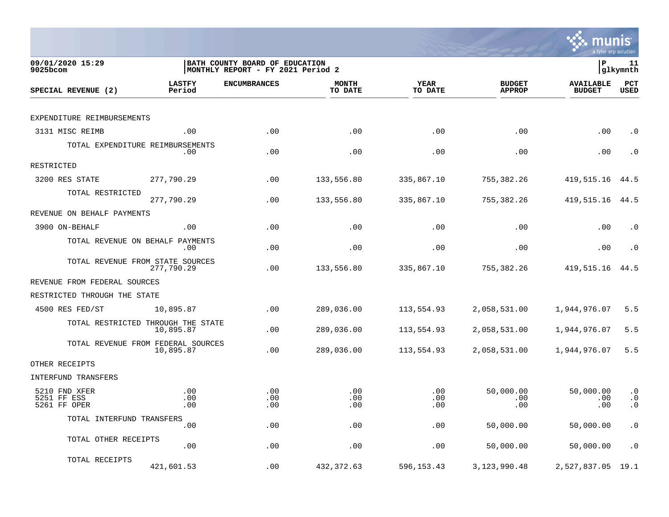

| 09/01/2020 15:29<br>9025bcom                 | BATH COUNTY BOARD OF EDUCATION<br>MONTHLY REPORT - FY 2021 Period 2 |                     |                         |                        |                                | lР                                | 11<br> glkymnth                     |
|----------------------------------------------|---------------------------------------------------------------------|---------------------|-------------------------|------------------------|--------------------------------|-----------------------------------|-------------------------------------|
| SPECIAL REVENUE (2)                          | <b>LASTFY</b><br>Period                                             | <b>ENCUMBRANCES</b> | <b>MONTH</b><br>TO DATE | <b>YEAR</b><br>TO DATE | <b>BUDGET</b><br><b>APPROP</b> | <b>AVAILABLE</b><br><b>BUDGET</b> | PCT<br><b>USED</b>                  |
|                                              |                                                                     |                     |                         |                        |                                |                                   |                                     |
| EXPENDITURE REIMBURSEMENTS                   |                                                                     |                     |                         |                        |                                |                                   |                                     |
| 3131 MISC REIMB                              | .00                                                                 | .00                 | .00                     | .00                    | .00                            | .00                               | $\cdot$ 0                           |
| TOTAL EXPENDITURE REIMBURSEMENTS             | .00                                                                 | .00                 | .00                     | .00                    | .00                            | .00                               | $\cdot$ 0                           |
| RESTRICTED                                   |                                                                     |                     |                         |                        |                                |                                   |                                     |
| 3200 RES STATE                               | 277,790.29                                                          | .00                 | 133,556.80              | 335,867.10             | 755, 382.26                    | 419,515.16                        | 44.5                                |
| TOTAL RESTRICTED                             | 277,790.29                                                          | .00                 | 133,556.80              | 335,867.10             | 755,382.26                     | 419,515.16                        | 44.5                                |
| REVENUE ON BEHALF PAYMENTS                   |                                                                     |                     |                         |                        |                                |                                   |                                     |
| 3900 ON-BEHALF                               | .00                                                                 | .00                 | .00                     | .00                    | .00                            | .00                               | . 0                                 |
| TOTAL REVENUE ON BEHALF PAYMENTS             | .00                                                                 | .00                 | .00                     | .00                    | .00                            | .00                               | $\cdot$ 0                           |
| TOTAL REVENUE FROM STATE SOURCES             | 277,790.29                                                          | .00                 | 133,556.80              | 335,867.10             | 755,382.26                     | 419,515.16                        | 44.5                                |
| REVENUE FROM FEDERAL SOURCES                 |                                                                     |                     |                         |                        |                                |                                   |                                     |
| RESTRICTED THROUGH THE STATE                 |                                                                     |                     |                         |                        |                                |                                   |                                     |
| 4500 RES FED/ST                              | 10,895.87                                                           | .00                 | 289,036.00              | 113,554.93             | 2,058,531.00                   | 1,944,976.07                      | 5.5                                 |
|                                              | TOTAL RESTRICTED THROUGH THE STATE<br>10,895.87                     | .00                 | 289,036.00              | 113,554.93             | 2,058,531.00                   | 1,944,976.07                      | 5.5                                 |
|                                              | TOTAL REVENUE FROM FEDERAL SOURCES<br>10,895.87                     | .00                 | 289,036.00              | 113,554.93             | 2,058,531.00                   | 1,944,976.07                      | 5.5                                 |
| OTHER RECEIPTS                               |                                                                     |                     |                         |                        |                                |                                   |                                     |
| INTERFUND TRANSFERS                          |                                                                     |                     |                         |                        |                                |                                   |                                     |
| 5210 FND XFER<br>5251 FF ESS<br>5261 FF OPER | .00<br>.00<br>.00                                                   | .00<br>.00<br>.00   | .00<br>.00<br>.00       | .00<br>.00<br>.00      | 50,000.00<br>.00<br>.00        | 50,000.00<br>.00<br>.00           | $\cdot$ 0<br>$\cdot$ 0<br>$\cdot$ 0 |
| TOTAL INTERFUND TRANSFERS                    |                                                                     |                     |                         |                        |                                |                                   |                                     |
|                                              | .00                                                                 | .00                 | .00                     | .00                    | 50,000.00                      | 50,000.00                         | $\cdot$ 0                           |
| TOTAL OTHER RECEIPTS                         | .00                                                                 | .00                 | .00                     | .00                    | 50,000.00                      | 50,000.00                         | $\cdot$ 0                           |
| TOTAL RECEIPTS                               | 421,601.53                                                          | .00                 | 432, 372.63             | 596,153.43             | 3, 123, 990. 48                | 2,527,837.05                      | 19.1                                |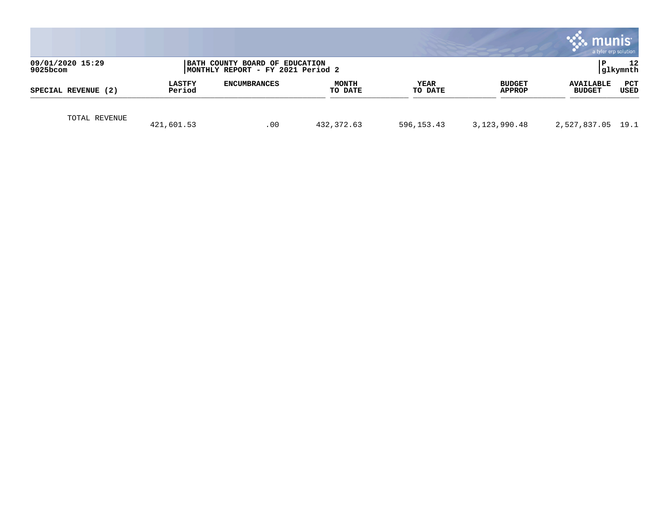|                                 |                         |                                                                     |                         |                 |                                | munis<br>a tyler erp solution     |                 |
|---------------------------------|-------------------------|---------------------------------------------------------------------|-------------------------|-----------------|--------------------------------|-----------------------------------|-----------------|
| 09/01/2020 15:29<br>$9025$ bcom |                         | BATH COUNTY BOARD OF EDUCATION<br>MONTHLY REPORT - FY 2021 Period 2 |                         |                 |                                |                                   | 12<br> glkymnth |
| SPECIAL REVENUE (2)             | <b>LASTFY</b><br>Period | <b>ENCUMBRANCES</b>                                                 | <b>MONTH</b><br>TO DATE | YEAR<br>TO DATE | <b>BUDGET</b><br><b>APPROP</b> | <b>AVAILABLE</b><br><b>BUDGET</b> | PCT<br>USED     |
| TOTAL REVENUE                   | 421,601.53              | .00                                                                 | 432,372.63              | 596,153.43      | 3, 123, 990. 48                | 2,527,837.05 19.1                 |                 |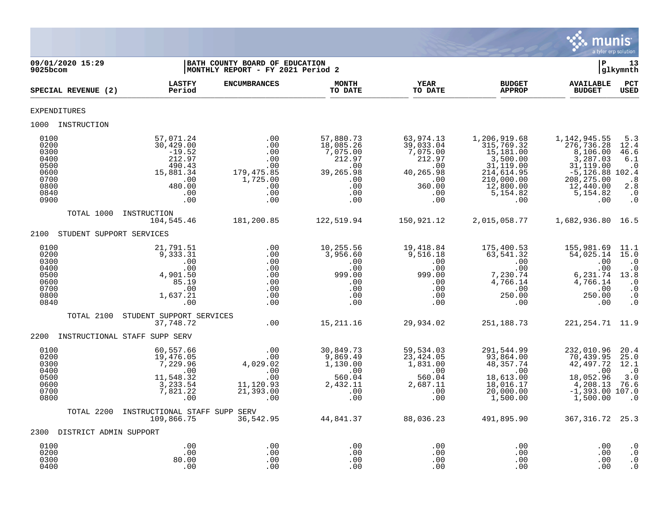

| 09/01/2020 15:29<br>9025bcom                                                 | BATH COUNTY BOARD OF EDUCATION<br>MONTHLY REPORT - FY 2021 Period 2                                 |                                                                                   |                                                                                              |                                                                                                             |                                                                                                                              | $\mathbf{P}$                                                                                                                        | 13<br>glkymnth                                                                                                 |
|------------------------------------------------------------------------------|-----------------------------------------------------------------------------------------------------|-----------------------------------------------------------------------------------|----------------------------------------------------------------------------------------------|-------------------------------------------------------------------------------------------------------------|------------------------------------------------------------------------------------------------------------------------------|-------------------------------------------------------------------------------------------------------------------------------------|----------------------------------------------------------------------------------------------------------------|
| SPECIAL REVENUE (2)                                                          | <b>LASTFY</b><br>Period                                                                             | <b>ENCUMBRANCES</b>                                                               | <b>MONTH</b><br>TO DATE                                                                      | <b>YEAR</b><br>TO DATE                                                                                      | <b>BUDGET</b><br><b>APPROP</b>                                                                                               | <b>AVAILABLE</b><br><b>BUDGET</b>                                                                                                   | PCT<br><b>USED</b>                                                                                             |
| <b>EXPENDITURES</b>                                                          |                                                                                                     |                                                                                   |                                                                                              |                                                                                                             |                                                                                                                              |                                                                                                                                     |                                                                                                                |
| 1000 INSTRUCTION                                                             |                                                                                                     |                                                                                   |                                                                                              |                                                                                                             |                                                                                                                              |                                                                                                                                     |                                                                                                                |
| 0100<br>0200<br>0300<br>0400<br>0500<br>0600<br>0700<br>0800<br>0840<br>0900 | 57,071.24<br>30,429.00<br>$-19.52$<br>212.97<br>490.43<br>15,881.34<br>.00<br>480.00<br>.00<br>.00  | .00<br>.00<br>.00<br>.00<br>.00<br>179,475.85<br>1,725.00<br>.00<br>.00<br>.00    | 57,880.73<br>18,085.26<br>7,075.00<br>212.97<br>.00<br>39,265.98<br>.00<br>.00<br>.00<br>.00 | 63,974.13<br>39,033.04<br>7,075.00<br>212.97<br>.00<br>40,265.98<br>00.75<br>360.00<br>.00<br>.00           | 1,206,919.68<br>315,769.32<br>15,181.00<br>3,500.00<br>31,119.00<br>214,614.95<br>210,000.00<br>12,800.00<br>5,154.82<br>.00 | 1,142,945.55<br>276,736.28<br>8,106.00<br>3,287.03<br>31,119.00<br>$-5,126.88$ 102.4<br>208, 275.00<br>12,440.00<br>5,154.82<br>.00 | 5.3<br>12.4<br>46.6<br>6.1<br>$\ldots 0$<br>$\overline{\phantom{0}}$ .8<br>2.8<br>$\cdot$ 0<br>$\cdot$ 0       |
| TOTAL 1000                                                                   | INSTRUCTION<br>104,545.46                                                                           | 181,200.85                                                                        | 122,519.94                                                                                   | 150,921.12                                                                                                  | 2,015,058.77                                                                                                                 | 1,682,936.80 16.5                                                                                                                   |                                                                                                                |
| 2100 STUDENT SUPPORT SERVICES                                                |                                                                                                     |                                                                                   |                                                                                              |                                                                                                             |                                                                                                                              |                                                                                                                                     |                                                                                                                |
| 0100<br>0200<br>0300<br>0400<br>0500<br>0600<br>0700<br>0800<br>0840         | 21,791.51<br>$\frac{1}{9}$ , 333.31<br>.00<br>.00<br>4,901.50<br>85.19<br>.00<br>1,637.21<br>.00    | .00<br>.00<br>.00<br>.00<br>.00<br>.00<br>.00<br>.00<br>.00                       | 10,255.56<br>3,956.60<br>.00<br>.00<br>999.00<br>.00<br>.00<br>.00<br>.00                    | 19,418.84<br>9,516.18<br>.00<br>.00<br>999.00<br>.00<br>.00<br>$\begin{array}{c} 0.00 \\ -0.00 \end{array}$ | 175,400.53<br>63,541.32<br>.00<br>.00<br>7,230.74<br>4,766.14<br>4,766.14<br>00.<br>250.00<br>.00                            | 155,981.69<br>54,025.14<br>.00<br>.00<br>6,231.74<br>4,766.14<br>.00<br>250.00<br>.00                                               | 11.1<br>15.0<br>. 0<br>$\cdot$ 0<br>13.8<br>$\overline{\phantom{0}}$ .0<br>$\cdot$ 0<br>$\cdot$ 0<br>$\cdot$ 0 |
| TOTAL 2100                                                                   | STUDENT SUPPORT SERVICES<br>37,748.72                                                               | .00                                                                               | 15,211.16                                                                                    | 29,934.02                                                                                                   | 251,188.73                                                                                                                   | 221, 254. 71 11.9                                                                                                                   |                                                                                                                |
| 2200                                                                         | INSTRUCTIONAL STAFF SUPP SERV                                                                       |                                                                                   |                                                                                              |                                                                                                             |                                                                                                                              |                                                                                                                                     |                                                                                                                |
| 0100<br>0200<br>0300<br>0400<br>0500<br>0600<br>0700<br>0800                 | 60,557.66<br>19,476.05<br>7,229.96<br>$\overline{00}$<br>11,548.32<br>3, 233.54<br>7, 821.22<br>.00 | .00<br>$\frac{1}{2}$<br>4,029.02<br>.00<br>.00<br>11, 120.93<br>21, 393.00<br>.00 | 30,849.73<br>9,869.49<br>1,130.00<br>.00<br>560.04<br>2,432.11<br>$\sim 00$<br>.00           | 59,534.03<br>23,424.05<br>1,831.00<br>.00<br>560.04<br>2,687.11<br>.00<br>.00                               | 291,544.99<br>93,864.00<br>48,357.74<br>.00<br>18,613.00<br>18,016.17<br>20,000.00<br>1,500.00                               | 232,010.96<br>70,439.95<br>42,497.72<br>.00<br>18,052.96<br>4,208.13 76.6<br>$-1,393.00$ 107.0<br>1,500.00                          | 20.4<br>25.0<br>12.1<br>$\cdot$ 0<br>3.0<br>$\cdot$ 0                                                          |
| TOTAL 2200                                                                   | INSTRUCTIONAL STAFF SUPP SERV<br>109,866.75                                                         | 36,542.95                                                                         | 44,841.37                                                                                    | 88,036.23                                                                                                   | 491,895.90                                                                                                                   | 367, 316. 72 25. 3                                                                                                                  |                                                                                                                |
| 2300 DISTRICT ADMIN SUPPORT                                                  |                                                                                                     |                                                                                   |                                                                                              |                                                                                                             |                                                                                                                              |                                                                                                                                     |                                                                                                                |
| 0100<br>0200<br>0300<br>0400                                                 | .00<br>.00<br>80.00<br>.00                                                                          | .00<br>.00<br>.00<br>.00                                                          | .00<br>.00<br>.00<br>.00                                                                     | .00<br>.00<br>.00<br>.00                                                                                    | .00<br>.00<br>.00<br>.00                                                                                                     | .00<br>.00<br>.00<br>.00                                                                                                            | $\cdot$ 0<br>$\cdot$ 0<br>$\cdot$ 0<br>$\cdot$ 0                                                               |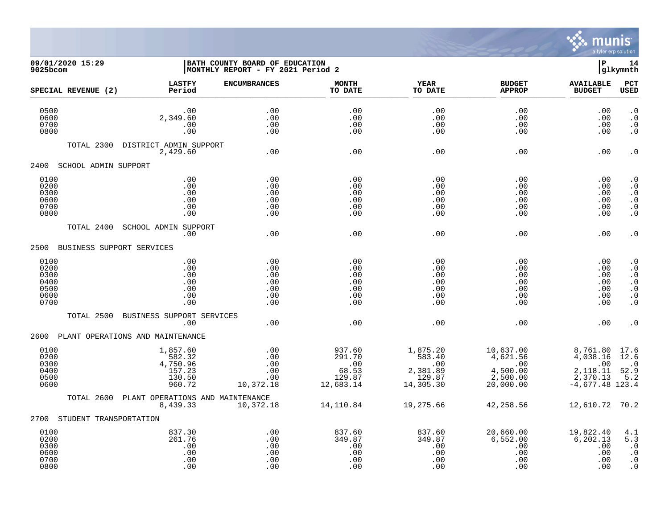

## **09/01/2020 15:29 |BATH COUNTY BOARD OF EDUCATION |P 14 9025bcom |MONTHLY REPORT - FY 2021 Period 2 |glkymnth**

| SPECIAL REVENUE (2)                                  | <b>LASTFY</b><br>Period                                      | <b>ENCUMBRANCES</b>                           | <b>MONTH</b><br>TO DATE                                 | <b>YEAR</b><br>TO DATE                                       | <b>BUDGET</b><br><b>APPROP</b>                                    | <b>AVAILABLE</b><br><b>BUDGET</b>                                        | PCT<br><b>USED</b>                                                                                   |
|------------------------------------------------------|--------------------------------------------------------------|-----------------------------------------------|---------------------------------------------------------|--------------------------------------------------------------|-------------------------------------------------------------------|--------------------------------------------------------------------------|------------------------------------------------------------------------------------------------------|
| 0500<br>0600<br>0700<br>0800                         | .00<br>2,349.60<br>.00<br>.00                                | .00<br>.00<br>.00<br>.00                      | .00<br>.00<br>.00<br>.00                                | .00<br>.00<br>.00<br>.00                                     | .00<br>.00<br>.00<br>.00                                          | .00<br>.00<br>.00<br>.00                                                 | $\cdot$ 0<br>$\cdot$ 0<br>$\cdot$ 0<br>$\cdot$ 0                                                     |
| TOTAL 2300                                           | DISTRICT ADMIN SUPPORT<br>2,429.60                           | .00                                           | .00                                                     | .00                                                          | .00                                                               | .00                                                                      | $\cdot$ 0                                                                                            |
| 2400<br>SCHOOL ADMIN SUPPORT                         |                                                              |                                               |                                                         |                                                              |                                                                   |                                                                          |                                                                                                      |
| 0100<br>0200<br>0300<br>0600<br>0700<br>0800         | .00<br>.00<br>.00<br>.00<br>.00<br>.00                       | .00<br>.00<br>.00<br>.00<br>.00<br>.00        | .00<br>.00<br>.00<br>.00<br>.00<br>.00                  | .00<br>.00<br>.00<br>.00<br>.00<br>.00                       | .00<br>.00<br>.00<br>.00<br>.00<br>.00                            | .00<br>.00<br>.00<br>.00<br>.00<br>.00                                   | . $\boldsymbol{0}$<br>$\cdot$ 0<br>$\cdot$ 0<br>$\cdot$ 0<br>$\cdot$ 0<br>$\cdot$ 0                  |
| TOTAL 2400                                           | SCHOOL ADMIN SUPPORT<br>.00                                  | .00                                           | .00                                                     | .00                                                          | .00                                                               | .00                                                                      | $\cdot$ 0                                                                                            |
| 2500                                                 | BUSINESS SUPPORT SERVICES                                    |                                               |                                                         |                                                              |                                                                   |                                                                          |                                                                                                      |
| 0100<br>0200<br>0300<br>0400<br>0500<br>0600<br>0700 | .00<br>.00<br>.00<br>.00<br>.00<br>.00<br>.00                | .00<br>.00<br>.00<br>.00<br>.00<br>.00<br>.00 | .00<br>.00<br>.00<br>.00<br>.00<br>.00<br>.00           | .00<br>.00<br>.00<br>.00<br>.00<br>.00<br>.00                | .00<br>.00<br>.00<br>.00<br>.00<br>.00<br>.00                     | .00<br>.00<br>.00<br>.00<br>.00<br>.00<br>.00                            | $\cdot$ 0<br>$\cdot$ 0<br>$\cdot$ 0<br>$\cdot$ 0<br>$\cdot$ 0<br>$\boldsymbol{\cdot}$ 0<br>$\cdot$ 0 |
| TOTAL 2500                                           | BUSINESS SUPPORT SERVICES<br>.00                             | .00                                           | .00                                                     | .00                                                          | .00                                                               | .00                                                                      | . 0                                                                                                  |
| 2600                                                 | PLANT OPERATIONS AND MAINTENANCE                             |                                               |                                                         |                                                              |                                                                   |                                                                          |                                                                                                      |
| 0100<br>0200<br>0300<br>0400<br>0500<br>0600         | 1,857.60<br>582.32<br>4,750.96<br>157.23<br>130.50<br>960.72 | .00<br>.00<br>.00<br>.00<br>.00<br>10,372.18  | 937.60<br>291.70<br>.00<br>68.53<br>129.87<br>12,683.14 | 1,875.20<br>583.40<br>.00<br>2,381.89<br>129.87<br>14,305.30 | 10,637.00<br>4,621.56<br>.00<br>4,500.00<br>2,500.00<br>20,000.00 | 8,761.80<br>4,038.16<br>.00<br>2,118.11<br>2,370.13<br>$-4,677.48$ 123.4 | 17.6<br>12.6<br>$\cdot$ 0<br>52.9<br>5.2                                                             |
| TOTAL 2600                                           | PLANT OPERATIONS AND MAINTENANCE<br>8,439.33                 | 10,372.18                                     | 14,110.84                                               | 19,275.66                                                    | 42,258.56                                                         | 12,610.72 70.2                                                           |                                                                                                      |
| 2700 STUDENT TRANSPORTATION                          |                                                              |                                               |                                                         |                                                              |                                                                   |                                                                          |                                                                                                      |
| 0100<br>0200<br>0300<br>0600<br>0700<br>0800         | 837.30<br>261.76<br>.00<br>.00<br>.00<br>.00                 | .00<br>.00<br>.00<br>.00<br>.00<br>.00        | 837.60<br>349.87<br>.00<br>.00<br>.00<br>.00            | 837.60<br>349.87<br>.00<br>.00<br>.00<br>.00                 | 20,660.00<br>6,552.00<br>.00<br>.00<br>.00<br>.00                 | 19,822.40<br>6, 202.13<br>.00<br>.00<br>.00<br>.00                       | 4.1<br>5.3<br>$\cdot$ 0<br>$\cdot$ 0<br>$\cdot$ 0<br>$\cdot$ 0                                       |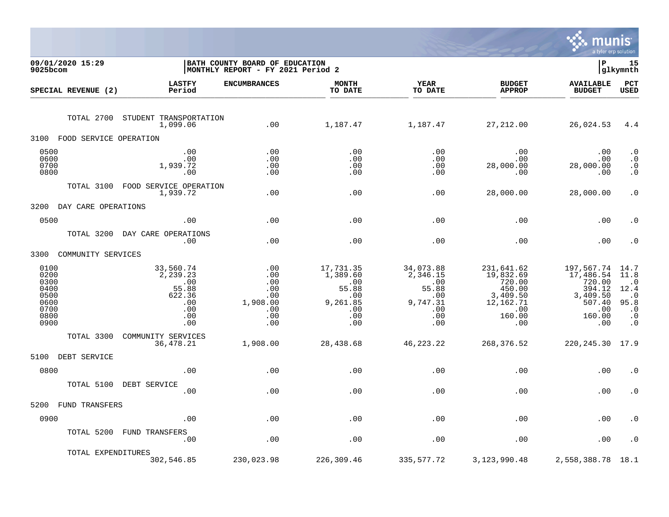

| 09/01/2020 15:29<br>9025bcom                                         |                                                                             | BATH COUNTY BOARD OF EDUCATION<br>MONTHLY REPORT - FY 2021 Period 2 |                                                                                    |                                                                               |                                                                                              | l P                                                                                            | 15<br> glkymnth                                                                       |
|----------------------------------------------------------------------|-----------------------------------------------------------------------------|---------------------------------------------------------------------|------------------------------------------------------------------------------------|-------------------------------------------------------------------------------|----------------------------------------------------------------------------------------------|------------------------------------------------------------------------------------------------|---------------------------------------------------------------------------------------|
| SPECIAL REVENUE (2)                                                  | <b>LASTFY</b><br>Period                                                     | <b>ENCUMBRANCES</b>                                                 | <b>MONTH</b><br>TO DATE                                                            | <b>YEAR</b><br>TO DATE                                                        | <b>BUDGET</b><br><b>APPROP</b>                                                               | <b>AVAILABLE</b><br><b>BUDGET</b>                                                              | PCT<br><b>USED</b>                                                                    |
| TOTAL 2700                                                           | STUDENT TRANSPORTATION<br>1,099.06                                          | .00                                                                 | 1,187.47                                                                           | 1,187.47                                                                      | 27,212.00                                                                                    | 26,024.53                                                                                      | 4.4                                                                                   |
| 3100<br>FOOD SERVICE OPERATION                                       |                                                                             |                                                                     |                                                                                    |                                                                               |                                                                                              |                                                                                                |                                                                                       |
| 0500<br>0600<br>0700<br>0800                                         | .00<br>.00<br>1,939.72<br>.00                                               | .00<br>.00<br>.00<br>.00                                            | .00<br>.00<br>.00<br>.00                                                           | .00<br>.00<br>.00<br>.00                                                      | .00<br>.00<br>28,000.00<br>.00                                                               | .00<br>.00<br>28,000.00<br>.00                                                                 | $\cdot$ 0<br>$\cdot$ 0<br>$\cdot$ 0<br>$\cdot$ 0                                      |
|                                                                      | TOTAL 3100 FOOD SERVICE OPERATION<br>1,939.72                               | .00                                                                 | .00                                                                                | .00                                                                           | 28,000.00                                                                                    | 28,000.00                                                                                      | $\cdot$ 0                                                                             |
| 3200<br>DAY CARE OPERATIONS                                          |                                                                             |                                                                     |                                                                                    |                                                                               |                                                                                              |                                                                                                |                                                                                       |
| 0500                                                                 | .00                                                                         | .00                                                                 | .00                                                                                | .00                                                                           | .00                                                                                          | .00                                                                                            | $\boldsymbol{\cdot}$ 0                                                                |
| TOTAL 3200                                                           | DAY CARE OPERATIONS<br>.00                                                  | .00                                                                 | .00                                                                                | .00                                                                           | .00                                                                                          | .00                                                                                            | $\boldsymbol{\cdot}$ 0                                                                |
| 3300 COMMUNITY SERVICES                                              |                                                                             |                                                                     |                                                                                    |                                                                               |                                                                                              |                                                                                                |                                                                                       |
| 0100<br>0200<br>0300<br>0400<br>0500<br>0600<br>0700<br>0800<br>0900 | 33,560.74<br>2,239.23<br>.00<br>55.88<br>622.36<br>.00<br>.00<br>.00<br>.00 | .00<br>.00<br>.00<br>.00<br>.00<br>1,908.00<br>.00<br>.00<br>.00    | 17,731.35<br>1,389.60<br>.00<br>55.88<br>$\,$ .00<br>9,261.85<br>.00<br>.00<br>.00 | 34,073.88<br>2,346.15<br>.00<br>55.88<br>.00<br>9,747.31<br>.00<br>.00<br>.00 | 231,641.62<br>19,832.69<br>720.00<br>450.00<br>3,409.50<br>12,162.71<br>.00<br>160.00<br>.00 | 197,567.74 14.7<br>17,486.54<br>720.00<br>394.12<br>3,409.50<br>507.40<br>.00<br>160.00<br>.00 | 11.8<br>$\cdot$ 0<br>12.4<br>$\cdot$ 0<br>95.8<br>$\cdot$ 0<br>$\cdot$ 0<br>$\cdot$ 0 |
| TOTAL 3300                                                           | COMMUNITY SERVICES<br>36,478.21                                             | 1,908.00                                                            | 28,438.68                                                                          | 46,223.22                                                                     | 268,376.52                                                                                   | 220, 245. 30 17. 9                                                                             |                                                                                       |
| 5100 DEBT SERVICE                                                    |                                                                             |                                                                     |                                                                                    |                                                                               |                                                                                              |                                                                                                |                                                                                       |
| 0800                                                                 | .00                                                                         | .00                                                                 | .00                                                                                | .00                                                                           | .00                                                                                          | .00                                                                                            | $\cdot$ 0                                                                             |
|                                                                      | TOTAL 5100 DEBT SERVICE<br>.00                                              | .00                                                                 | .00                                                                                | .00                                                                           | .00                                                                                          | .00                                                                                            | $\cdot$ 0                                                                             |
| 5200<br><b>FUND TRANSFERS</b>                                        |                                                                             |                                                                     |                                                                                    |                                                                               |                                                                                              |                                                                                                |                                                                                       |
| 0900                                                                 | .00                                                                         | .00                                                                 | .00                                                                                | .00                                                                           | .00                                                                                          | .00                                                                                            | $\cdot$ 0                                                                             |
|                                                                      | TOTAL 5200 FUND TRANSFERS<br>$\overline{\phantom{0}}$ .00                   | .00                                                                 | .00                                                                                | .00                                                                           | .00                                                                                          | .00                                                                                            | $\cdot$ 0                                                                             |
| TOTAL EXPENDITURES                                                   | 302,546.85                                                                  | 230,023.98                                                          | 226,309.46                                                                         | 335,577.72                                                                    | 3, 123, 990.48                                                                               | 2,558,388.78                                                                                   | 18.1                                                                                  |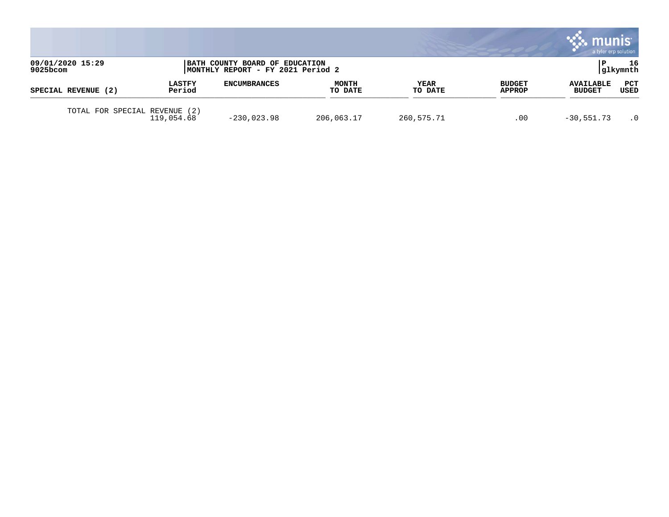|                              |                         |                                                                     |                         |                        |                                | munis<br>a tyler erp solution     |             |
|------------------------------|-------------------------|---------------------------------------------------------------------|-------------------------|------------------------|--------------------------------|-----------------------------------|-------------|
| 09/01/2020 15:29<br>9025bcom |                         | BATH COUNTY BOARD OF EDUCATION<br>MONTHLY REPORT - FY 2021 Period 2 |                         |                        |                                | 16<br> glkymnth                   |             |
| SPECIAL REVENUE (2)          | <b>LASTFY</b><br>Period | <b>ENCUMBRANCES</b>                                                 | <b>MONTH</b><br>TO DATE | <b>YEAR</b><br>TO DATE | <b>BUDGET</b><br><b>APPROP</b> | <b>AVAILABLE</b><br><b>BUDGET</b> | PCT<br>USED |
| TOTAL FOR SPECIAL REVENUE    | (2)<br>119,054.68       | $-230,023.98$                                                       | 206,063.17              | 260,575.71             | .00                            | $-30,551.73$                      | $\cdot$ 0   |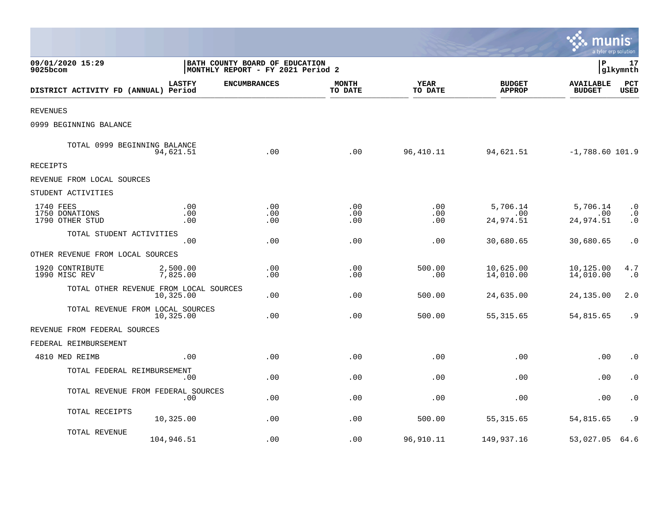|                                                |                      |                                                                     |                         |                        |                                | mun<br>a tyler erp solution       |                                     |
|------------------------------------------------|----------------------|---------------------------------------------------------------------|-------------------------|------------------------|--------------------------------|-----------------------------------|-------------------------------------|
| 09/01/2020 15:29<br>9025bcom                   |                      | BATH COUNTY BOARD OF EDUCATION<br>MONTHLY REPORT - FY 2021 Period 2 |                         |                        |                                | P                                 | 17<br> glkymnth                     |
| DISTRICT ACTIVITY FD (ANNUAL) Period           | <b>LASTFY</b>        | <b>ENCUMBRANCES</b>                                                 | <b>MONTH</b><br>TO DATE | <b>YEAR</b><br>TO DATE | <b>BUDGET</b><br><b>APPROP</b> | <b>AVAILABLE</b><br><b>BUDGET</b> | PCT<br><b>USED</b>                  |
| <b>REVENUES</b>                                |                      |                                                                     |                         |                        |                                |                                   |                                     |
| 0999 BEGINNING BALANCE                         |                      |                                                                     |                         |                        |                                |                                   |                                     |
| TOTAL 0999 BEGINNING BALANCE                   | 94,621.51            | .00                                                                 | .00                     | 96,410.11              | 94,621.51                      | $-1,788.60$ 101.9                 |                                     |
| <b>RECEIPTS</b>                                |                      |                                                                     |                         |                        |                                |                                   |                                     |
| REVENUE FROM LOCAL SOURCES                     |                      |                                                                     |                         |                        |                                |                                   |                                     |
| STUDENT ACTIVITIES                             |                      |                                                                     |                         |                        |                                |                                   |                                     |
| 1740 FEES<br>1750 DONATIONS<br>1790 OTHER STUD | .00<br>.00<br>.00    | .00<br>.00<br>.00                                                   | .00<br>.00<br>.00       | .00<br>.00<br>.00      | 5,706.14<br>.00<br>24,974.51   | 5,706.14<br>.00<br>24,974.51      | $\cdot$ 0<br>$\cdot$ 0<br>$\cdot$ 0 |
| TOTAL STUDENT ACTIVITIES                       | .00                  | .00                                                                 | .00                     | .00                    | 30,680.65                      | 30,680.65                         | $\cdot$ 0                           |
| OTHER REVENUE FROM LOCAL SOURCES               |                      |                                                                     |                         |                        |                                |                                   |                                     |
| 1920 CONTRIBUTE<br>1990 MISC REV               | 2,500.00<br>7,825.00 | .00<br>.00                                                          | .00<br>.00              | 500.00<br>.00          | 10,625.00<br>14,010.00         | 10,125.00<br>14,010.00            | 4.7<br>$\cdot$ 0                    |
| TOTAL OTHER REVENUE FROM LOCAL SOURCES         | 10,325.00            | .00                                                                 | .00                     | 500.00                 | 24,635.00                      | 24,135.00                         | 2.0                                 |
| TOTAL REVENUE FROM LOCAL SOURCES               | 10,325.00            | .00                                                                 | .00                     | 500.00                 | 55, 315.65                     | 54,815.65                         | . 9                                 |
| REVENUE FROM FEDERAL SOURCES                   |                      |                                                                     |                         |                        |                                |                                   |                                     |
| FEDERAL REIMBURSEMENT                          |                      |                                                                     |                         |                        |                                |                                   |                                     |
| 4810 MED REIMB                                 | .00                  | .00                                                                 | .00                     | .00                    | .00                            | .00                               | $\cdot$ 0                           |
| TOTAL FEDERAL REIMBURSEMENT                    | .00                  | .00                                                                 | .00                     | .00                    | .00                            | .00                               | $\cdot$ 0                           |
| TOTAL REVENUE FROM FEDERAL SOURCES             | .00                  | .00                                                                 | .00                     | .00                    | .00                            | .00                               | $\cdot$ 0                           |
| TOTAL RECEIPTS                                 | 10,325.00            | .00                                                                 | .00                     | 500.00                 | 55, 315.65                     | 54,815.65                         | . 9                                 |
| TOTAL REVENUE                                  | 104,946.51           | .00                                                                 | .00                     | 96,910.11              | 149,937.16                     | 53,027.05                         | 64.6                                |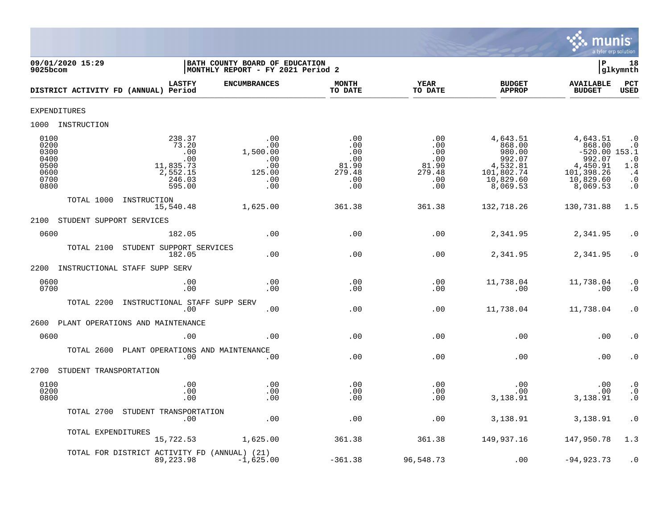

| 09/01/2020 15:29<br>9025bcom                                 |                                                                            | BATH COUNTY BOARD OF EDUCATION<br>MONTHLY REPORT - FY 2021 Period 2 |                                                           |                                                           |                                                                                           | Þ                                                                                                  | 18<br>glkymnth                                                             |
|--------------------------------------------------------------|----------------------------------------------------------------------------|---------------------------------------------------------------------|-----------------------------------------------------------|-----------------------------------------------------------|-------------------------------------------------------------------------------------------|----------------------------------------------------------------------------------------------------|----------------------------------------------------------------------------|
| DISTRICT ACTIVITY FD (ANNUAL) Period                         | <b>LASTFY</b>                                                              | <b>ENCUMBRANCES</b>                                                 | <b>MONTH</b><br>TO DATE                                   | YEAR<br>TO DATE                                           | <b>BUDGET</b><br><b>APPROP</b>                                                            | <b>AVAILABLE</b><br><b>BUDGET</b>                                                                  | <b>PCT</b><br>USED                                                         |
| <b>EXPENDITURES</b>                                          |                                                                            |                                                                     |                                                           |                                                           |                                                                                           |                                                                                                    |                                                                            |
| 1000 INSTRUCTION                                             |                                                                            |                                                                     |                                                           |                                                           |                                                                                           |                                                                                                    |                                                                            |
| 0100<br>0200<br>0300<br>0400<br>0500<br>0600<br>0700<br>0800 | 238.37<br>73.20<br>.00<br>.00<br>11,835.73<br>2,552.15<br>246.03<br>595.00 | .00<br>.00<br>1,500.00<br>.00<br>.00<br>125.00<br>.00<br>.00        | .00<br>.00<br>.00<br>.00<br>81.90<br>279.48<br>.00<br>.00 | .00<br>.00<br>.00<br>.00<br>81.90<br>279.48<br>.00<br>.00 | 4,643.51<br>868.00<br>980.00<br>992.07<br>4,532.81<br>101,802.74<br>10,829.60<br>8,069.53 | 4,643.51<br>868.00<br>$-520.00$ 153.1<br>992.07<br>4,450.91<br>101,398.26<br>10,829.60<br>8,069.53 | $\cdot$ 0<br>$\cdot$ 0<br>$1:8^{0}$<br>$\cdot$ 4<br>$\cdot$ 0<br>$\cdot$ 0 |
| TOTAL 1000                                                   | INSTRUCTION<br>15,540.48                                                   | 1,625.00                                                            | 361.38                                                    | 361.38                                                    | 132,718.26                                                                                | 130,731.88                                                                                         | 1.5                                                                        |
| STUDENT SUPPORT SERVICES<br>2100                             |                                                                            |                                                                     |                                                           |                                                           |                                                                                           |                                                                                                    |                                                                            |
| 0600                                                         | 182.05                                                                     | .00                                                                 | .00                                                       | .00                                                       | 2,341.95                                                                                  | 2,341.95                                                                                           | $\cdot$ 0                                                                  |
| TOTAL 2100                                                   | STUDENT SUPPORT SERVICES<br>182.05                                         | .00                                                                 | .00                                                       | .00                                                       | 2,341.95                                                                                  | 2,341.95                                                                                           | $\cdot$ 0                                                                  |
| 2200                                                         | INSTRUCTIONAL STAFF SUPP SERV                                              |                                                                     |                                                           |                                                           |                                                                                           |                                                                                                    |                                                                            |
| 0600<br>0700                                                 | .00<br>.00                                                                 | .00<br>.00                                                          | .00<br>.00                                                | .00<br>.00                                                | 11,738.04<br>.00                                                                          | 11,738.04<br>.00                                                                                   | $\cdot$ 0<br>$\cdot$ 0                                                     |
| TOTAL 2200                                                   | INSTRUCTIONAL STAFF SUPP SERV<br>.00                                       | .00                                                                 | .00                                                       | .00                                                       | 11,738.04                                                                                 | 11,738.04                                                                                          | $\cdot$ 0                                                                  |
| 2600                                                         | PLANT OPERATIONS AND MAINTENANCE                                           |                                                                     |                                                           |                                                           |                                                                                           |                                                                                                    |                                                                            |
| 0600                                                         | .00                                                                        | .00                                                                 | .00                                                       | .00                                                       | .00                                                                                       | .00                                                                                                | $\cdot$ 0                                                                  |
|                                                              | TOTAL 2600 PLANT OPERATIONS AND MAINTENANCE<br>.00                         | .00                                                                 | .00                                                       | .00                                                       | .00                                                                                       | .00                                                                                                | $\cdot$ 0                                                                  |
| 2700<br>STUDENT TRANSPORTATION                               |                                                                            |                                                                     |                                                           |                                                           |                                                                                           |                                                                                                    |                                                                            |
| 0100<br>0200<br>0800                                         | .00<br>.00<br>.00                                                          | .00<br>.00<br>.00                                                   | .00<br>.00<br>.00                                         | .00<br>.00<br>.00                                         | .00<br>.00<br>3,138.91                                                                    | .00<br>.00<br>3,138.91                                                                             | $\cdot$ 0<br>$\ddot{0}$<br>$\cdot$ 0                                       |
|                                                              | TOTAL 2700 STUDENT TRANSPORTATION<br>.00                                   | .00                                                                 | .00                                                       | .00                                                       | 3,138.91                                                                                  | 3,138.91                                                                                           | $\cdot$ 0                                                                  |
| TOTAL EXPENDITURES                                           | 15,722.53                                                                  | 1,625.00                                                            | 361.38                                                    | 361.38                                                    | 149,937.16                                                                                | 147,950.78                                                                                         | 1.3                                                                        |
|                                                              | TOTAL FOR DISTRICT ACTIVITY FD (ANNUAL) (21)<br>89,223.98                  | $-1,625.00$                                                         | $-361.38$                                                 | 96,548.73                                                 | .00                                                                                       | $-94,923.73$                                                                                       | $\cdot$ 0                                                                  |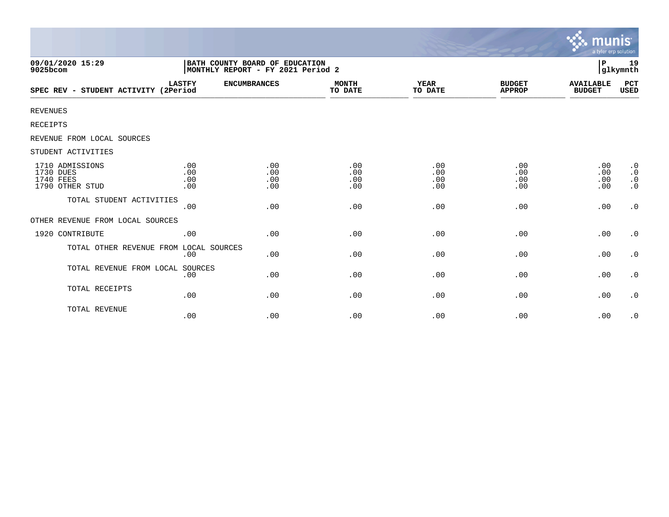|                                                              |                                                                     |                          |                          |                          |                                | munis<br>a tyler erp solution     |                                                  |
|--------------------------------------------------------------|---------------------------------------------------------------------|--------------------------|--------------------------|--------------------------|--------------------------------|-----------------------------------|--------------------------------------------------|
| 09/01/2020 15:29<br>9025bcom                                 | BATH COUNTY BOARD OF EDUCATION<br>MONTHLY REPORT - FY 2021 Period 2 |                          |                          |                          |                                | P                                 | 19<br>glkymnth                                   |
| SPEC REV - STUDENT ACTIVITY (2Period                         | <b>LASTFY</b>                                                       | <b>ENCUMBRANCES</b>      | <b>MONTH</b><br>TO DATE  | YEAR<br>TO DATE          | <b>BUDGET</b><br><b>APPROP</b> | <b>AVAILABLE</b><br><b>BUDGET</b> | PCT<br>USED                                      |
| <b>REVENUES</b>                                              |                                                                     |                          |                          |                          |                                |                                   |                                                  |
| RECEIPTS                                                     |                                                                     |                          |                          |                          |                                |                                   |                                                  |
| REVENUE FROM LOCAL SOURCES                                   |                                                                     |                          |                          |                          |                                |                                   |                                                  |
| STUDENT ACTIVITIES                                           |                                                                     |                          |                          |                          |                                |                                   |                                                  |
| 1710 ADMISSIONS<br>1730 DUES<br>1740 FEES<br>1790 OTHER STUD | .00<br>.00<br>.00<br>.00                                            | .00<br>.00<br>.00<br>.00 | .00<br>.00<br>.00<br>.00 | .00<br>.00<br>.00<br>.00 | .00<br>.00<br>.00<br>.00       | .00<br>.00<br>.00<br>.00          | $\cdot$ 0<br>$\cdot$ 0<br>$\cdot$ 0<br>$\cdot$ 0 |
| TOTAL STUDENT ACTIVITIES                                     | .00                                                                 | .00                      | .00                      | .00                      | .00                            | .00                               | $\cdot$ 0                                        |
| OTHER REVENUE FROM LOCAL SOURCES                             |                                                                     |                          |                          |                          |                                |                                   |                                                  |
| 1920 CONTRIBUTE                                              | .00                                                                 | .00                      | .00                      | .00                      | .00                            | .00                               | $\cdot$ 0                                        |
| TOTAL OTHER REVENUE FROM LOCAL SOURCES                       | .00                                                                 | .00                      | .00                      | .00                      | .00                            | .00                               | $\cdot$ 0                                        |
| TOTAL REVENUE FROM LOCAL                                     | SOURCES<br>.00                                                      | .00                      | .00                      | .00                      | .00                            | .00                               | $\cdot$ 0                                        |
| TOTAL RECEIPTS                                               | .00                                                                 | .00                      | .00                      | .00                      | .00                            | .00                               | $\cdot$ 0                                        |
| TOTAL REVENUE                                                | .00                                                                 | .00                      | .00                      | .00                      | .00                            | .00                               | $\cdot$ 0                                        |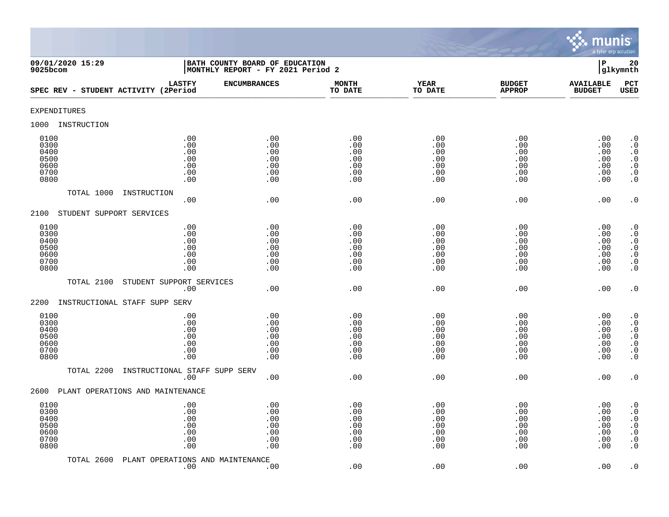

| 09/01/2020 15:29<br>9025bcom                         |                                               | BATH COUNTY BOARD OF EDUCATION<br>MONTHLY REPORT - FY 2021 Period 2 |                                               |                                               |                                               | $\mathbf P$                                   | 20<br>glkymnth                                                                                                                                |
|------------------------------------------------------|-----------------------------------------------|---------------------------------------------------------------------|-----------------------------------------------|-----------------------------------------------|-----------------------------------------------|-----------------------------------------------|-----------------------------------------------------------------------------------------------------------------------------------------------|
| SPEC REV - STUDENT ACTIVITY (2Period                 | <b>LASTFY</b>                                 | <b>ENCUMBRANCES</b>                                                 | <b>MONTH</b><br>TO DATE                       | <b>YEAR</b><br>TO DATE                        | <b>BUDGET</b><br><b>APPROP</b>                | <b>AVAILABLE</b><br><b>BUDGET</b>             | PCT<br><b>USED</b>                                                                                                                            |
| EXPENDITURES                                         |                                               |                                                                     |                                               |                                               |                                               |                                               |                                                                                                                                               |
| INSTRUCTION<br>1000                                  |                                               |                                                                     |                                               |                                               |                                               |                                               |                                                                                                                                               |
| 0100<br>0300<br>0400<br>0500<br>0600<br>0700<br>0800 | .00<br>.00<br>.00<br>.00<br>.00<br>.00<br>.00 | .00<br>.00<br>.00<br>.00<br>.00<br>.00<br>.00                       | .00<br>.00<br>.00<br>.00<br>.00<br>.00<br>.00 | .00<br>.00<br>.00<br>.00<br>.00<br>.00<br>.00 | .00<br>.00<br>.00<br>.00<br>.00<br>.00<br>.00 | .00<br>.00<br>.00<br>.00<br>.00<br>.00<br>.00 | $\cdot$ 0<br>$\boldsymbol{\cdot}$ 0<br>$\cdot$ 0<br>$\begin{smallmatrix} 0.1 \\ 0.1 \end{smallmatrix}$<br>$\boldsymbol{\cdot}$ 0<br>$\cdot$ 0 |
| TOTAL 1000                                           | INSTRUCTION<br>.00                            | .00                                                                 | .00                                           | .00                                           | .00                                           | .00                                           | $\cdot$ 0                                                                                                                                     |
| 2100<br>STUDENT SUPPORT SERVICES                     |                                               |                                                                     |                                               |                                               |                                               |                                               |                                                                                                                                               |
| 0100<br>0300<br>0400<br>0500<br>0600<br>0700<br>0800 | .00<br>.00<br>.00<br>.00<br>.00<br>.00<br>.00 | .00<br>.00<br>.00<br>.00<br>.00<br>.00<br>.00                       | .00<br>.00<br>.00<br>.00<br>.00<br>.00<br>.00 | .00<br>.00<br>.00<br>.00<br>.00<br>.00<br>.00 | .00<br>.00<br>.00<br>.00<br>.00<br>.00<br>.00 | .00<br>.00<br>.00<br>.00<br>.00<br>.00<br>.00 | $\begin{smallmatrix} 0.1 \\ 0.1 \end{smallmatrix}$<br>$\cdot$ 0<br>$\begin{array}{c} 0.0 \\ 0.0 \\ 0.0 \end{array}$<br>$\cdot$ 0              |
| TOTAL 2100                                           | STUDENT SUPPORT SERVICES<br>.00               | .00                                                                 | .00                                           | .00                                           | .00                                           | .00                                           | $\cdot$ 0                                                                                                                                     |
| INSTRUCTIONAL STAFF SUPP SERV<br>2200                |                                               |                                                                     |                                               |                                               |                                               |                                               |                                                                                                                                               |
| 0100<br>0300<br>0400<br>0500<br>0600<br>0700<br>0800 | .00<br>.00<br>.00<br>.00<br>.00<br>.00<br>.00 | .00<br>.00<br>.00<br>.00<br>.00<br>.00<br>.00                       | .00<br>.00<br>.00<br>.00<br>.00<br>.00<br>.00 | .00<br>.00<br>.00<br>.00<br>.00<br>.00<br>.00 | .00<br>.00<br>.00<br>.00<br>.00<br>.00<br>.00 | .00<br>.00<br>.00<br>.00<br>.00<br>.00<br>.00 | $\cdot$ 0<br>$\ddot{0}$<br>$\boldsymbol{\cdot}$ 0<br>$\overline{0}$<br>$\ddot{\theta}$<br>$\cdot$ 0<br>$\overline{0}$ .                       |
| TOTAL 2200                                           | INSTRUCTIONAL STAFF SUPP SERV<br>.00          | .00                                                                 | .00                                           | .00                                           | .00                                           | .00                                           | $\cdot$ 0                                                                                                                                     |
| 2600<br>PLANT OPERATIONS AND MAINTENANCE             |                                               |                                                                     |                                               |                                               |                                               |                                               |                                                                                                                                               |
| 0100<br>0300<br>0400<br>0500<br>0600<br>0700<br>0800 | .00<br>.00<br>.00<br>.00<br>.00<br>.00<br>.00 | .00<br>.00<br>.00<br>.00<br>.00<br>.00<br>.00                       | .00<br>.00<br>.00<br>.00<br>.00<br>.00<br>.00 | .00<br>.00<br>.00<br>.00<br>.00<br>.00<br>.00 | .00<br>.00<br>.00<br>.00<br>.00<br>.00<br>.00 | .00<br>.00<br>.00<br>.00<br>.00<br>.00<br>.00 | $\cdot$ 0<br>$\cdot$ 0<br>$\boldsymbol{\cdot}$ 0<br>$\ddot{0}$<br>$\boldsymbol{\cdot}$ 0<br>$\boldsymbol{\cdot}$ 0<br>$\cdot$ 0               |
| TOTAL 2600                                           | PLANT OPERATIONS AND MAINTENANCE<br>.00       | .00                                                                 | .00                                           | .00                                           | .00                                           | .00                                           | $\cdot$ 0                                                                                                                                     |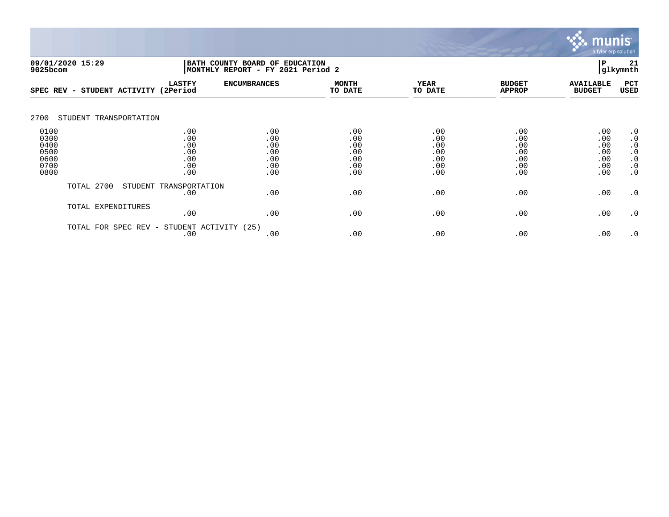

|                                                      | 09/01/2020 15:29<br>BATH COUNTY BOARD OF<br>MONTHLY REPORT - FY 2021 Period 2<br>9025bcom |                                               |                                               | <b>EDUCATION</b>                              | ΙP                                            | 21<br>glkymnth                                |                                               |                                                                                         |
|------------------------------------------------------|-------------------------------------------------------------------------------------------|-----------------------------------------------|-----------------------------------------------|-----------------------------------------------|-----------------------------------------------|-----------------------------------------------|-----------------------------------------------|-----------------------------------------------------------------------------------------|
| SPEC REV -                                           | STUDENT ACTIVITY                                                                          | <b>LASTFY</b><br>(2Period                     | <b>ENCUMBRANCES</b>                           | <b>MONTH</b><br>TO DATE                       | <b>YEAR</b><br>TO DATE                        | <b>BUDGET</b><br><b>APPROP</b>                | <b>AVAILABLE</b><br><b>BUDGET</b>             | PCT<br>USED                                                                             |
| 2700                                                 | STUDENT TRANSPORTATION                                                                    |                                               |                                               |                                               |                                               |                                               |                                               |                                                                                         |
| 0100<br>0300<br>0400<br>0500<br>0600<br>0700<br>0800 |                                                                                           | .00<br>.00<br>.00<br>.00<br>.00<br>.00<br>.00 | .00<br>.00<br>.00<br>.00<br>.00<br>.00<br>.00 | .00<br>.00<br>.00<br>.00<br>.00<br>.00<br>.00 | .00<br>.00<br>.00<br>.00<br>.00<br>.00<br>.00 | .00<br>.00<br>.00<br>.00<br>.00<br>.00<br>.00 | .00<br>.00<br>.00<br>.00<br>.00<br>.00<br>.00 | $\cdot$ 0<br>$\cdot$ 0<br>$\cdot$ 0<br>$\cdot$ 0<br>$\cdot$ 0<br>$\cdot$ 0<br>$\cdot$ 0 |
|                                                      | TOTAL 2700                                                                                | STUDENT TRANSPORTATION<br>.00                 | .00                                           | .00                                           | .00                                           | .00                                           | .00                                           | $\cdot$ 0                                                                               |
|                                                      | TOTAL EXPENDITURES                                                                        | .00                                           | .00                                           | .00                                           | .00                                           | .00                                           | .00                                           | $\cdot$ 0                                                                               |
|                                                      | TOTAL FOR SPEC REV -                                                                      | STUDENT ACTIVITY<br>.00                       | (25)<br>.00                                   | .00                                           | .00                                           | .00                                           | .00                                           | $\cdot$ 0                                                                               |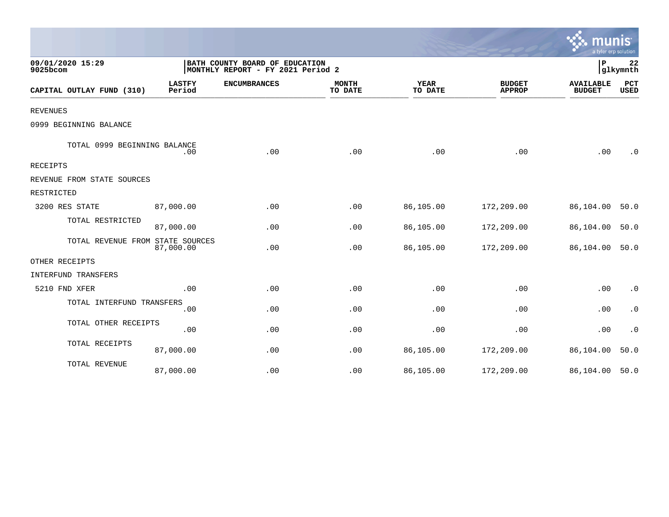|                                  |                         |                                                                     |                         |                        |                                | mu<br>a tyler erp solution        |                |
|----------------------------------|-------------------------|---------------------------------------------------------------------|-------------------------|------------------------|--------------------------------|-----------------------------------|----------------|
| 09/01/2020 15:29<br>9025bcom     |                         | BATH COUNTY BOARD OF EDUCATION<br>MONTHLY REPORT - FY 2021 Period 2 |                         |                        |                                | IΡ                                | 22<br>glkymnth |
| CAPITAL OUTLAY FUND (310)        | <b>LASTFY</b><br>Period | <b>ENCUMBRANCES</b>                                                 | <b>MONTH</b><br>TO DATE | <b>YEAR</b><br>TO DATE | <b>BUDGET</b><br><b>APPROP</b> | <b>AVAILABLE</b><br><b>BUDGET</b> | PCT<br>USED    |
| <b>REVENUES</b>                  |                         |                                                                     |                         |                        |                                |                                   |                |
| 0999 BEGINNING BALANCE           |                         |                                                                     |                         |                        |                                |                                   |                |
| TOTAL 0999 BEGINNING BALANCE     | .00                     | .00                                                                 | .00                     | .00                    | .00                            | .00                               | $\cdot$ 0      |
| <b>RECEIPTS</b>                  |                         |                                                                     |                         |                        |                                |                                   |                |
| REVENUE FROM STATE SOURCES       |                         |                                                                     |                         |                        |                                |                                   |                |
| RESTRICTED                       |                         |                                                                     |                         |                        |                                |                                   |                |
| 3200 RES STATE                   | 87,000.00               | .00                                                                 | .00                     | 86,105.00              | 172,209.00                     | 86,104.00                         | 50.0           |
| TOTAL RESTRICTED                 | 87,000.00               | .00                                                                 | .00                     | 86,105.00              | 172,209.00                     | 86,104.00                         | 50.0           |
| TOTAL REVENUE FROM STATE SOURCES | 87,000.00               | .00                                                                 | .00                     | 86,105.00              | 172,209.00                     | 86,104.00                         | 50.0           |
| OTHER RECEIPTS                   |                         |                                                                     |                         |                        |                                |                                   |                |
| INTERFUND TRANSFERS              |                         |                                                                     |                         |                        |                                |                                   |                |
| 5210 FND XFER                    | .00                     | .00                                                                 | .00                     | .00                    | .00                            | .00                               | $\cdot$ 0      |
| TOTAL INTERFUND TRANSFERS        | .00                     | .00                                                                 | .00                     | .00                    | .00                            | .00                               | $\cdot$ 0      |
| TOTAL OTHER RECEIPTS             | .00                     | .00                                                                 | .00                     | .00                    | .00                            | .00                               | $\cdot$ 0      |
| TOTAL RECEIPTS                   | 87,000.00               | .00                                                                 | .00                     | 86,105.00              | 172,209.00                     | 86,104.00                         | 50.0           |
| TOTAL REVENUE                    | 87,000.00               | .00                                                                 | .00                     | 86,105.00              | 172,209.00                     | 86,104.00                         | 50.0           |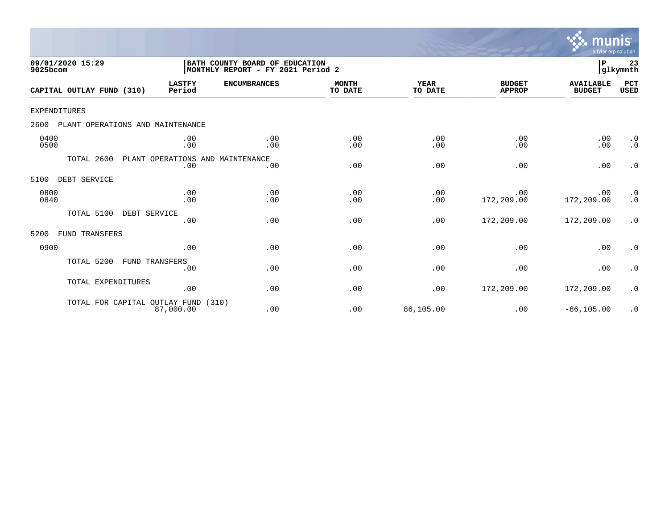

| 09/01/2020 15:29<br>9025bcom             | BATH COUNTY BOARD OF EDUCATION<br>MONTHLY REPORT - FY 2021 Period 2 |                                         |                         |                        |                                |                                   | lР<br>23<br>glkymnth   |  |
|------------------------------------------|---------------------------------------------------------------------|-----------------------------------------|-------------------------|------------------------|--------------------------------|-----------------------------------|------------------------|--|
| CAPITAL OUTLAY FUND (310)                | <b>LASTFY</b><br>Period                                             | <b>ENCUMBRANCES</b>                     | <b>MONTH</b><br>TO DATE | <b>YEAR</b><br>TO DATE | <b>BUDGET</b><br><b>APPROP</b> | <b>AVAILABLE</b><br><b>BUDGET</b> | PCT<br><b>USED</b>     |  |
| <b>EXPENDITURES</b>                      |                                                                     |                                         |                         |                        |                                |                                   |                        |  |
| PLANT OPERATIONS AND MAINTENANCE<br>2600 |                                                                     |                                         |                         |                        |                                |                                   |                        |  |
| 0400<br>0500                             | .00<br>.00                                                          | .00<br>.00                              | .00<br>.00              | .00<br>.00             | .00<br>.00                     | .00<br>.00                        | $\cdot$ 0<br>$\cdot$ 0 |  |
| TOTAL 2600                               | .00                                                                 | PLANT OPERATIONS AND MAINTENANCE<br>.00 | .00                     | .00                    | .00                            | .00                               | $\cdot$ 0              |  |
| DEBT SERVICE<br>5100                     |                                                                     |                                         |                         |                        |                                |                                   |                        |  |
| 0800<br>0840                             | .00<br>.00                                                          | .00<br>.00                              | .00<br>.00              | .00<br>.00             | .00<br>172,209.00              | .00<br>172,209.00                 | $\cdot$ 0<br>$\cdot$ 0 |  |
| TOTAL 5100<br>DEBT SERVICE               | .00                                                                 | .00                                     | .00                     | .00                    | 172,209.00                     | 172,209.00                        | $\cdot$ 0              |  |
| 5200<br>FUND TRANSFERS                   |                                                                     |                                         |                         |                        |                                |                                   |                        |  |
| 0900                                     | .00                                                                 | .00                                     | .00                     | .00                    | .00                            | .00                               | $\cdot$ 0              |  |
| TOTAL 5200<br>FUND TRANSFERS             | .00                                                                 | .00                                     | .00                     | .00                    | .00                            | .00                               | $\cdot$ 0              |  |
| TOTAL EXPENDITURES                       | .00                                                                 | .00                                     | .00                     | .00                    | 172,209.00                     | 172,209.00                        | $\cdot$ 0              |  |
| TOTAL FOR CAPITAL OUTLAY FUND            | 87,000.00                                                           | (310)<br>.00                            | .00                     | 86,105.00              | .00                            | $-86, 105.00$                     | $\cdot$ 0              |  |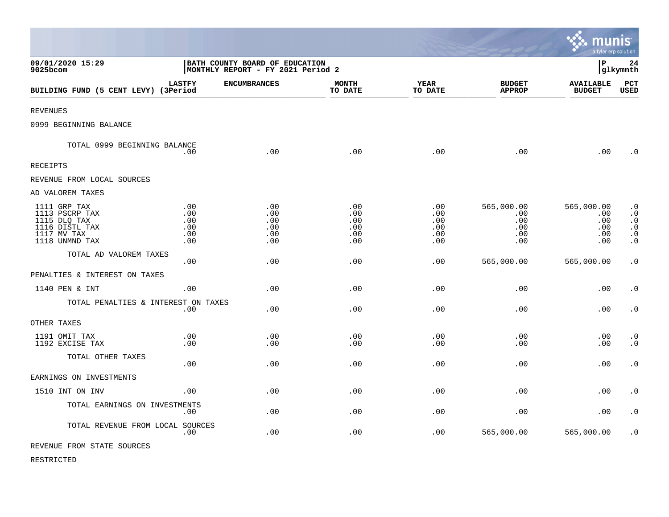|                                                                                                   |                                                                     |                                        |                                        |                                        |                                               | munis<br>a tyler erp solution                 |                                                                                         |
|---------------------------------------------------------------------------------------------------|---------------------------------------------------------------------|----------------------------------------|----------------------------------------|----------------------------------------|-----------------------------------------------|-----------------------------------------------|-----------------------------------------------------------------------------------------|
| 09/01/2020 15:29<br>9025bcom                                                                      | BATH COUNTY BOARD OF EDUCATION<br>MONTHLY REPORT - FY 2021 Period 2 |                                        |                                        |                                        |                                               | l P                                           | 24<br> glkymnth                                                                         |
| BUILDING FUND (5 CENT LEVY) (3Period                                                              | <b>LASTFY</b>                                                       | <b>ENCUMBRANCES</b>                    | <b>MONTH</b><br>TO DATE                | <b>YEAR</b><br>TO DATE                 | <b>BUDGET</b><br><b>APPROP</b>                | <b>AVAILABLE</b><br><b>BUDGET</b>             | PCT<br><b>USED</b>                                                                      |
| <b>REVENUES</b>                                                                                   |                                                                     |                                        |                                        |                                        |                                               |                                               |                                                                                         |
| 0999 BEGINNING BALANCE                                                                            |                                                                     |                                        |                                        |                                        |                                               |                                               |                                                                                         |
| TOTAL 0999 BEGINNING BALANCE                                                                      | .00                                                                 | .00                                    | .00                                    | .00                                    | .00                                           | .00                                           | $\cdot$ 0                                                                               |
| <b>RECEIPTS</b>                                                                                   |                                                                     |                                        |                                        |                                        |                                               |                                               |                                                                                         |
| REVENUE FROM LOCAL SOURCES                                                                        |                                                                     |                                        |                                        |                                        |                                               |                                               |                                                                                         |
| AD VALOREM TAXES                                                                                  |                                                                     |                                        |                                        |                                        |                                               |                                               |                                                                                         |
| 1111 GRP TAX<br>1113 PSCRP TAX<br>1115 DLQ TAX<br>1116 DISTL TAX<br>1117 MV TAX<br>1118 UNMND TAX | .00<br>.00<br>.00<br>.00<br>.00<br>.00                              | .00<br>.00<br>.00<br>.00<br>.00<br>.00 | .00<br>.00<br>.00<br>.00<br>.00<br>.00 | .00<br>.00<br>.00<br>.00<br>.00<br>.00 | 565,000.00<br>.00<br>.00<br>.00<br>.00<br>.00 | 565,000.00<br>.00<br>.00<br>.00<br>.00<br>.00 | $\cdot$ 0<br>$\cdot$ 0<br>$\cdot$ 0<br>$\boldsymbol{\cdot}$ 0<br>$\cdot$ 0<br>$\cdot$ 0 |
| TOTAL AD VALOREM TAXES                                                                            | .00                                                                 | .00                                    | .00                                    | .00                                    | 565,000.00                                    | 565,000.00                                    | $\cdot$ 0                                                                               |
| PENALTIES & INTEREST ON TAXES                                                                     |                                                                     |                                        |                                        |                                        |                                               |                                               |                                                                                         |
| 1140 PEN & INT                                                                                    | .00.                                                                | .00                                    | .00                                    | .00                                    | .00                                           | .00                                           | $\cdot$ 0                                                                               |
| TOTAL PENALTIES & INTEREST ON TAXES                                                               | .00                                                                 | .00                                    | .00                                    | .00                                    | .00                                           | .00                                           | $\cdot$ 0                                                                               |
| OTHER TAXES                                                                                       |                                                                     |                                        |                                        |                                        |                                               |                                               |                                                                                         |
| 1191 OMIT TAX<br>1192 EXCISE TAX                                                                  | .00<br>.00                                                          | .00<br>.00                             | .00<br>.00                             | .00<br>.00                             | .00<br>.00                                    | .00<br>.00                                    | $\cdot$ 0<br>$\cdot$ 0                                                                  |
| TOTAL OTHER TAXES                                                                                 | .00                                                                 | .00                                    | .00                                    | .00                                    | .00                                           | .00                                           | $\cdot$ 0                                                                               |
| EARNINGS ON INVESTMENTS                                                                           |                                                                     |                                        |                                        |                                        |                                               |                                               |                                                                                         |
| 1510 INT ON INV                                                                                   | .00                                                                 | .00                                    | .00                                    | .00                                    | .00                                           | .00                                           | $\cdot$ 0                                                                               |
| TOTAL EARNINGS ON INVESTMENTS                                                                     | .00                                                                 | .00                                    | .00                                    | .00                                    | .00                                           | .00                                           | $\cdot$ 0                                                                               |
| TOTAL REVENUE FROM LOCAL SOURCES                                                                  | .00                                                                 | .00                                    | .00                                    | .00                                    | 565,000.00                                    | 565,000.00                                    | $\cdot$ 0                                                                               |
| REVENUE FROM STATE SOURCES                                                                        |                                                                     |                                        |                                        |                                        |                                               |                                               |                                                                                         |

 $\bullet$ 

RESTRICTED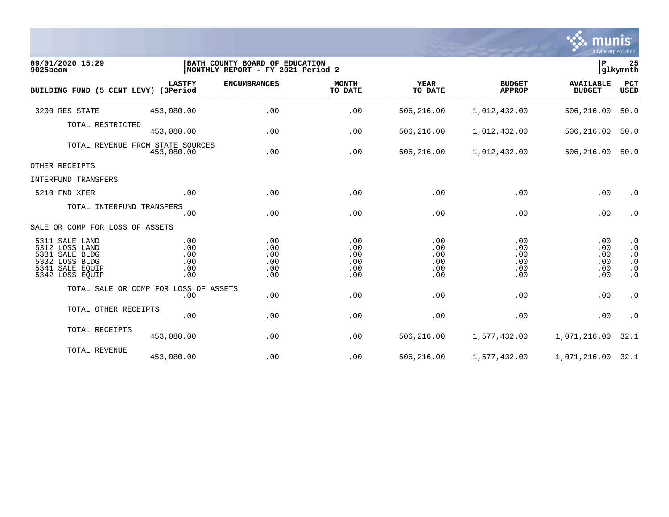

| 09/01/2020 15:29<br>9025bcom                                                                               | BATH COUNTY BOARD OF EDUCATION<br>MONTHLY REPORT - FY 2021 Period 2 |                                        |                                        |                                        |                                        | ∣P<br>glkymnth                         |                                                                            |  |
|------------------------------------------------------------------------------------------------------------|---------------------------------------------------------------------|----------------------------------------|----------------------------------------|----------------------------------------|----------------------------------------|----------------------------------------|----------------------------------------------------------------------------|--|
| BUILDING FUND (5 CENT LEVY) (3Period                                                                       | <b>LASTFY</b>                                                       | <b>ENCUMBRANCES</b>                    | <b>MONTH</b><br>TO DATE                | <b>YEAR</b><br>TO DATE                 | <b>BUDGET</b><br><b>APPROP</b>         | <b>AVAILABLE</b><br><b>BUDGET</b>      | PCT<br>USED                                                                |  |
| 3200 RES STATE                                                                                             | 453,080.00                                                          | .00                                    | .00                                    | 506,216.00                             | 1,012,432.00                           | 506,216.00                             | 50.0                                                                       |  |
| TOTAL RESTRICTED                                                                                           | 453,080.00                                                          | .00                                    | .00                                    | 506,216.00                             | 1,012,432.00                           | 506,216.00                             | 50.0                                                                       |  |
|                                                                                                            | TOTAL REVENUE FROM STATE SOURCES<br>453,080.00                      | .00                                    | .00                                    | 506,216.00                             | 1,012,432.00                           | 506,216.00                             | 50.0                                                                       |  |
| OTHER RECEIPTS                                                                                             |                                                                     |                                        |                                        |                                        |                                        |                                        |                                                                            |  |
| INTERFUND TRANSFERS                                                                                        |                                                                     |                                        |                                        |                                        |                                        |                                        |                                                                            |  |
| 5210 FND XFER                                                                                              | .00                                                                 | .00                                    | .00                                    | .00                                    | .00                                    | .00                                    | $\cdot$ 0                                                                  |  |
| TOTAL INTERFUND TRANSFERS                                                                                  | .00                                                                 | .00                                    | .00                                    | .00                                    | .00                                    | .00                                    | $\cdot$ 0                                                                  |  |
| SALE OR COMP FOR LOSS OF ASSETS                                                                            |                                                                     |                                        |                                        |                                        |                                        |                                        |                                                                            |  |
| 5311 SALE LAND<br>5312 LOSS LAND<br>5331 SALE BLDG<br>5332 LOSS BLDG<br>5341 SALE EQUIP<br>5342 LOSS EQUIP | .00<br>.00<br>.00<br>.00<br>.00<br>.00                              | .00<br>.00<br>.00<br>.00<br>.00<br>.00 | .00<br>.00<br>.00<br>.00<br>.00<br>.00 | .00<br>.00<br>.00<br>.00<br>.00<br>.00 | .00<br>.00<br>.00<br>.00<br>.00<br>.00 | .00<br>.00<br>.00<br>.00<br>.00<br>.00 | $\cdot$ 0<br>$\cdot$ 0<br>$\cdot$ 0<br>$\cdot$ 0<br>$\cdot$ 0<br>$\cdot$ 0 |  |
|                                                                                                            | TOTAL SALE OR COMP FOR LOSS OF ASSETS<br>.00                        | .00                                    | .00                                    | .00                                    | .00                                    | .00                                    | $\cdot$ 0                                                                  |  |
| TOTAL OTHER RECEIPTS                                                                                       | .00                                                                 | .00                                    | .00                                    | .00                                    | .00                                    | .00                                    | $\cdot$ 0                                                                  |  |
| TOTAL RECEIPTS                                                                                             | 453,080.00                                                          | .00                                    | .00                                    | 506,216.00                             | 1,577,432.00                           | 1,071,216.00                           | 32.1                                                                       |  |
| TOTAL REVENUE                                                                                              | 453,080.00                                                          | .00                                    | .00                                    | 506,216.00                             | 1,577,432.00                           | 1,071,216.00 32.1                      |                                                                            |  |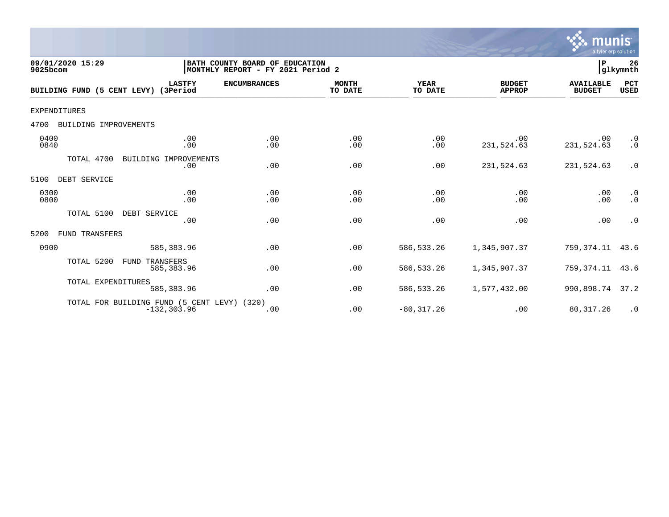

| 09/01/2020 15:29<br>9025bcom         |                                                               | BATH COUNTY BOARD OF EDUCATION<br> MONTHLY REPORT - FY 2021 Period 2 |                         |                        |                                | ∣₽                                | 26<br>glkymnth            |
|--------------------------------------|---------------------------------------------------------------|----------------------------------------------------------------------|-------------------------|------------------------|--------------------------------|-----------------------------------|---------------------------|
| BUILDING FUND (5 CENT LEVY) (3Period | <b>LASTFY</b>                                                 | <b>ENCUMBRANCES</b>                                                  | <b>MONTH</b><br>TO DATE | <b>YEAR</b><br>TO DATE | <b>BUDGET</b><br><b>APPROP</b> | <b>AVAILABLE</b><br><b>BUDGET</b> | <b>PCT</b><br><b>USED</b> |
| EXPENDITURES                         |                                                               |                                                                      |                         |                        |                                |                                   |                           |
| 4700<br>BUILDING IMPROVEMENTS        |                                                               |                                                                      |                         |                        |                                |                                   |                           |
| 0400<br>0840                         | .00<br>.00                                                    | .00<br>.00                                                           | .00<br>.00              | .00<br>.00             | .00<br>231,524.63              | .00<br>231,524.63                 | $\cdot$ 0<br>$\cdot$ 0    |
| TOTAL 4700                           | BUILDING IMPROVEMENTS<br>.00                                  | .00                                                                  | .00                     | .00                    | 231,524.63                     | 231,524.63                        | $\cdot$ 0                 |
| DEBT SERVICE<br>5100                 |                                                               |                                                                      |                         |                        |                                |                                   |                           |
| 0300<br>0800                         | .00<br>.00                                                    | .00<br>.00                                                           | .00<br>.00              | .00<br>.00             | .00<br>.00                     | .00<br>.00                        | $\cdot$ 0<br>$\cdot$ 0    |
| TOTAL 5100                           | DEBT SERVICE<br>.00                                           | .00                                                                  | .00                     | .00                    | .00                            | .00                               | $\cdot$ 0                 |
| 5200<br><b>FUND TRANSFERS</b>        |                                                               |                                                                      |                         |                        |                                |                                   |                           |
| 0900                                 | 585, 383.96                                                   | .00                                                                  | .00                     | 586, 533.26            | 1,345,907.37                   | 759, 374. 11 43. 6                |                           |
| TOTAL 5200                           | TRANSFERS<br>FUND<br>585,383.96                               | .00                                                                  | .00                     | 586,533.26             | 1,345,907.37                   | 759,374.11                        | 43.6                      |
| TOTAL EXPENDITURES                   | 585, 383.96                                                   | .00                                                                  | .00                     | 586, 533.26            | 1,577,432.00                   | 990,898.74 37.2                   |                           |
|                                      | TOTAL FOR BUILDING FUND (5 CENT LEVY) (320)<br>$-132, 303.96$ | .00                                                                  | .00                     | $-80, 317.26$          | .00                            | 80, 317.26                        | $\cdot$ 0                 |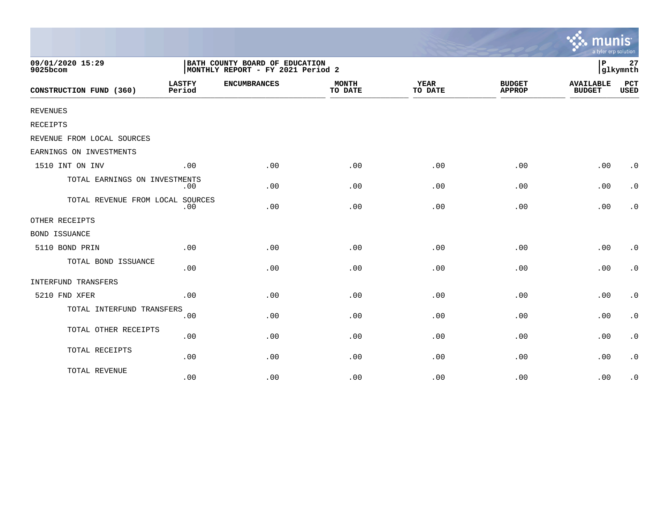|                                  |                                                                     |                     |                         |                        |                                | munis<br>a tyler erp solution     |                    |
|----------------------------------|---------------------------------------------------------------------|---------------------|-------------------------|------------------------|--------------------------------|-----------------------------------|--------------------|
| 09/01/2020 15:29<br>9025bcom     | BATH COUNTY BOARD OF EDUCATION<br>MONTHLY REPORT - FY 2021 Period 2 |                     |                         |                        |                                |                                   | 27<br>glkymnth     |
| CONSTRUCTION FUND (360)          | <b>LASTFY</b><br>Period                                             | <b>ENCUMBRANCES</b> | <b>MONTH</b><br>TO DATE | <b>YEAR</b><br>TO DATE | <b>BUDGET</b><br><b>APPROP</b> | <b>AVAILABLE</b><br><b>BUDGET</b> | PCT<br><b>USED</b> |
| <b>REVENUES</b>                  |                                                                     |                     |                         |                        |                                |                                   |                    |
| RECEIPTS                         |                                                                     |                     |                         |                        |                                |                                   |                    |
| REVENUE FROM LOCAL SOURCES       |                                                                     |                     |                         |                        |                                |                                   |                    |
| EARNINGS ON INVESTMENTS          |                                                                     |                     |                         |                        |                                |                                   |                    |
| 1510 INT ON INV                  | .00                                                                 | .00                 | .00                     | .00                    | .00                            | .00                               | $\cdot$ 0          |
| TOTAL EARNINGS ON INVESTMENTS    | .00                                                                 | .00                 | .00                     | .00                    | .00                            | .00                               | $\cdot$ 0          |
| TOTAL REVENUE FROM LOCAL SOURCES | .00                                                                 | .00                 | .00                     | .00                    | .00                            | .00                               | $\cdot$ 0          |
| OTHER RECEIPTS                   |                                                                     |                     |                         |                        |                                |                                   |                    |
| <b>BOND ISSUANCE</b>             |                                                                     |                     |                         |                        |                                |                                   |                    |
| 5110 BOND PRIN                   | .00                                                                 | .00                 | .00                     | .00                    | .00                            | .00                               | $\cdot$ 0          |
| TOTAL BOND ISSUANCE              | .00                                                                 | .00                 | .00                     | .00                    | .00                            | .00                               | $\cdot$ 0          |
| INTERFUND TRANSFERS              |                                                                     |                     |                         |                        |                                |                                   |                    |
| 5210 FND XFER                    | .00                                                                 | .00                 | .00                     | .00                    | .00                            | .00                               | $\cdot$ 0          |
| TOTAL INTERFUND TRANSFERS        | .00                                                                 | .00                 | .00                     | .00                    | .00                            | .00                               | $\cdot$ 0          |
| TOTAL OTHER RECEIPTS             | .00                                                                 | .00                 | .00                     | .00                    | .00                            | .00                               | $\cdot$ 0          |
| TOTAL RECEIPTS                   | .00                                                                 | .00                 | .00                     | .00                    | .00                            | .00                               | $\cdot$ 0          |
| TOTAL REVENUE                    | .00                                                                 | .00                 | .00                     | .00                    | .00                            | .00                               | $\cdot$ 0          |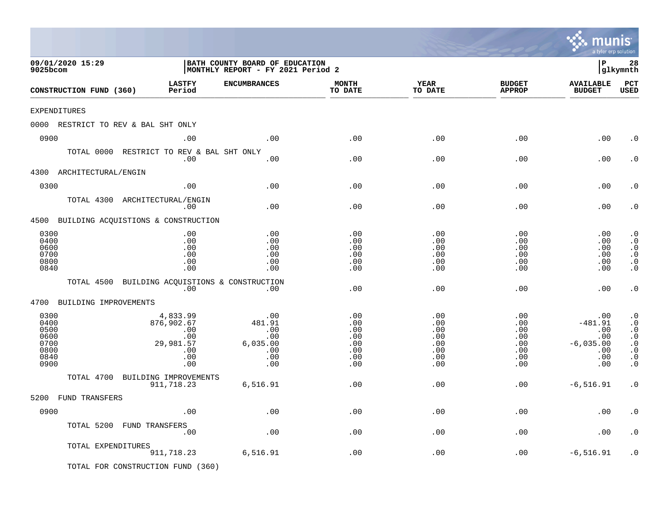|                                                              |                                                                             |                                                                     |                                                      |                                                      |                                                                                  | mu<br>a tyler erp solution                                         |                                                                                                      |
|--------------------------------------------------------------|-----------------------------------------------------------------------------|---------------------------------------------------------------------|------------------------------------------------------|------------------------------------------------------|----------------------------------------------------------------------------------|--------------------------------------------------------------------|------------------------------------------------------------------------------------------------------|
| 09/01/2020 15:29<br>9025bcom                                 |                                                                             | BATH COUNTY BOARD OF EDUCATION<br>MONTHLY REPORT - FY 2021 Period 2 |                                                      |                                                      |                                                                                  | l P                                                                | 28<br> glkymnth                                                                                      |
| CONSTRUCTION FUND (360)                                      | <b>LASTFY</b><br>Period                                                     | <b>ENCUMBRANCES</b>                                                 | <b>MONTH</b><br>TO DATE                              | <b>YEAR</b><br>TO DATE                               | <b>BUDGET</b><br><b>APPROP</b>                                                   | <b>AVAILABLE</b><br><b>BUDGET</b>                                  | PCT<br><b>USED</b>                                                                                   |
| EXPENDITURES                                                 |                                                                             |                                                                     |                                                      |                                                      |                                                                                  |                                                                    |                                                                                                      |
| 0000 RESTRICT TO REV & BAL SHT ONLY                          |                                                                             |                                                                     |                                                      |                                                      |                                                                                  |                                                                    |                                                                                                      |
| 0900                                                         | .00                                                                         | .00                                                                 | .00                                                  | .00                                                  | .00                                                                              | .00                                                                | . 0                                                                                                  |
| TOTAL 0000 RESTRICT TO REV & BAL SHT ONLY                    | .00                                                                         | .00                                                                 | .00                                                  | .00                                                  | .00                                                                              | .00                                                                | $\cdot$ 0                                                                                            |
| 4300 ARCHITECTURAL/ENGIN                                     |                                                                             |                                                                     |                                                      |                                                      |                                                                                  |                                                                    |                                                                                                      |
| 0300                                                         | .00                                                                         | .00                                                                 | .00                                                  | .00                                                  | .00                                                                              | .00                                                                | $\cdot$ 0                                                                                            |
| TOTAL 4300 ARCHITECTURAL/ENGIN                               | .00                                                                         | .00                                                                 | .00                                                  | .00                                                  | .00                                                                              | .00                                                                | $\cdot$ 0                                                                                            |
| 4500 BUILDING ACQUISTIONS & CONSTRUCTION                     |                                                                             |                                                                     |                                                      |                                                      |                                                                                  |                                                                    |                                                                                                      |
| 0300<br>0400<br>0600<br>0700<br>0800<br>0840                 | .00<br>.00<br>.00<br>.00<br>.00<br>.00                                      | .00<br>.00<br>.00<br>.00<br>.00<br>.00                              | .00<br>.00<br>.00<br>.00<br>.00<br>.00               | .00<br>.00<br>.00<br>.00<br>.00<br>.00               | .00<br>.00<br>.00<br>.00<br>$.00 \,$<br>.00                                      | .00<br>.00<br>.00<br>.00<br>.00<br>.00                             | $\cdot$ 0<br>$\cdot$ 0<br>$\cdot$ 0<br>$\cdot$ 0<br>$\cdot$ 0<br>$\cdot$ 0                           |
| TOTAL 4500 BUILDING ACQUISTIONS & CONSTRUCTION               | .00                                                                         | $.00 \,$                                                            | .00                                                  | .00                                                  | .00                                                                              | .00                                                                | $\cdot$ 0                                                                                            |
| 4700<br>BUILDING IMPROVEMENTS                                |                                                                             |                                                                     |                                                      |                                                      |                                                                                  |                                                                    |                                                                                                      |
| 0300<br>0400<br>0500<br>0600<br>0700<br>0800<br>0840<br>0900 | 4,833.99<br>876,902.67<br>$.00 \,$<br>.00<br>29,981.57<br>.00<br>.00<br>.00 | .00<br>481.91<br>.00<br>.00<br>6,035.00<br>.00<br>.00<br>.00        | .00<br>.00<br>.00<br>.00<br>.00<br>.00<br>.00<br>.00 | .00<br>.00<br>.00<br>.00<br>.00<br>.00<br>.00<br>.00 | .00<br>$.00 \,$<br>$.00 \,$<br>$.00 \,$<br>.00<br>$.00 \ \rm$<br>$.00 \,$<br>.00 | .00<br>$-481.91$<br>.00<br>.00<br>$-6,035.00$<br>.00<br>.00<br>.00 | $\cdot$ 0<br>$\cdot$ 0<br>$\cdot$ 0<br>$\cdot$ 0<br>$\cdot$ 0<br>$\cdot$ 0<br>$\cdot$ 0<br>$\cdot$ 0 |
| TOTAL 4700 BUILDING IMPROVEMENTS                             |                                                                             |                                                                     |                                                      |                                                      |                                                                                  |                                                                    |                                                                                                      |
|                                                              | 911,718.23                                                                  | 6,516.91                                                            | .00                                                  | .00                                                  | $.00 \,$                                                                         | $-6,516.91$                                                        | $\cdot$ 0                                                                                            |
| 5200 FUND TRANSFERS                                          |                                                                             |                                                                     |                                                      |                                                      |                                                                                  |                                                                    |                                                                                                      |
| 0900                                                         | .00                                                                         | .00                                                                 | .00                                                  | .00                                                  | .00                                                                              | .00                                                                | . $\boldsymbol{0}$                                                                                   |
| TOTAL 5200 FUND TRANSFERS                                    | .00                                                                         | .00                                                                 | .00                                                  | .00                                                  | .00                                                                              | .00                                                                | $\cdot$ 0                                                                                            |
| TOTAL EXPENDITURES                                           | 911,718.23                                                                  | 6,516.91                                                            | .00                                                  | .00                                                  | .00                                                                              | $-6,516.91$                                                        | $\cdot$ 0                                                                                            |
| TOTAL FOR CONSTRUCTION FUND (360)                            |                                                                             |                                                                     |                                                      |                                                      |                                                                                  |                                                                    |                                                                                                      |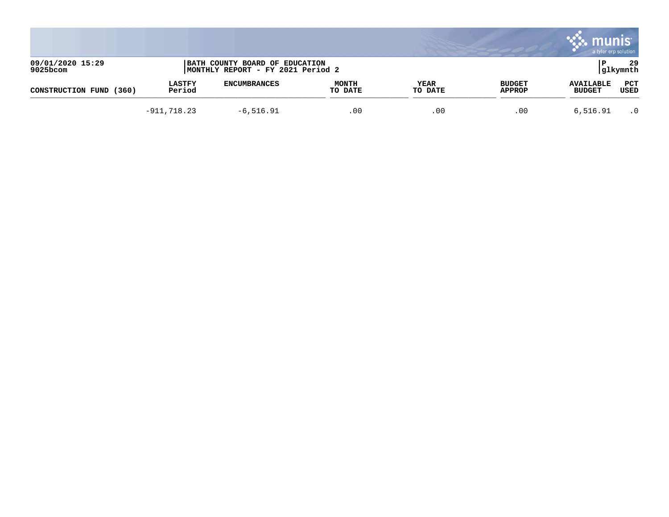|                                 |                         |                                                                     |                         |                        |                                | mul<br>a tyler erp solution       |                 |
|---------------------------------|-------------------------|---------------------------------------------------------------------|-------------------------|------------------------|--------------------------------|-----------------------------------|-----------------|
| 09/01/2020 15:29<br>$9025$ bcom |                         | BATH COUNTY BOARD OF EDUCATION<br>MONTHLY REPORT - FY 2021 Period 2 |                         |                        |                                |                                   | 29<br> glkymnth |
| CONSTRUCTION FUND<br>(360)      | <b>LASTFY</b><br>Period | <b>ENCUMBRANCES</b>                                                 | <b>MONTH</b><br>TO DATE | <b>YEAR</b><br>TO DATE | <b>BUDGET</b><br><b>APPROP</b> | <b>AVAILABLE</b><br><b>BUDGET</b> | PCT<br>USED     |
|                                 | $-911, 718.23$          | $-6,516.91$                                                         | .00                     | .00                    | .00                            | 6,516.91                          | $\cdot$ 0       |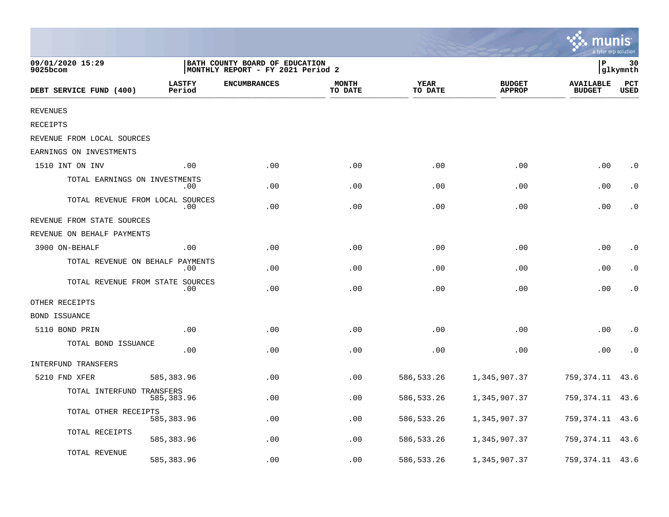|                                  |                         |                                                                     |                         |                        |                                | a tyler erp solution              |                             |
|----------------------------------|-------------------------|---------------------------------------------------------------------|-------------------------|------------------------|--------------------------------|-----------------------------------|-----------------------------|
| 09/01/2020 15:29<br>9025bcom     |                         | BATH COUNTY BOARD OF EDUCATION<br>MONTHLY REPORT - FY 2021 Period 2 |                         |                        |                                | ΙP                                | 30<br> glkymnth             |
| DEBT SERVICE FUND (400)          | <b>LASTFY</b><br>Period | <b>ENCUMBRANCES</b>                                                 | <b>MONTH</b><br>TO DATE | <b>YEAR</b><br>TO DATE | <b>BUDGET</b><br><b>APPROP</b> | <b>AVAILABLE</b><br><b>BUDGET</b> | $_{\rm PCT}$<br><b>USED</b> |
| <b>REVENUES</b>                  |                         |                                                                     |                         |                        |                                |                                   |                             |
| RECEIPTS                         |                         |                                                                     |                         |                        |                                |                                   |                             |
| REVENUE FROM LOCAL SOURCES       |                         |                                                                     |                         |                        |                                |                                   |                             |
| EARNINGS ON INVESTMENTS          |                         |                                                                     |                         |                        |                                |                                   |                             |
| 1510 INT ON INV                  | .00                     | .00                                                                 | .00                     | .00                    | .00                            | .00                               | $\cdot$ 0                   |
| TOTAL EARNINGS ON INVESTMENTS    | .00                     | .00                                                                 | .00                     | .00                    | .00                            | .00                               | $\cdot$ 0                   |
| TOTAL REVENUE FROM LOCAL SOURCES | .00                     | .00                                                                 | .00                     | .00                    | .00                            | .00                               | $\cdot$ 0                   |
| REVENUE FROM STATE SOURCES       |                         |                                                                     |                         |                        |                                |                                   |                             |
| REVENUE ON BEHALF PAYMENTS       |                         |                                                                     |                         |                        |                                |                                   |                             |
| 3900 ON-BEHALF                   | .00                     | .00                                                                 | .00                     | .00                    | .00                            | .00                               | $\cdot$ 0                   |
| TOTAL REVENUE ON BEHALF          | PAYMENTS<br>.00         | .00                                                                 | .00                     | .00                    | .00                            | .00                               | $\cdot$ 0                   |
| TOTAL REVENUE FROM STATE SOURCES | .00.                    | .00                                                                 | .00                     | .00                    | .00                            | .00                               | $\cdot$ 0                   |
| OTHER RECEIPTS                   |                         |                                                                     |                         |                        |                                |                                   |                             |
| <b>BOND ISSUANCE</b>             |                         |                                                                     |                         |                        |                                |                                   |                             |
| 5110 BOND PRIN                   | .00                     | .00                                                                 | .00                     | .00                    | .00                            | .00                               | $\cdot$ 0                   |
| TOTAL BOND ISSUANCE              | .00                     | .00                                                                 | .00                     | .00                    | .00                            | .00                               | $\cdot$ 0                   |
| INTERFUND TRANSFERS              |                         |                                                                     |                         |                        |                                |                                   |                             |
| 5210 FND XFER                    | 585,383.96              | .00                                                                 | .00                     | 586, 533.26            | 1,345,907.37                   | 759,374.11                        | 43.6                        |
| TOTAL INTERFUND TRANSFERS        | 585,383.96              | .00                                                                 | .00                     | 586, 533.26            | 1,345,907.37                   | 759,374.11                        | 43.6                        |
| TOTAL OTHER RECEIPTS             | 585,383.96              | .00                                                                 | .00                     | 586, 533.26            | 1,345,907.37                   | 759,374.11                        | 43.6                        |
| TOTAL RECEIPTS                   | 585,383.96              | .00                                                                 | .00                     | 586, 533.26            | 1,345,907.37                   | 759,374.11                        | 43.6                        |
| TOTAL REVENUE                    | 585,383.96              | .00                                                                 | .00                     | 586, 533.26            | 1,345,907.37                   | 759, 374. 11 43. 6                |                             |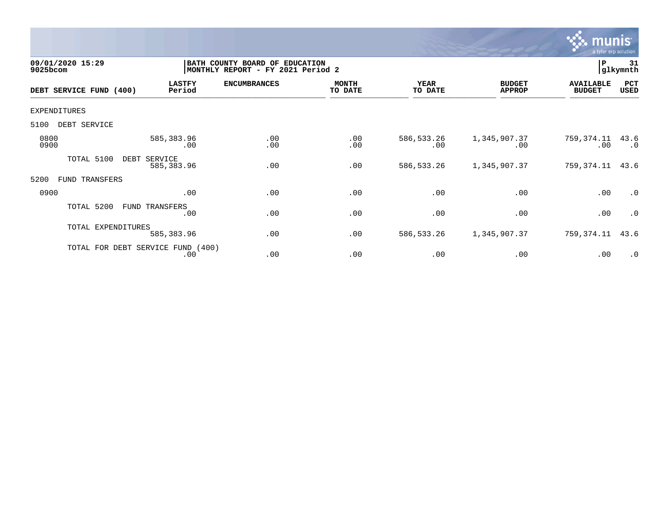

| 09/01/2020 15:29<br>9025bcom |                                          | BATH COUNTY BOARD OF<br><b>EDUCATION</b><br>MONTHLY REPORT - FY 2021 Period 2 |                         |                        |                                |                                   | 31<br> glkymnth   |
|------------------------------|------------------------------------------|-------------------------------------------------------------------------------|-------------------------|------------------------|--------------------------------|-----------------------------------|-------------------|
| DEBT SERVICE FUND (400)      | <b>LASTFY</b><br>Period                  | <b>ENCUMBRANCES</b>                                                           | <b>MONTH</b><br>TO DATE | <b>YEAR</b><br>TO DATE | <b>BUDGET</b><br><b>APPROP</b> | <b>AVAILABLE</b><br><b>BUDGET</b> | PCT<br>USED       |
| <b>EXPENDITURES</b>          |                                          |                                                                               |                         |                        |                                |                                   |                   |
| DEBT SERVICE<br>5100         |                                          |                                                                               |                         |                        |                                |                                   |                   |
| 0800<br>0900                 | 585,383.96<br>.00                        | .00<br>.00                                                                    | .00<br>.00              | 586, 533.26<br>.00     | 1,345,907.37<br>.00            | 759,374.11<br>.00                 | 43.6<br>$\cdot$ 0 |
| TOTAL 5100                   | DEBT<br>SERVICE<br>585,383.96            | .00                                                                           | .00                     | 586, 533.26            | 1,345,907.37                   | 759,374.11                        | 43.6              |
| 5200<br>TRANSFERS<br>FUND    |                                          |                                                                               |                         |                        |                                |                                   |                   |
| 0900                         | .00                                      | .00                                                                           | .00                     | .00                    | .00                            | .00                               | $\cdot$ 0         |
| TOTAL 5200                   | FUND TRANSFERS<br>.00                    | .00                                                                           | .00                     | .00                    | .00                            | .00                               | $\cdot$ 0         |
| TOTAL EXPENDITURES           | 585,383.96                               | .00                                                                           | .00                     | 586, 533.26            | 1,345,907.37                   | 759,374.11                        | 43.6              |
|                              | TOTAL FOR DEBT SERVICE FUND (400)<br>.00 | .00                                                                           | .00                     | .00                    | .00                            | .00                               | $\cdot$ 0         |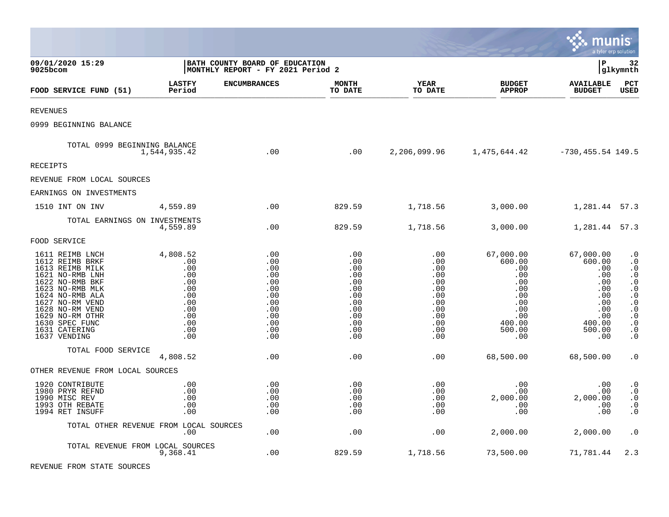|                                                                                                                                                                                                                                               |                                                                                              |                                                                                         |                                                                                         |                                                                                         |                                                                                                                  | munis                                                                                                  | a tyler erp solution                                                                                                                                                                                   |
|-----------------------------------------------------------------------------------------------------------------------------------------------------------------------------------------------------------------------------------------------|----------------------------------------------------------------------------------------------|-----------------------------------------------------------------------------------------|-----------------------------------------------------------------------------------------|-----------------------------------------------------------------------------------------|------------------------------------------------------------------------------------------------------------------|--------------------------------------------------------------------------------------------------------|--------------------------------------------------------------------------------------------------------------------------------------------------------------------------------------------------------|
| 09/01/2020 15:29<br>9025bcom                                                                                                                                                                                                                  | BATH COUNTY BOARD OF EDUCATION<br>MONTHLY REPORT - FY 2021 Period 2                          | lР                                                                                      | 32<br> glkymnth                                                                         |                                                                                         |                                                                                                                  |                                                                                                        |                                                                                                                                                                                                        |
| FOOD SERVICE FUND (51)                                                                                                                                                                                                                        | <b>LASTFY</b><br>Period                                                                      | <b>ENCUMBRANCES</b>                                                                     | <b>MONTH</b><br>TO DATE                                                                 | <b>YEAR</b><br>TO DATE                                                                  | <b>BUDGET</b><br><b>APPROP</b>                                                                                   | <b>AVAILABLE</b><br><b>BUDGET</b>                                                                      | PCT<br><b>USED</b>                                                                                                                                                                                     |
| <b>REVENUES</b>                                                                                                                                                                                                                               |                                                                                              |                                                                                         |                                                                                         |                                                                                         |                                                                                                                  |                                                                                                        |                                                                                                                                                                                                        |
| 0999 BEGINNING BALANCE                                                                                                                                                                                                                        |                                                                                              |                                                                                         |                                                                                         |                                                                                         |                                                                                                                  |                                                                                                        |                                                                                                                                                                                                        |
| TOTAL 0999 BEGINNING BALANCE                                                                                                                                                                                                                  | 1,544,935.42                                                                                 | .00                                                                                     | .00                                                                                     |                                                                                         | 2,206,099.96   1,475,644.42 $-730,455.54$ 149.5                                                                  |                                                                                                        |                                                                                                                                                                                                        |
| RECEIPTS                                                                                                                                                                                                                                      |                                                                                              |                                                                                         |                                                                                         |                                                                                         |                                                                                                                  |                                                                                                        |                                                                                                                                                                                                        |
| REVENUE FROM LOCAL SOURCES                                                                                                                                                                                                                    |                                                                                              |                                                                                         |                                                                                         |                                                                                         |                                                                                                                  |                                                                                                        |                                                                                                                                                                                                        |
| EARNINGS ON INVESTMENTS                                                                                                                                                                                                                       |                                                                                              |                                                                                         |                                                                                         |                                                                                         |                                                                                                                  |                                                                                                        |                                                                                                                                                                                                        |
| 1510 INT ON INV                                                                                                                                                                                                                               | 4,559.89                                                                                     | .00                                                                                     | 829.59                                                                                  | 1,718.56                                                                                | 3,000.00                                                                                                         | 1,281.44 57.3                                                                                          |                                                                                                                                                                                                        |
| TOTAL EARNINGS ON INVESTMENTS                                                                                                                                                                                                                 | 4,559.89                                                                                     | .00                                                                                     | 829.59                                                                                  | 1,718.56                                                                                | 3,000.00                                                                                                         | 1,281.44 57.3                                                                                          |                                                                                                                                                                                                        |
| FOOD SERVICE                                                                                                                                                                                                                                  |                                                                                              |                                                                                         |                                                                                         |                                                                                         |                                                                                                                  |                                                                                                        |                                                                                                                                                                                                        |
| 1611 REIMB LNCH<br>1612 REIMB BRKF<br>1613 REIMB MILK<br>1621 NO-RMB LNH<br>1622 NO-RMB BKF<br>1623 NO-RMB MLK<br>1624 NO-RMB ALA<br>1627 NO-RM VEND<br>1628 NO-RM VEND<br>1629 NO-RM OTHR<br>1630 SPEC FUNC<br>1631 CATERING<br>1637 VENDING | 4,808.52<br>.00<br>.00<br>.00<br>.00<br>.00<br>.00<br>.00<br>.00<br>.00<br>.00<br>.00<br>.00 | .00<br>.00<br>.00<br>.00<br>.00<br>.00<br>.00<br>.00<br>.00<br>.00<br>.00<br>.00<br>.00 | .00<br>.00<br>.00<br>.00<br>.00<br>.00<br>.00<br>.00<br>.00<br>.00<br>.00<br>.00<br>.00 | .00<br>.00<br>.00<br>.00<br>.00<br>.00<br>.00<br>.00<br>.00<br>.00<br>.00<br>.00<br>.00 | 67,000.00<br>600.00<br>.00<br>$.00 \,$<br>.00<br>$.00 \,$<br>.00<br>.00<br>.00<br>.00<br>400.00<br>500.00<br>.00 | 67,000.00<br>600.00<br>.00<br>.00<br>.00<br>.00<br>.00<br>.00<br>.00<br>.00<br>400.00<br>500.00<br>.00 | $\boldsymbol{\cdot}$ 0<br>$\cdot$ 0<br>$\cdot$ 0<br>$\cdot$ 0<br>. $\boldsymbol{0}$<br>$\ddot{0}$<br>. $\boldsymbol{0}$<br>$\cdot$ 0<br>$\cdot$ 0<br>$\cdot$ 0<br>$\ddot{0}$<br>$\cdot$ 0<br>$\cdot$ 0 |
| TOTAL FOOD SERVICE                                                                                                                                                                                                                            | 4,808.52                                                                                     | .00                                                                                     | .00                                                                                     | .00                                                                                     | 68,500.00                                                                                                        | 68,500.00                                                                                              | $\cdot$ 0                                                                                                                                                                                              |
| OTHER REVENUE FROM LOCAL SOURCES                                                                                                                                                                                                              |                                                                                              |                                                                                         |                                                                                         |                                                                                         |                                                                                                                  |                                                                                                        |                                                                                                                                                                                                        |
| 1920 CONTRIBUTE<br>1980 PRYR REFND<br>1990 MISC REV<br>1993 OTH REBATE<br>1994 RET INSUFF                                                                                                                                                     | .00<br>.00<br>.00<br>.00<br>.00                                                              | .00<br>.00<br>.00<br>.00<br>.00                                                         | .00<br>.00<br>.00<br>.00<br>.00                                                         | .00<br>.00<br>.00<br>.00<br>.00                                                         | $.00 \,$<br>$.00 \,$<br>2,000.00<br>.00<br>.00                                                                   | .00<br>.00<br>2,000.00<br>.00<br>.00                                                                   | $\cdot$ 0<br>$\ddot{0}$<br>$\cdot$ 0<br>$\cdot$ 0<br>$\cdot$ 0                                                                                                                                         |
| TOTAL OTHER REVENUE FROM LOCAL SOURCES                                                                                                                                                                                                        | $.00 \,$                                                                                     | .00                                                                                     | .00                                                                                     | .00                                                                                     | 2,000.00                                                                                                         | 2,000.00                                                                                               | $\cdot$ 0                                                                                                                                                                                              |
| TOTAL REVENUE FROM LOCAL SOURCES                                                                                                                                                                                                              | 9,368.41                                                                                     | .00                                                                                     | 829.59                                                                                  | 1,718.56                                                                                | 73,500.00                                                                                                        | 71,781.44                                                                                              | 2.3                                                                                                                                                                                                    |

**Contract Contract Contract** 

REVENUE FROM STATE SOURCES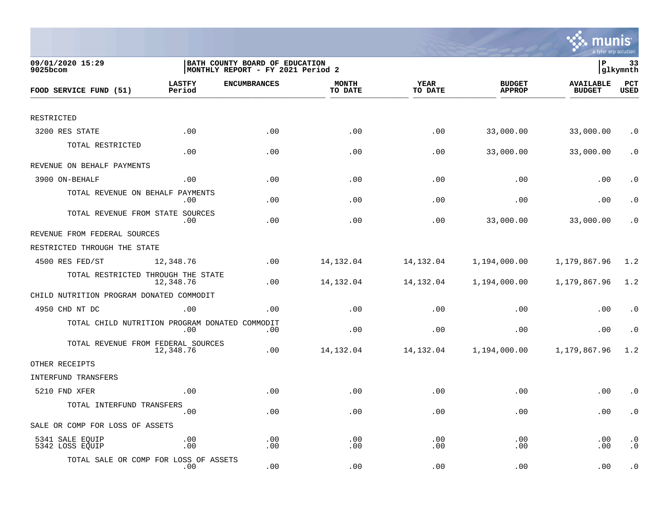

| 09/01/2020 15:29<br>9025bcom                   |                         | BATH COUNTY BOARD OF EDUCATION<br>MONTHLY REPORT - FY 2021 Period 2 |                         |                        |                                |                                   | 33<br> glkymnth        |
|------------------------------------------------|-------------------------|---------------------------------------------------------------------|-------------------------|------------------------|--------------------------------|-----------------------------------|------------------------|
| FOOD SERVICE FUND (51)                         | <b>LASTFY</b><br>Period | <b>ENCUMBRANCES</b>                                                 | <b>MONTH</b><br>TO DATE | <b>YEAR</b><br>TO DATE | <b>BUDGET</b><br><b>APPROP</b> | <b>AVAILABLE</b><br><b>BUDGET</b> | PCT<br><b>USED</b>     |
|                                                |                         |                                                                     |                         |                        |                                |                                   |                        |
| RESTRICTED                                     |                         |                                                                     |                         |                        |                                |                                   |                        |
| 3200 RES STATE                                 | .00                     | .00                                                                 | .00                     | .00                    | 33,000.00                      | 33,000.00                         | $\cdot$ 0              |
| TOTAL RESTRICTED                               | .00                     | .00                                                                 | .00                     | .00                    | 33,000.00                      | 33,000.00                         | $\cdot$ 0              |
| REVENUE ON BEHALF PAYMENTS                     |                         |                                                                     |                         |                        |                                |                                   |                        |
| 3900 ON-BEHALF                                 | .00                     | .00                                                                 | .00                     | .00                    | .00                            | .00                               | $\cdot$ 0              |
| TOTAL REVENUE ON BEHALF                        | PAYMENTS<br>.00         | .00                                                                 | .00                     | .00                    | .00                            | .00                               | $\cdot$ 0              |
| TOTAL REVENUE FROM STATE SOURCES               | .00                     | .00                                                                 | .00                     | .00                    | 33,000.00                      | 33,000.00                         | . 0                    |
| REVENUE FROM FEDERAL SOURCES                   |                         |                                                                     |                         |                        |                                |                                   |                        |
| RESTRICTED THROUGH THE STATE                   |                         |                                                                     |                         |                        |                                |                                   |                        |
| 4500 RES FED/ST                                | 12,348.76               | .00                                                                 | 14, 132.04              | 14,132.04              | 1,194,000.00                   | 1,179,867.96                      | 1.2                    |
| TOTAL RESTRICTED THROUGH THE STATE             | 12,348.76               | .00                                                                 | 14, 132.04              | 14, 132.04             | 1,194,000.00                   | 1,179,867.96                      | 1.2                    |
| CHILD NUTRITION PROGRAM DONATED COMMODIT       |                         |                                                                     |                         |                        |                                |                                   |                        |
| 4950 CHD NT DC                                 | .00                     | .00                                                                 | .00                     | .00                    | .00                            | .00                               | $\cdot$ 0              |
| TOTAL CHILD NUTRITION PROGRAM DONATED COMMODIT | .00                     | .00                                                                 | .00                     | .00                    | .00                            | .00                               | $\cdot$ 0              |
| TOTAL REVENUE FROM FEDERAL SOURCES             | 12,348.76               | .00                                                                 | 14,132.04               | 14,132.04              | 1,194,000.00                   | 1,179,867.96                      | 1.2                    |
| OTHER RECEIPTS                                 |                         |                                                                     |                         |                        |                                |                                   |                        |
| INTERFUND TRANSFERS                            |                         |                                                                     |                         |                        |                                |                                   |                        |
| 5210 FND XFER                                  | .00                     | .00                                                                 | .00                     | .00                    | .00                            | .00                               | $\cdot$ 0              |
| TOTAL INTERFUND TRANSFERS                      | .00                     | .00                                                                 | .00                     | .00                    | .00                            | .00                               | $\cdot$ 0              |
| SALE OR COMP FOR LOSS OF ASSETS                |                         |                                                                     |                         |                        |                                |                                   |                        |
| 5341 SALE EQUIP<br>5342 LOSS EQUIP             | .00<br>.00              | .00<br>.00                                                          | .00<br>.00              | .00<br>.00             | .00<br>.00                     | .00<br>.00                        | $\cdot$ 0<br>$\cdot$ 0 |
| TOTAL SALE OR COMP FOR LOSS OF ASSETS          | .00                     | .00                                                                 | .00                     | .00                    | .00                            | .00                               | $\cdot$ 0              |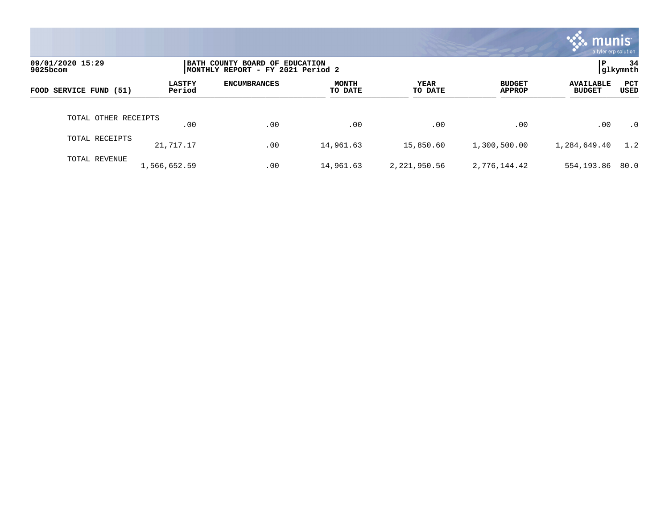|                              |                         |                                                                     |                         |                 |                                | munis<br>a tyler erp solution     |                    |
|------------------------------|-------------------------|---------------------------------------------------------------------|-------------------------|-----------------|--------------------------------|-----------------------------------|--------------------|
| 09/01/2020 15:29<br>9025bcom |                         | BATH COUNTY BOARD OF EDUCATION<br>MONTHLY REPORT - FY 2021 Period 2 |                         |                 |                                | P                                 | 34<br>glkymnth     |
| FOOD SERVICE FUND (51)       | <b>LASTFY</b><br>Period | <b>ENCUMBRANCES</b>                                                 | <b>MONTH</b><br>TO DATE | YEAR<br>TO DATE | <b>BUDGET</b><br><b>APPROP</b> | <b>AVAILABLE</b><br><b>BUDGET</b> | <b>PCT</b><br>USED |
| TOTAL OTHER RECEIPTS         | .00                     | .00                                                                 | .00                     | .00             | .00                            | .00                               | $\cdot$ 0          |
| TOTAL RECEIPTS               | 21,717.17               | .00                                                                 | 14,961.63               | 15,850.60       | 1,300,500.00                   | 1,284,649.40                      | 1.2                |
| TOTAL REVENUE                | 1,566,652.59            | .00                                                                 | 14,961.63               | 2,221,950.56    | 2,776,144.42                   | 554,193.86                        | 80.0               |

the contract of the contract of

a sa mga magaalang na mga magaalang ng mga magaalang ng mga magaalang ng magaalang ng magaalang ng magaalang n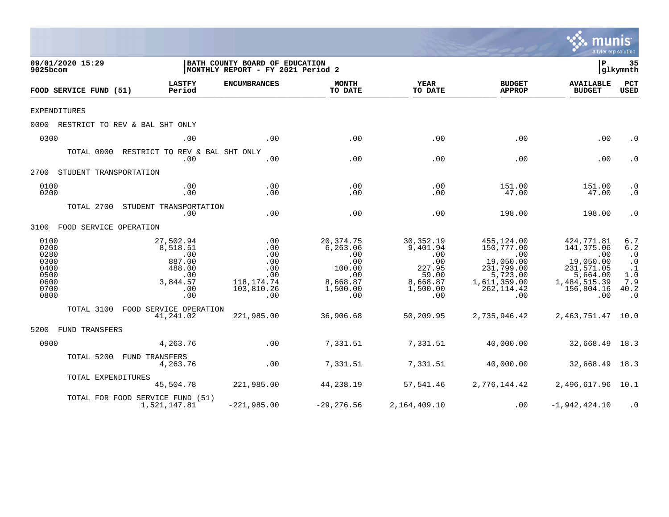|                                                                      |                                                                                                            |                                                                                                      |                                                                                      |                                                                                       |                                                                                                              | mu                                                                                                                | a tyler erp solution                                                                                    |
|----------------------------------------------------------------------|------------------------------------------------------------------------------------------------------------|------------------------------------------------------------------------------------------------------|--------------------------------------------------------------------------------------|---------------------------------------------------------------------------------------|--------------------------------------------------------------------------------------------------------------|-------------------------------------------------------------------------------------------------------------------|---------------------------------------------------------------------------------------------------------|
| 09/01/2020 15:29<br>9025bcom                                         |                                                                                                            | BATH COUNTY BOARD OF EDUCATION<br>MONTHLY REPORT - FY 2021 Period 2                                  |                                                                                      |                                                                                       |                                                                                                              | l P                                                                                                               | 35<br> glkymnth                                                                                         |
| FOOD SERVICE FUND (51)                                               | <b>LASTFY</b><br>Period                                                                                    | <b>ENCUMBRANCES</b>                                                                                  | <b>MONTH</b><br>TO DATE                                                              | YEAR<br>TO DATE                                                                       | <b>BUDGET</b><br><b>APPROP</b>                                                                               | <b>AVAILABLE</b><br><b>BUDGET</b>                                                                                 | PCT<br><b>USED</b>                                                                                      |
| <b>EXPENDITURES</b>                                                  |                                                                                                            |                                                                                                      |                                                                                      |                                                                                       |                                                                                                              |                                                                                                                   |                                                                                                         |
|                                                                      | 0000 RESTRICT TO REV & BAL SHT ONLY                                                                        |                                                                                                      |                                                                                      |                                                                                       |                                                                                                              |                                                                                                                   |                                                                                                         |
| 0300                                                                 | .00                                                                                                        | .00                                                                                                  | .00                                                                                  | .00                                                                                   | .00                                                                                                          | .00                                                                                                               | $\cdot$ 0                                                                                               |
|                                                                      | TOTAL 0000 RESTRICT TO REV & BAL SHT ONLY<br>.00                                                           | .00                                                                                                  | .00                                                                                  | .00                                                                                   | .00                                                                                                          | .00                                                                                                               | $\cdot$ 0                                                                                               |
| 2700 STUDENT TRANSPORTATION                                          |                                                                                                            |                                                                                                      |                                                                                      |                                                                                       |                                                                                                              |                                                                                                                   |                                                                                                         |
| 0100<br>0200                                                         | .00<br>.00                                                                                                 | .00<br>.00                                                                                           | .00<br>.00                                                                           | .00<br>.00                                                                            | 151.00<br>47.00                                                                                              | 151.00<br>47.00                                                                                                   | $\cdot$ 0<br>$\cdot$ 0                                                                                  |
|                                                                      | TOTAL 2700 STUDENT TRANSPORTATION<br>.00                                                                   | .00                                                                                                  | .00                                                                                  | .00                                                                                   | 198.00                                                                                                       | 198.00                                                                                                            | $\cdot$ 0                                                                                               |
| 3100 FOOD SERVICE OPERATION                                          |                                                                                                            |                                                                                                      |                                                                                      |                                                                                       |                                                                                                              |                                                                                                                   |                                                                                                         |
| 0100<br>0200<br>0280<br>0300<br>0400<br>0500<br>0600<br>0700<br>0800 | 27,502.94<br>8,518.51<br>$\overline{\phantom{0}}$ .00<br>887.00<br>488.00<br>.00<br>3,844.57<br>.00<br>.00 | $\overline{\phantom{0}}$ .00<br>.00<br>.00<br>.00<br>.00<br>.00<br>118, 174. 74<br>103,810.26<br>.00 | 20,374.75<br>6, 263.06<br>.00<br>.00<br>100.00<br>.00<br>8,668.87<br>1,500.00<br>.00 | 30,352.19<br>9,401.94<br>.00<br>.00<br>227.95<br>59.00<br>8,668.87<br>1,500.00<br>.00 | 455,124.00<br>150,777.00<br>.00<br>19,050.00<br>231,799.00<br>5,723.00<br>1,611,359.00<br>262, 114.42<br>.00 | 424,771.81<br>141,375.06<br>$\sim 00$<br>19,050.00<br>231,571.05<br>5,664.00<br>1,484,515.39<br>156,804.16<br>.00 | 6.7<br>6.2<br>$\cdot$ 0<br>$\begin{array}{c} .0 \\ .1 \end{array}$<br>$1.0$<br>7.9<br>40.2<br>$\cdot$ 0 |
|                                                                      | TOTAL 3100 FOOD SERVICE OPERATION<br>41,241.02                                                             | 221,985.00                                                                                           | 36,906.68                                                                            | 50,209.95                                                                             | 2,735,946.42                                                                                                 | 2,463,751.47 10.0                                                                                                 |                                                                                                         |
| 5200 FUND TRANSFERS                                                  |                                                                                                            |                                                                                                      |                                                                                      |                                                                                       |                                                                                                              |                                                                                                                   |                                                                                                         |
| 0900                                                                 | 4,263.76                                                                                                   | .00                                                                                                  | 7,331.51                                                                             | 7,331.51                                                                              | 40,000.00                                                                                                    | 32,668.49 18.3                                                                                                    |                                                                                                         |
|                                                                      | TOTAL 5200 FUND TRANSFERS<br>4,263.76                                                                      | .00                                                                                                  | 7,331.51                                                                             | 7,331.51                                                                              | 40,000.00                                                                                                    | 32,668.49 18.3                                                                                                    |                                                                                                         |
|                                                                      | TOTAL EXPENDITURES<br>45,504.78                                                                            | 221,985.00                                                                                           | 44,238.19                                                                            | 57,541.46                                                                             |                                                                                                              | 2,776,144.42 2,496,617.96 10.1                                                                                    |                                                                                                         |
|                                                                      | TOTAL FOR FOOD SERVICE FUND (51)<br>1,521,147.81                                                           | $-221,985.00$                                                                                        | $-29,276.56$                                                                         | 2,164,409.10                                                                          | .00                                                                                                          | $-1,942,424.10$                                                                                                   | $\cdot$ 0                                                                                               |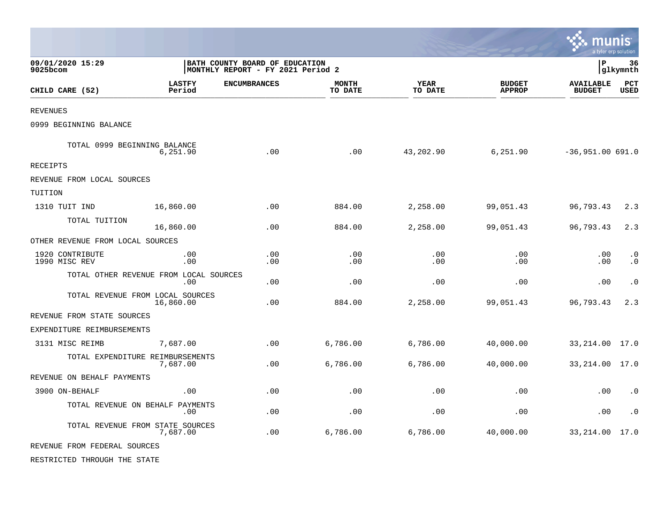|                                        |                         |                                                                     |                         |                        |                                | munis<br>a tyler erp solution     |                        |
|----------------------------------------|-------------------------|---------------------------------------------------------------------|-------------------------|------------------------|--------------------------------|-----------------------------------|------------------------|
| 09/01/2020 15:29<br>9025bcom           |                         | BATH COUNTY BOARD OF EDUCATION<br>MONTHLY REPORT - FY 2021 Period 2 |                         | İР                     | 36<br> glkymnth                |                                   |                        |
| CHILD CARE (52)                        | <b>LASTFY</b><br>Period | <b>ENCUMBRANCES</b>                                                 | <b>MONTH</b><br>TO DATE | <b>YEAR</b><br>TO DATE | <b>BUDGET</b><br><b>APPROP</b> | <b>AVAILABLE</b><br><b>BUDGET</b> | PCT<br><b>USED</b>     |
| <b>REVENUES</b>                        |                         |                                                                     |                         |                        |                                |                                   |                        |
| 0999 BEGINNING BALANCE                 |                         |                                                                     |                         |                        |                                |                                   |                        |
| TOTAL 0999 BEGINNING BALANCE           | 6,251.90                | .00                                                                 | .00                     | 43,202.90              | 6,251.90                       | $-36,951.00 691.0$                |                        |
| <b>RECEIPTS</b>                        |                         |                                                                     |                         |                        |                                |                                   |                        |
| REVENUE FROM LOCAL SOURCES             |                         |                                                                     |                         |                        |                                |                                   |                        |
| TUITION                                |                         |                                                                     |                         |                        |                                |                                   |                        |
| 1310 TUIT IND                          | 16,860.00               | .00                                                                 | 884.00                  | 2,258.00               | 99,051.43                      | 96,793.43                         | 2.3                    |
| TOTAL TUITION                          | 16,860.00               | .00                                                                 | 884.00                  | 2,258.00               | 99,051.43                      | 96,793.43                         | 2.3                    |
| OTHER REVENUE FROM LOCAL SOURCES       |                         |                                                                     |                         |                        |                                |                                   |                        |
| 1920 CONTRIBUTE<br>1990 MISC REV       | .00<br>.00              | .00<br>.00                                                          | .00<br>.00              | .00<br>.00             | .00<br>.00                     | .00<br>.00                        | $\cdot$ 0<br>$\cdot$ 0 |
| TOTAL OTHER REVENUE FROM LOCAL SOURCES | .00                     | .00                                                                 | .00                     | .00                    | .00                            | .00                               | $\cdot$ 0              |
| TOTAL REVENUE FROM LOCAL SOURCES       | 16,860.00               | .00                                                                 | 884.00                  | 2,258.00               | 99,051.43                      | 96,793.43                         | 2.3                    |
| REVENUE FROM STATE SOURCES             |                         |                                                                     |                         |                        |                                |                                   |                        |
| EXPENDITURE REIMBURSEMENTS             |                         |                                                                     |                         |                        |                                |                                   |                        |
| 3131 MISC REIMB                        | 7,687.00                | .00                                                                 | 6,786.00                | 6,786.00               | 40,000.00                      | 33,214.00                         | 17.0                   |
| TOTAL EXPENDITURE REIMBURSEMENTS       | 7,687.00                | .00                                                                 | 6,786.00                | 6,786.00               | 40,000.00                      | 33, 214.00 17.0                   |                        |
| REVENUE ON BEHALF PAYMENTS             |                         |                                                                     |                         |                        |                                |                                   |                        |
| 3900 ON-BEHALF                         | .00                     | .00                                                                 | .00                     | .00                    | .00                            | .00                               | $\cdot$ 0              |
| TOTAL REVENUE ON BEHALF PAYMENTS       | .00                     | .00                                                                 | .00                     | .00                    | .00                            | .00                               | $\cdot$ 0              |
| TOTAL REVENUE FROM STATE SOURCES       | 7,687.00                | .00                                                                 | 6,786.00                | 6,786.00               | 40,000.00                      | 33, 214.00                        | 17.0                   |
| REVENUE FROM FEDERAL SOURCES           |                         |                                                                     |                         |                        |                                |                                   |                        |

 $\mathcal{L}$ 

RESTRICTED THROUGH THE STATE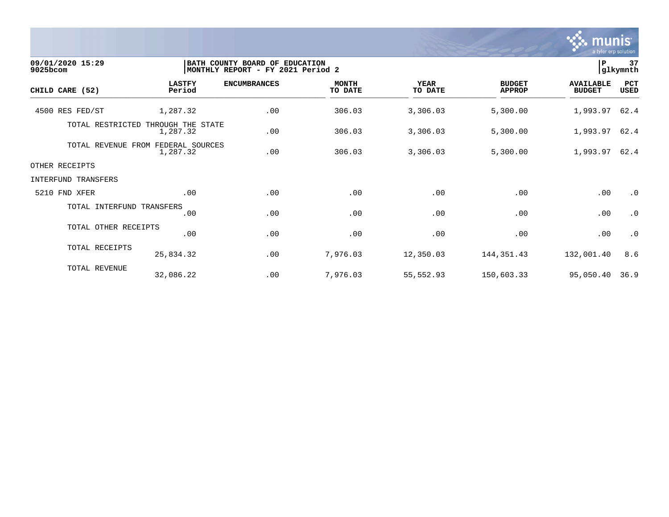

| 09/01/2020 15:29<br>$9025$ bcom |                                                | BATH COUNTY BOARD OF EDUCATION<br>MONTHLY REPORT - FY 2021 Period 2 |                     |                         |                        |                                | 37<br>$\, {\bf P}$<br>glkymnth    |             |
|---------------------------------|------------------------------------------------|---------------------------------------------------------------------|---------------------|-------------------------|------------------------|--------------------------------|-----------------------------------|-------------|
| CHILD CARE (52)                 | <b>LASTFY</b><br>Period                        |                                                                     | <b>ENCUMBRANCES</b> | <b>MONTH</b><br>TO DATE | <b>YEAR</b><br>TO DATE | <b>BUDGET</b><br><b>APPROP</b> | <b>AVAILABLE</b><br><b>BUDGET</b> | PCT<br>USED |
| 4500 RES FED/ST                 | 1,287.32                                       |                                                                     | .00                 | 306.03                  | 3,306.03               | 5,300.00                       | 1,993.97                          | 62.4        |
|                                 | TOTAL RESTRICTED THROUGH THE STATE<br>1,287.32 |                                                                     | .00                 | 306.03                  | 3,306.03               | 5,300.00                       | 1,993.97                          | 62.4        |
|                                 | TOTAL REVENUE FROM<br>1,287.32                 | FEDERAL SOURCES                                                     | .00                 | 306.03                  | 3,306.03               | 5,300.00                       | 1,993.97                          | 62.4        |
| OTHER RECEIPTS                  |                                                |                                                                     |                     |                         |                        |                                |                                   |             |
| INTERFUND TRANSFERS             |                                                |                                                                     |                     |                         |                        |                                |                                   |             |
| 5210 FND XFER                   |                                                | .00                                                                 | .00                 | .00                     | .00                    | .00                            | .00                               | $\cdot$ 0   |
|                                 | TOTAL INTERFUND TRANSFERS                      | .00                                                                 | .00                 | .00                     | .00                    | .00                            | .00                               | $\cdot$ 0   |
|                                 | TOTAL OTHER RECEIPTS                           | .00                                                                 | .00                 | .00                     | .00                    | .00                            | .00                               | $\cdot$ 0   |
|                                 | TOTAL RECEIPTS<br>25,834.32                    |                                                                     | .00                 | 7,976.03                | 12,350.03              | 144,351.43                     | 132,001.40                        | 8.6         |
|                                 | TOTAL REVENUE<br>32,086.22                     |                                                                     | .00                 | 7,976.03                | 55,552.93              | 150,603.33                     | 95,050.40                         | 36.9        |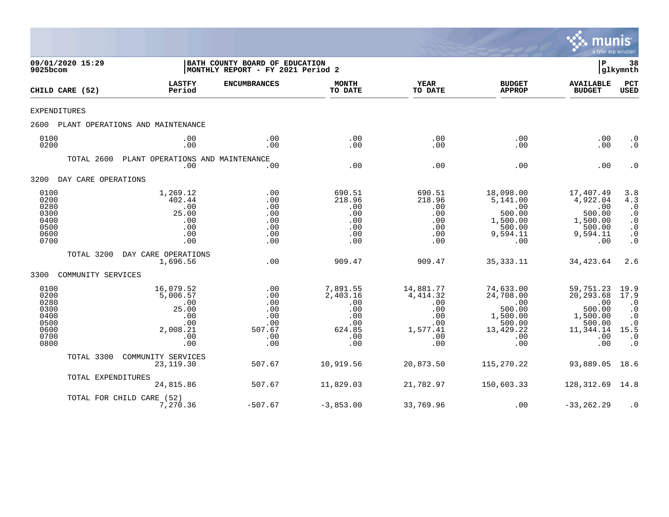

| 9025bcom                                                             | 09/01/2020 15:29    |                                                                               | BATH COUNTY BOARD OF EDUCATION<br>MONTHLY REPORT - FY 2021 Period 2 |                                                                          |                                                                             |                                                                                          | P                                                                                        | 38<br> glkymnth                                                                              |
|----------------------------------------------------------------------|---------------------|-------------------------------------------------------------------------------|---------------------------------------------------------------------|--------------------------------------------------------------------------|-----------------------------------------------------------------------------|------------------------------------------------------------------------------------------|------------------------------------------------------------------------------------------|----------------------------------------------------------------------------------------------|
|                                                                      | CHILD CARE (52)     | <b>LASTFY</b><br>Period                                                       | <b>ENCUMBRANCES</b>                                                 | <b>MONTH</b><br>TO DATE                                                  | <b>YEAR</b><br>TO DATE                                                      | <b>BUDGET</b><br><b>APPROP</b>                                                           | <b>AVAILABLE</b><br><b>BUDGET</b>                                                        | <b>PCT</b><br>USED                                                                           |
| <b>EXPENDITURES</b>                                                  |                     |                                                                               |                                                                     |                                                                          |                                                                             |                                                                                          |                                                                                          |                                                                                              |
| 2600                                                                 |                     | PLANT OPERATIONS AND MAINTENANCE                                              |                                                                     |                                                                          |                                                                             |                                                                                          |                                                                                          |                                                                                              |
| 0100<br>0200                                                         |                     | .00<br>.00                                                                    | .00<br>.00                                                          | .00<br>.00                                                               | .00<br>.00                                                                  | .00<br>.00                                                                               | .00<br>.00                                                                               | $\cdot$ 0<br>$\cdot$ 0                                                                       |
|                                                                      | TOTAL 2600          | PLANT OPERATIONS AND MAINTENANCE<br>.00                                       | .00                                                                 | .00                                                                      | .00                                                                         | .00                                                                                      | .00                                                                                      | $\cdot$ 0                                                                                    |
| 3200                                                                 | DAY CARE OPERATIONS |                                                                               |                                                                     |                                                                          |                                                                             |                                                                                          |                                                                                          |                                                                                              |
| 0100<br>0200<br>0280<br>0300<br>0400<br>0500<br>0600<br>0700         |                     | 1,269.12<br>402.44<br>.00<br>25.00<br>.00<br>.00<br>.00<br>.00                | .00<br>.00<br>.00<br>.00<br>.00<br>.00<br>.00<br>.00                | 690.51<br>218.96<br>.00<br>.00<br>.00<br>.00<br>.00<br>.00               | 690.51<br>218.96<br>.00<br>.00<br>.00<br>.00<br>.00<br>.00                  | 18,098.00<br>5,141.00<br>.00<br>500.00<br>1,500.00<br>500.00<br>9,594.11<br>.00          | 17,407.49<br>4,922.04<br>.00<br>500.00<br>1,500.00<br>500.00<br>9,594.11<br>.00          | 3.8<br>4.3<br>$\cdot$ 0<br>$\cdot$ 0<br>$\cdot$ 0<br>$\cdot$ 0<br>$\cdot$ 0<br>$\cdot$ 0     |
|                                                                      | TOTAL 3200          | DAY CARE OPERATIONS<br>1,696.56                                               | .00                                                                 | 909.47                                                                   | 909.47                                                                      | 35, 333. 11                                                                              | 34,423.64                                                                                | 2.6                                                                                          |
| 3300                                                                 | COMMUNITY SERVICES  |                                                                               |                                                                     |                                                                          |                                                                             |                                                                                          |                                                                                          |                                                                                              |
| 0100<br>0200<br>0280<br>0300<br>0400<br>0500<br>0600<br>0700<br>0800 |                     | 16,079.52<br>5,006.57<br>.00<br>25.00<br>.00<br>.00<br>2,008.21<br>.00<br>.00 | .00<br>.00<br>.00<br>.00<br>.00<br>.00<br>507.67<br>.00<br>.00      | 7,891.55<br>2,403.16<br>.00<br>.00<br>.00<br>.00<br>624.85<br>.00<br>.00 | 14,881.77<br>4,414.32<br>.00<br>.00<br>.00<br>.00<br>1,577.41<br>.00<br>.00 | 74,633.00<br>24,708.00<br>.00<br>500.00<br>1,500.00<br>500.00<br>13,429.22<br>.00<br>.00 | 59,751.23<br>20,293.68<br>.00<br>500.00<br>1,500.00<br>500.00<br>11,344.14<br>.00<br>.00 | 19.9<br>17.9<br>$\cdot$ 0<br>$\cdot$ 0<br>$\cdot$ 0<br>. 0<br>15.5<br>$\cdot$ 0<br>$\cdot$ 0 |
|                                                                      | TOTAL 3300          | COMMUNITY SERVICES<br>23, 119.30                                              | 507.67                                                              | 10,919.56                                                                | 20,873.50                                                                   | 115,270.22                                                                               | 93,889.05                                                                                | 18.6                                                                                         |
|                                                                      | TOTAL EXPENDITURES  | 24,815.86                                                                     | 507.67                                                              | 11,829.03                                                                | 21,782.97                                                                   | 150,603.33                                                                               | 128,312.69                                                                               | 14.8                                                                                         |
|                                                                      |                     | TOTAL FOR CHILD CARE (52)<br>7,270.36                                         | $-507.67$                                                           | $-3,853.00$                                                              | 33,769.96                                                                   | .00                                                                                      | $-33, 262.29$                                                                            | $\cdot$ 0                                                                                    |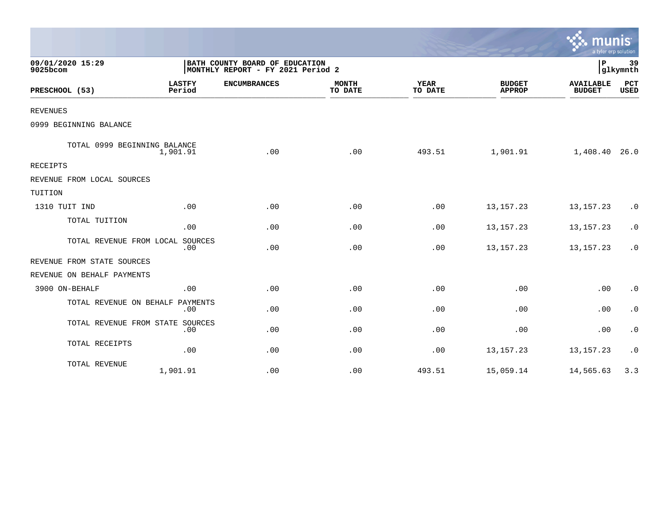|                                 |                         |                                                                     |                         |                        |                                | $\sim$ munis<br>a tyler erp solution |                    |
|---------------------------------|-------------------------|---------------------------------------------------------------------|-------------------------|------------------------|--------------------------------|--------------------------------------|--------------------|
| 09/01/2020 15:29<br>$9025$ bcom |                         | BATH COUNTY BOARD OF EDUCATION<br>MONTHLY REPORT - FY 2021 Period 2 |                         |                        |                                | P                                    | 39<br>glkymnth     |
| PRESCHOOL (53)                  | <b>LASTFY</b><br>Period | <b>ENCUMBRANCES</b>                                                 | <b>MONTH</b><br>TO DATE | <b>YEAR</b><br>TO DATE | <b>BUDGET</b><br><b>APPROP</b> | <b>AVAILABLE</b><br><b>BUDGET</b>    | PCT<br><b>USED</b> |
| <b>REVENUES</b>                 |                         |                                                                     |                         |                        |                                |                                      |                    |
| 0999 BEGINNING BALANCE          |                         |                                                                     |                         |                        |                                |                                      |                    |
| TOTAL 0999 BEGINNING BALANCE    | 1,901.91                | .00                                                                 | .00                     | 493.51                 | 1,901.91                       | 1,408.40                             | 26.0               |
| <b>RECEIPTS</b>                 |                         |                                                                     |                         |                        |                                |                                      |                    |
| REVENUE FROM LOCAL SOURCES      |                         |                                                                     |                         |                        |                                |                                      |                    |
| TUITION                         |                         |                                                                     |                         |                        |                                |                                      |                    |
| 1310 TUIT IND                   | .00                     | .00                                                                 | .00                     | .00                    | 13, 157. 23                    | 13, 157. 23                          | $\cdot$ 0          |
| TOTAL TUITION                   | .00                     | .00                                                                 | .00                     | .00                    | 13, 157. 23                    | 13, 157. 23                          | $\cdot$ 0          |
| TOTAL REVENUE FROM LOCAL        | SOURCES<br>.00          | .00                                                                 | .00                     | .00                    | 13, 157. 23                    | 13, 157. 23                          | $\cdot$ 0          |
| REVENUE FROM STATE SOURCES      |                         |                                                                     |                         |                        |                                |                                      |                    |
| REVENUE ON BEHALF PAYMENTS      |                         |                                                                     |                         |                        |                                |                                      |                    |
| 3900 ON-BEHALF                  | .00                     | .00                                                                 | .00                     | .00                    | .00                            | .00                                  | $\cdot$ 0          |
| TOTAL REVENUE ON BEHALF         | PAYMENTS<br>.00         | .00                                                                 | .00                     | .00                    | .00                            | .00                                  | $\cdot$ 0          |
| TOTAL REVENUE FROM STATE        | SOURCES<br>.00          | .00                                                                 | .00                     | .00                    | .00                            | .00                                  | $\cdot$ 0          |
| TOTAL RECEIPTS                  | .00                     | .00                                                                 | .00                     | .00                    | 13, 157. 23                    | 13, 157. 23                          | $\cdot$ 0          |
| TOTAL REVENUE                   | 1,901.91                | .00                                                                 | .00                     | 493.51                 | 15,059.14                      | 14,565.63                            | 3.3                |

 $\sim$   $\sim$   $\sim$   $\sim$   $\sim$   $\sim$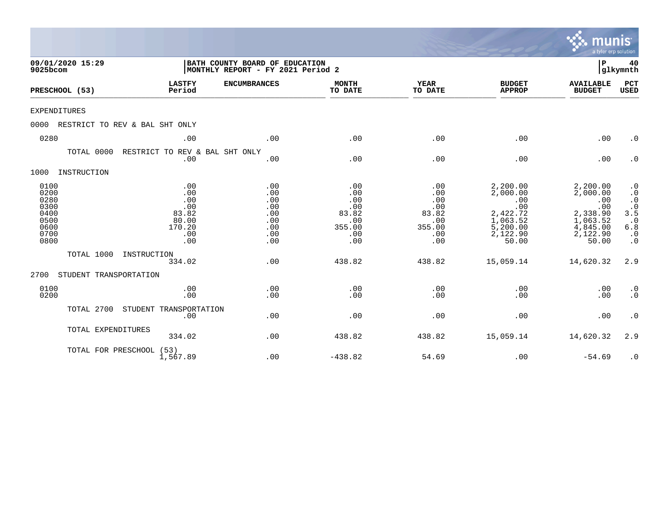|                                                                      |                                |                                                                    |                                                                     |                                                                  |                                                                  |                                                                                             | munis<br>a tyler erp solution                                                               |                                                                                                       |
|----------------------------------------------------------------------|--------------------------------|--------------------------------------------------------------------|---------------------------------------------------------------------|------------------------------------------------------------------|------------------------------------------------------------------|---------------------------------------------------------------------------------------------|---------------------------------------------------------------------------------------------|-------------------------------------------------------------------------------------------------------|
| 9025bcom                                                             | 09/01/2020 15:29               |                                                                    | BATH COUNTY BOARD OF EDUCATION<br>MONTHLY REPORT - FY 2021 Period 2 |                                                                  |                                                                  |                                                                                             | ΙP                                                                                          | 40<br> glkymnth                                                                                       |
| PRESCHOOL (53)                                                       |                                | <b>LASTFY</b><br>Period                                            | <b>ENCUMBRANCES</b>                                                 | <b>MONTH</b><br>TO DATE                                          | <b>YEAR</b><br>TO DATE                                           | <b>BUDGET</b><br><b>APPROP</b>                                                              | <b>AVAILABLE</b><br><b>BUDGET</b>                                                           | PCT<br><b>USED</b>                                                                                    |
| <b>EXPENDITURES</b>                                                  |                                |                                                                    |                                                                     |                                                                  |                                                                  |                                                                                             |                                                                                             |                                                                                                       |
| 0000                                                                 | RESTRICT TO REV & BAL SHT ONLY |                                                                    |                                                                     |                                                                  |                                                                  |                                                                                             |                                                                                             |                                                                                                       |
| 0280                                                                 |                                | .00                                                                | .00                                                                 | .00                                                              | .00                                                              | .00                                                                                         | .00                                                                                         | $\cdot$ 0                                                                                             |
|                                                                      | TOTAL 0000                     | RESTRICT TO REV & BAL SHT ONLY<br>.00                              | .00                                                                 | .00                                                              | .00                                                              | .00                                                                                         | .00                                                                                         | $\cdot$ 0                                                                                             |
| 1000                                                                 | INSTRUCTION                    |                                                                    |                                                                     |                                                                  |                                                                  |                                                                                             |                                                                                             |                                                                                                       |
| 0100<br>0200<br>0280<br>0300<br>0400<br>0500<br>0600<br>0700<br>0800 |                                | .00<br>.00<br>.00<br>.00<br>83.82<br>80.00<br>170.20<br>.00<br>.00 | .00<br>.00<br>.00<br>.00<br>.00<br>.00<br>.00<br>.00<br>.00         | .00<br>.00<br>.00<br>.00<br>83.82<br>.00<br>355.00<br>.00<br>.00 | .00<br>.00<br>.00<br>.00<br>83.82<br>.00<br>355.00<br>.00<br>.00 | 2,200.00<br>2,000.00<br>.00<br>.00<br>2,422.72<br>1,063.52<br>5,200.00<br>2,122.90<br>50.00 | 2,200.00<br>2,000.00<br>.00<br>.00<br>2,338.90<br>1,063.52<br>4,845.00<br>2,122.90<br>50.00 | $\cdot$ 0<br>$\cdot$ 0<br>$\cdot$ 0<br>$3.\overline{5}$<br>$\cdot$ 0<br>6.8<br>$\cdot$ 0<br>$\cdot$ 0 |
|                                                                      | TOTAL 1000                     | INSTRUCTION<br>334.02                                              | .00                                                                 | 438.82                                                           | 438.82                                                           | 15,059.14                                                                                   | 14,620.32                                                                                   | 2.9                                                                                                   |
| 2700                                                                 | STUDENT TRANSPORTATION         |                                                                    |                                                                     |                                                                  |                                                                  |                                                                                             |                                                                                             |                                                                                                       |
| 0100<br>0200                                                         |                                | .00<br>.00                                                         | .00<br>.00                                                          | .00<br>.00                                                       | .00<br>.00                                                       | .00<br>.00                                                                                  | .00<br>.00                                                                                  | $\cdot$ 0<br>$\cdot$ 0                                                                                |
|                                                                      | TOTAL 2700                     | STUDENT TRANSPORTATION<br>.00                                      | .00                                                                 | .00                                                              | .00                                                              | .00                                                                                         | .00                                                                                         | $\cdot$ 0                                                                                             |
|                                                                      | TOTAL EXPENDITURES             | 334.02                                                             | .00                                                                 | 438.82                                                           | 438.82                                                           | 15,059.14                                                                                   | 14,620.32                                                                                   | 2.9                                                                                                   |
|                                                                      | TOTAL FOR PRESCHOOL (53)       | 1,567.89                                                           | .00                                                                 | $-438.82$                                                        | 54.69                                                            | .00                                                                                         | $-54.69$                                                                                    | $\cdot$ 0                                                                                             |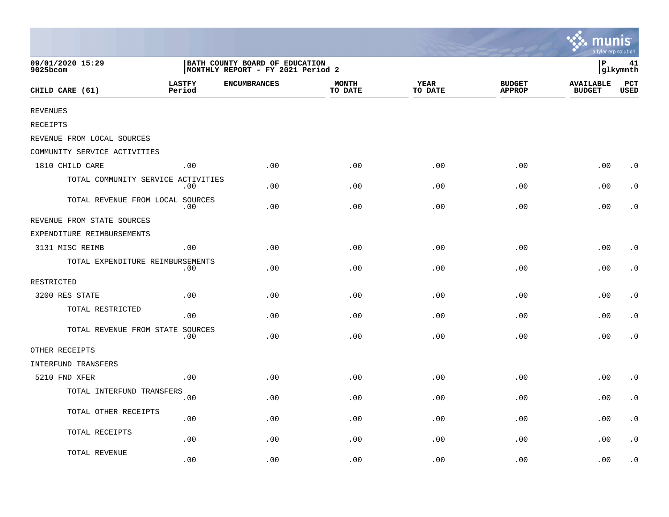|                                    |                         |                                                                     |                         |                        |                                | <b>A.</b> munis<br>a tyler erp solution |                    |
|------------------------------------|-------------------------|---------------------------------------------------------------------|-------------------------|------------------------|--------------------------------|-----------------------------------------|--------------------|
| 09/01/2020 15:29<br>9025bcom       |                         | BATH COUNTY BOARD OF EDUCATION<br>MONTHLY REPORT - FY 2021 Period 2 |                         |                        |                                | ∣P                                      | 41<br>glkymnth     |
| CHILD CARE (61)                    | <b>LASTFY</b><br>Period | <b>ENCUMBRANCES</b>                                                 | <b>MONTH</b><br>TO DATE | <b>YEAR</b><br>TO DATE | <b>BUDGET</b><br><b>APPROP</b> | <b>AVAILABLE</b><br><b>BUDGET</b>       | PCT<br><b>USED</b> |
| <b>REVENUES</b>                    |                         |                                                                     |                         |                        |                                |                                         |                    |
| RECEIPTS                           |                         |                                                                     |                         |                        |                                |                                         |                    |
| REVENUE FROM LOCAL SOURCES         |                         |                                                                     |                         |                        |                                |                                         |                    |
| COMMUNITY SERVICE ACTIVITIES       |                         |                                                                     |                         |                        |                                |                                         |                    |
| 1810 CHILD CARE                    | .00                     | .00                                                                 | .00                     | .00                    | .00                            | .00                                     | $\cdot$ 0          |
| TOTAL COMMUNITY SERVICE ACTIVITIES | .00                     | .00                                                                 | .00                     | .00                    | .00                            | .00                                     | $\cdot$ 0          |
| TOTAL REVENUE FROM LOCAL SOURCES   | .00                     | .00                                                                 | .00                     | .00                    | .00                            | .00                                     | . 0                |
| REVENUE FROM STATE SOURCES         |                         |                                                                     |                         |                        |                                |                                         |                    |
| EXPENDITURE REIMBURSEMENTS         |                         |                                                                     |                         |                        |                                |                                         |                    |
| 3131 MISC REIMB                    | .00                     | .00                                                                 | .00                     | .00                    | .00                            | .00                                     | $\cdot$ 0          |
| TOTAL EXPENDITURE REIMBURSEMENTS   | .00                     | .00                                                                 | .00                     | .00                    | .00                            | .00                                     | $\cdot$ 0          |
| RESTRICTED                         |                         |                                                                     |                         |                        |                                |                                         |                    |
| 3200 RES STATE                     | .00                     | .00                                                                 | .00                     | .00                    | .00                            | .00                                     | $\cdot$ 0          |
| TOTAL RESTRICTED                   | .00                     | .00                                                                 | .00                     | .00                    | .00                            | .00                                     | $\cdot$ 0          |
| TOTAL REVENUE FROM STATE SOURCES   | $.00 \,$                | .00                                                                 | .00                     | .00                    | .00                            | .00                                     | $\cdot$ 0          |
| OTHER RECEIPTS                     |                         |                                                                     |                         |                        |                                |                                         |                    |
| INTERFUND TRANSFERS                |                         |                                                                     |                         |                        |                                |                                         |                    |
| 5210 FND XFER                      | .00                     | .00                                                                 | .00                     | .00                    | .00                            | .00                                     | $\cdot$ 0          |
| TOTAL INTERFUND TRANSFERS          | .00                     | .00                                                                 | .00                     | .00                    | .00                            | .00                                     | $\cdot$ 0          |
| TOTAL OTHER RECEIPTS               | .00                     | .00                                                                 | .00                     | .00                    | .00                            | .00                                     | $\cdot$ 0          |
| TOTAL RECEIPTS                     | .00                     | .00                                                                 | .00                     | .00                    | .00                            | .00                                     | $\cdot$ 0          |
| TOTAL REVENUE                      | .00                     | .00                                                                 | .00                     | .00                    | .00                            | .00                                     | $\cdot$ 0          |

 $\sim$   $\sim$   $\sim$   $\sim$   $\sim$   $\sim$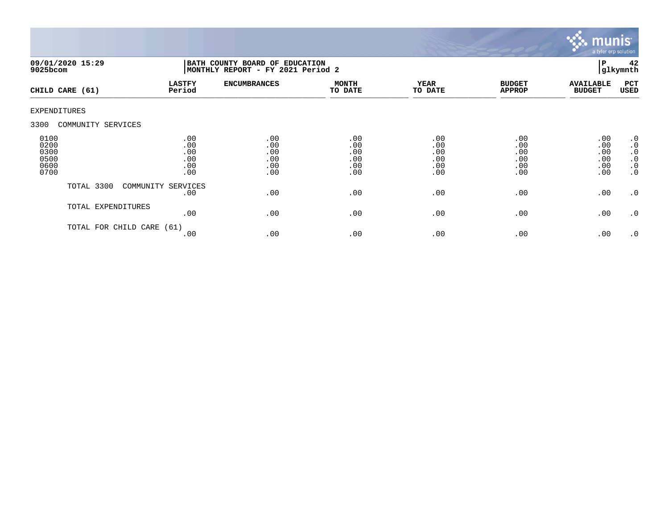

| $9025$ bcom                                  | 09/01/2020 15:29     | BATH COUNTY BOARD OF EDUCATION<br>MONTHLY REPORT - FY 2021 Period 2 |                                        |                                        |                                        |                                        |                                        | 42<br>glkymnth                                                                   |
|----------------------------------------------|----------------------|---------------------------------------------------------------------|----------------------------------------|----------------------------------------|----------------------------------------|----------------------------------------|----------------------------------------|----------------------------------------------------------------------------------|
|                                              | CHILD CARE (61)      | <b>LASTFY</b><br>Period                                             | <b>ENCUMBRANCES</b>                    | <b>MONTH</b><br>TO DATE                | <b>YEAR</b><br>TO DATE                 | <b>BUDGET</b><br><b>APPROP</b>         | <b>AVAILABLE</b><br><b>BUDGET</b>      | PCT<br>USED                                                                      |
| <b>EXPENDITURES</b>                          |                      |                                                                     |                                        |                                        |                                        |                                        |                                        |                                                                                  |
| 3300                                         | COMMUNITY SERVICES   |                                                                     |                                        |                                        |                                        |                                        |                                        |                                                                                  |
| 0100<br>0200<br>0300<br>0500<br>0600<br>0700 |                      | .00<br>.00<br>.00<br>.00<br>.00<br>.00                              | .00<br>.00<br>.00<br>.00<br>.00<br>.00 | .00<br>.00<br>.00<br>.00<br>.00<br>.00 | .00<br>.00<br>.00<br>.00<br>.00<br>.00 | .00<br>.00<br>.00<br>.00<br>.00<br>.00 | .00<br>.00<br>.00<br>.00<br>.00<br>.00 | .0<br>$\boldsymbol{\cdot}$ 0<br>$\cdot$ 0<br>$\cdot$ 0<br>$\cdot$ 0<br>$\cdot$ 0 |
|                                              | TOTAL 3300           | COMMUNITY SERVICES<br>.00                                           | .00                                    | .00                                    | .00                                    | .00                                    | .00                                    | $\cdot$ 0                                                                        |
|                                              | TOTAL EXPENDITURES   | .00                                                                 | .00                                    | .00                                    | .00                                    | .00                                    | .00                                    | $\cdot$ 0                                                                        |
|                                              | TOTAL FOR CHILD CARE | (61)<br>.00                                                         | .00                                    | .00                                    | .00                                    | .00                                    | .00                                    | .0                                                                               |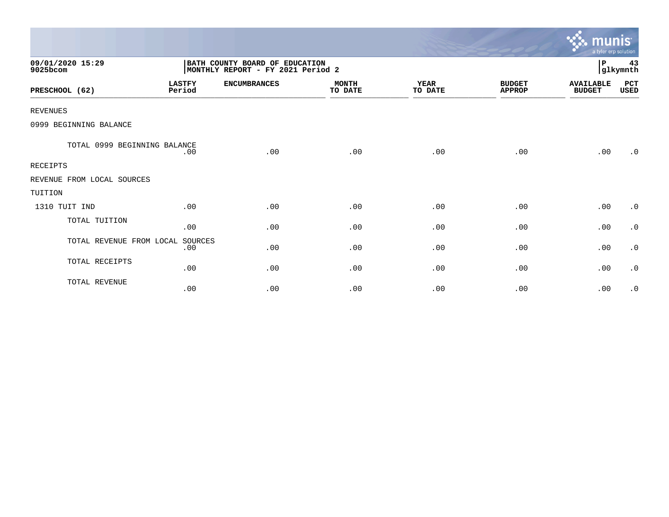|                              |                         |                                                                     |                         |                        |                                | munis <sup>.</sup><br>a tyler erp solution |                |
|------------------------------|-------------------------|---------------------------------------------------------------------|-------------------------|------------------------|--------------------------------|--------------------------------------------|----------------|
| 09/01/2020 15:29<br>9025bcom |                         | BATH COUNTY BOARD OF EDUCATION<br>MONTHLY REPORT - FY 2021 Period 2 |                         |                        |                                | P                                          | 43<br>glkymnth |
| PRESCHOOL (62)               | <b>LASTFY</b><br>Period | <b>ENCUMBRANCES</b>                                                 | <b>MONTH</b><br>TO DATE | <b>YEAR</b><br>TO DATE | <b>BUDGET</b><br><b>APPROP</b> | <b>AVAILABLE</b><br><b>BUDGET</b>          | PCT<br>USED    |
| <b>REVENUES</b>              |                         |                                                                     |                         |                        |                                |                                            |                |
| 0999 BEGINNING BALANCE       |                         |                                                                     |                         |                        |                                |                                            |                |
| TOTAL 0999 BEGINNING BALANCE | .00                     | .00                                                                 | .00                     | .00                    | .00                            | .00                                        | .0             |
| <b>RECEIPTS</b>              |                         |                                                                     |                         |                        |                                |                                            |                |
| REVENUE FROM LOCAL SOURCES   |                         |                                                                     |                         |                        |                                |                                            |                |
| TUITION                      |                         |                                                                     |                         |                        |                                |                                            |                |
| 1310 TUIT IND                | .00                     | .00                                                                 | .00                     | .00                    | .00                            | .00                                        | $\cdot$ 0      |
| TOTAL TUITION                | .00                     | .00                                                                 | .00                     | .00                    | .00                            | .00                                        | $\cdot$ 0      |
| TOTAL REVENUE FROM LOCAL     | SOURCES<br>.00          | .00                                                                 | .00                     | .00                    | .00                            | .00                                        | $\cdot$ 0      |
| TOTAL RECEIPTS               | .00                     | .00                                                                 | .00                     | .00                    | .00                            | .00                                        | $\cdot$ 0      |
| TOTAL REVENUE                | .00                     | .00                                                                 | .00                     | .00                    | .00                            | .00                                        | $\cdot$ 0      |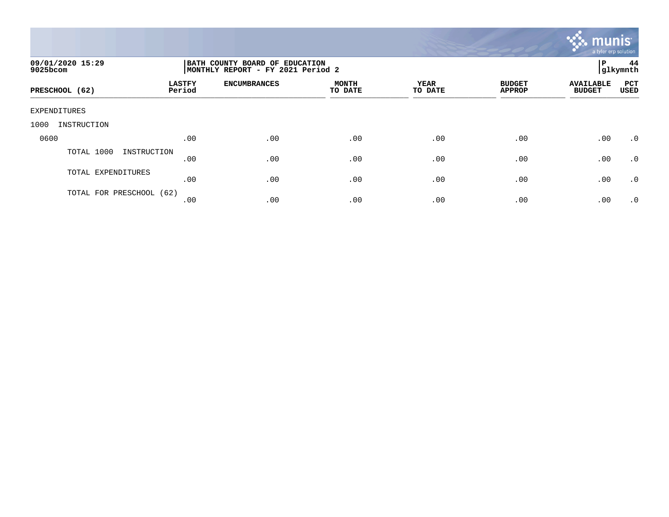

| 09/01/2020 15:29<br>9025bcom | BATH COUNTY BOARD OF EDUCATION<br>MONTHLY REPORT - FY 2021 Period 2 | 44<br>l P<br> glkymnth |                         |                 |                                |                                                                |
|------------------------------|---------------------------------------------------------------------|------------------------|-------------------------|-----------------|--------------------------------|----------------------------------------------------------------|
| PRESCHOOL (62)               | <b>LASTFY</b><br>Period                                             | <b>ENCUMBRANCES</b>    | <b>MONTH</b><br>TO DATE | YEAR<br>TO DATE | <b>BUDGET</b><br><b>APPROP</b> | <b>PCT</b><br><b>AVAILABLE</b><br><b>BUDGET</b><br><b>USED</b> |
| EXPENDITURES                 |                                                                     |                        |                         |                 |                                |                                                                |
| 1000<br>INSTRUCTION          |                                                                     |                        |                         |                 |                                |                                                                |
| 0600                         | .00                                                                 | .00                    | .00                     | .00             | .00                            | .00<br>$\cdot$ 0                                               |
| TOTAL 1000<br>INSTRUCTION    | .00                                                                 | .00                    | .00                     | .00             | .00                            | .00<br>$\cdot$ 0                                               |
| TOTAL EXPENDITURES           | .00                                                                 | .00                    | .00                     | .00             | .00                            | .00<br>$\cdot$ 0                                               |
| TOTAL FOR PRESCHOOL (62)     | .00                                                                 | .00                    | .00                     | .00             | .00                            | .00<br>.0                                                      |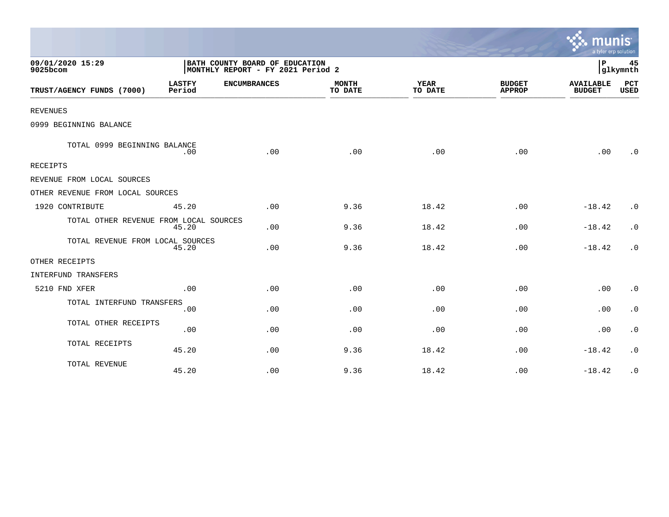|                                        |                         |                                                                     |                         |                        |                                | a tyler erp solution              |                           |
|----------------------------------------|-------------------------|---------------------------------------------------------------------|-------------------------|------------------------|--------------------------------|-----------------------------------|---------------------------|
| 09/01/2020 15:29<br>9025bcom           |                         | BATH COUNTY BOARD OF EDUCATION<br>MONTHLY REPORT - FY 2021 Period 2 |                         |                        |                                | P                                 | 45<br>glkymnth            |
| TRUST/AGENCY FUNDS (7000)              | <b>LASTFY</b><br>Period | <b>ENCUMBRANCES</b>                                                 | <b>MONTH</b><br>TO DATE | <b>YEAR</b><br>TO DATE | <b>BUDGET</b><br><b>APPROP</b> | <b>AVAILABLE</b><br><b>BUDGET</b> | <b>PCT</b><br><b>USED</b> |
| <b>REVENUES</b>                        |                         |                                                                     |                         |                        |                                |                                   |                           |
| 0999 BEGINNING BALANCE                 |                         |                                                                     |                         |                        |                                |                                   |                           |
| TOTAL 0999 BEGINNING BALANCE           | .00                     | .00                                                                 | .00                     | .00                    | .00                            | .00                               | $\cdot$ 0                 |
| <b>RECEIPTS</b>                        |                         |                                                                     |                         |                        |                                |                                   |                           |
| REVENUE FROM LOCAL SOURCES             |                         |                                                                     |                         |                        |                                |                                   |                           |
| OTHER REVENUE FROM LOCAL SOURCES       |                         |                                                                     |                         |                        |                                |                                   |                           |
| 1920 CONTRIBUTE                        | 45.20                   | .00                                                                 | 9.36                    | 18.42                  | .00                            | $-18.42$                          | $\cdot$ 0                 |
| TOTAL OTHER REVENUE FROM LOCAL SOURCES | 45.20                   | .00                                                                 | 9.36                    | 18.42                  | .00                            | $-18.42$                          | $\cdot$ 0                 |
| TOTAL REVENUE FROM LOCAL SOURCES       | 45.20                   | .00                                                                 | 9.36                    | 18.42                  | .00                            | $-18.42$                          | $\cdot$ 0                 |
| OTHER RECEIPTS                         |                         |                                                                     |                         |                        |                                |                                   |                           |
| <b>INTERFUND TRANSFERS</b>             |                         |                                                                     |                         |                        |                                |                                   |                           |
| 5210 FND XFER                          | .00                     | .00                                                                 | .00                     | .00                    | .00                            | .00                               | $\cdot$ 0                 |
| TOTAL INTERFUND TRANSFERS              | .00                     | .00                                                                 | .00                     | .00                    | .00                            | .00                               | $\cdot$ 0                 |
| TOTAL OTHER RECEIPTS                   | .00                     | .00                                                                 | .00                     | .00                    | .00                            | .00                               | $\cdot$ 0                 |
| TOTAL RECEIPTS                         | 45.20                   | .00                                                                 | 9.36                    | 18.42                  | .00                            | $-18.42$                          | $\cdot$ 0                 |
| TOTAL REVENUE                          | 45.20                   | .00                                                                 | 9.36                    | 18.42                  | .00                            | $-18.42$                          | $\cdot$ 0                 |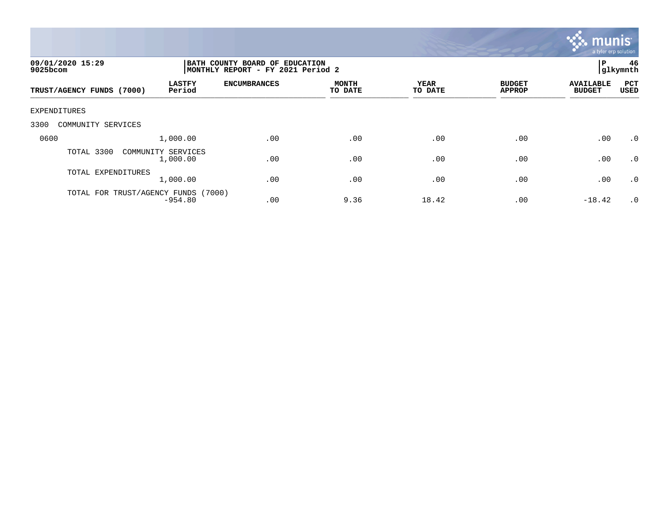

| 09/01/2020 15:29<br>9025bcom                         | BATH COUNTY BOARD OF EDUCATION<br>MONTHLY REPORT - FY 2021 Period 2 |                         |                        |                                |                                   |             |
|------------------------------------------------------|---------------------------------------------------------------------|-------------------------|------------------------|--------------------------------|-----------------------------------|-------------|
| <b>LASTFY</b><br>Period<br>TRUST/AGENCY FUNDS (7000) | <b>ENCUMBRANCES</b>                                                 | <b>MONTH</b><br>TO DATE | <b>YEAR</b><br>TO DATE | <b>BUDGET</b><br><b>APPROP</b> | <b>AVAILABLE</b><br><b>BUDGET</b> | PCT<br>USED |
| EXPENDITURES                                         |                                                                     |                         |                        |                                |                                   |             |
| 3300<br>COMMUNITY SERVICES                           |                                                                     |                         |                        |                                |                                   |             |
| 0600<br>1,000.00                                     | .00                                                                 | .00                     | .00                    | .00                            | .00                               | .0          |
| TOTAL 3300<br>COMMUNITY SERVICES<br>1,000.00         | .00                                                                 | .00                     | .00                    | .00                            | .00                               | $\cdot$ 0   |
| TOTAL EXPENDITURES<br>1,000.00                       | .00                                                                 | .00                     | .00                    | .00                            | .00                               | .0          |
| TOTAL FOR TRUST/AGENCY FUNDS<br>$-954.80$            | (7000)<br>.00                                                       | 9.36                    | 18.42                  | .00                            | $-18.42$                          | $\cdot$ 0   |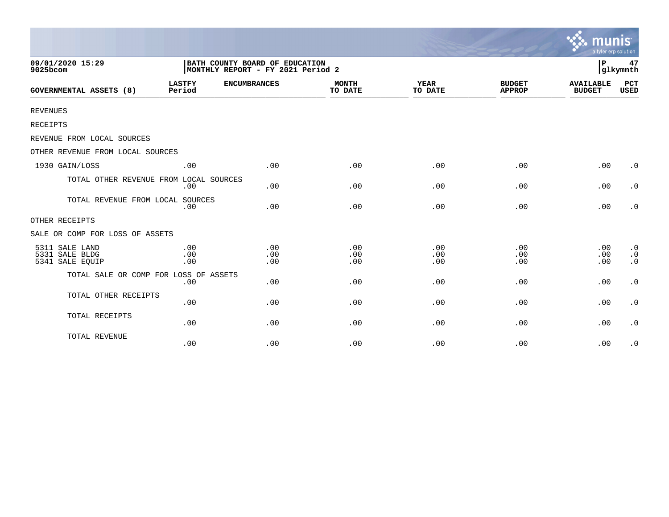|                                                     |                                                                     |                   |                         |                        |                                | munis<br>a tyler erp solution     |                                                  |
|-----------------------------------------------------|---------------------------------------------------------------------|-------------------|-------------------------|------------------------|--------------------------------|-----------------------------------|--------------------------------------------------|
| 09/01/2020 15:29<br>9025bcom                        | BATH COUNTY BOARD OF EDUCATION<br>MONTHLY REPORT - FY 2021 Period 2 |                   |                         |                        |                                | P                                 | 47<br>glkymnth                                   |
| <b>GOVERNMENTAL ASSETS (8)</b>                      | <b>LASTFY</b><br><b>ENCUMBRANCES</b><br>Period                      |                   | <b>MONTH</b><br>TO DATE | <b>YEAR</b><br>TO DATE | <b>BUDGET</b><br><b>APPROP</b> | <b>AVAILABLE</b><br><b>BUDGET</b> | PCT<br><b>USED</b>                               |
| <b>REVENUES</b>                                     |                                                                     |                   |                         |                        |                                |                                   |                                                  |
| RECEIPTS                                            |                                                                     |                   |                         |                        |                                |                                   |                                                  |
| REVENUE FROM LOCAL SOURCES                          |                                                                     |                   |                         |                        |                                |                                   |                                                  |
| OTHER REVENUE FROM LOCAL SOURCES                    |                                                                     |                   |                         |                        |                                |                                   |                                                  |
| 1930 GAIN/LOSS                                      | .00                                                                 | .00               | .00                     | .00                    | .00                            | .00                               | $\cdot$ 0                                        |
| TOTAL OTHER REVENUE FROM LOCAL SOURCES              | .00                                                                 | .00               | .00                     | .00                    | .00                            | .00                               | $\cdot$ 0                                        |
| TOTAL REVENUE FROM LOCAL SOURCES                    | .00                                                                 | .00               | .00                     | .00                    | .00                            | .00                               | $\cdot$ 0                                        |
| OTHER RECEIPTS                                      |                                                                     |                   |                         |                        |                                |                                   |                                                  |
| SALE OR COMP FOR LOSS OF ASSETS                     |                                                                     |                   |                         |                        |                                |                                   |                                                  |
| 5311 SALE LAND<br>5331 SALE BLDG<br>5341 SALE EQUIP | .00<br>.00<br>.00                                                   | .00<br>.00<br>.00 | .00<br>.00<br>.00       | .00<br>.00<br>.00      | .00<br>.00<br>.00              | .00<br>.00<br>.00                 | $\boldsymbol{\cdot}$ 0<br>$\cdot$ 0<br>$\cdot$ 0 |
| TOTAL SALE OR COMP FOR LOSS OF ASSETS               | .00                                                                 | .00               | .00                     | .00                    | .00                            | .00                               | $\boldsymbol{\cdot}$ 0                           |
| TOTAL OTHER RECEIPTS                                | .00                                                                 | .00               | .00                     | .00                    | .00                            | .00                               | $\boldsymbol{\cdot}$ 0                           |
| TOTAL RECEIPTS                                      | .00                                                                 | .00               | .00                     | .00                    | .00                            | .00                               | $\cdot$ 0                                        |
| TOTAL REVENUE                                       | .00                                                                 | .00               | .00                     | .00                    | .00                            | .00                               | $\cdot$ 0                                        |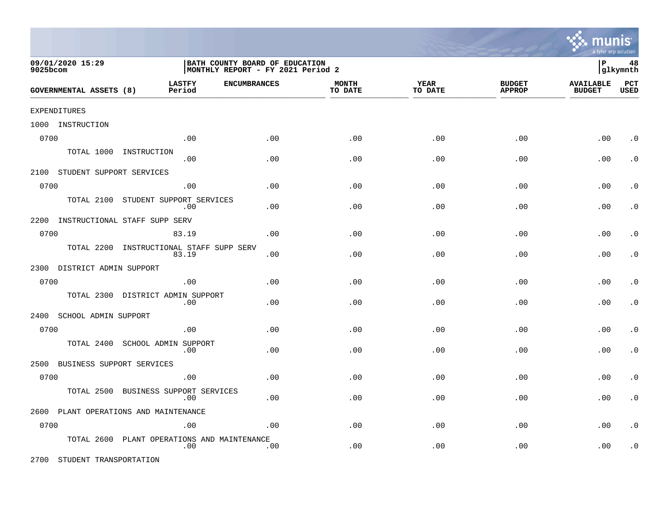

| 09/01/2020 15:29<br>9025bcom |                                |                                         | BATH COUNTY BOARD OF EDUCATION<br>MONTHLY REPORT - FY 2021 Period 2 |                         |                        |                                |                                   | 48<br>lР<br> glkymnth     |  |  |
|------------------------------|--------------------------------|-----------------------------------------|---------------------------------------------------------------------|-------------------------|------------------------|--------------------------------|-----------------------------------|---------------------------|--|--|
|                              | <b>GOVERNMENTAL ASSETS (8)</b> | <b>LASTFY</b><br>Period                 | <b>ENCUMBRANCES</b>                                                 | <b>MONTH</b><br>TO DATE | <b>YEAR</b><br>TO DATE | <b>BUDGET</b><br><b>APPROP</b> | <b>AVAILABLE</b><br><b>BUDGET</b> | <b>PCT</b><br><b>USED</b> |  |  |
|                              | <b>EXPENDITURES</b>            |                                         |                                                                     |                         |                        |                                |                                   |                           |  |  |
|                              | 1000 INSTRUCTION               |                                         |                                                                     |                         |                        |                                |                                   |                           |  |  |
| 0700                         |                                | .00                                     | .00                                                                 | .00                     | .00                    | .00                            | .00                               | $\cdot$ 0                 |  |  |
|                              | TOTAL 1000                     | INSTRUCTION<br>.00                      | .00                                                                 | .00                     | .00                    | .00                            | .00                               | $\cdot$ 0                 |  |  |
|                              | 2100 STUDENT SUPPORT SERVICES  |                                         |                                                                     |                         |                        |                                |                                   |                           |  |  |
| 0700                         |                                | .00                                     | .00                                                                 | .00                     | .00                    | .00                            | .00                               | $\cdot$ 0                 |  |  |
|                              | TOTAL 2100                     | STUDENT SUPPORT SERVICES<br>.00         | .00                                                                 | .00                     | .00                    | .00                            | .00                               | $\cdot$ 0                 |  |  |
| 2200                         |                                | INSTRUCTIONAL STAFF SUPP SERV           |                                                                     |                         |                        |                                |                                   |                           |  |  |
| 0700                         |                                | 83.19                                   | .00                                                                 | .00                     | .00                    | .00                            | .00                               | $\cdot$ 0                 |  |  |
|                              | TOTAL 2200                     | INSTRUCTIONAL STAFF SUPP SERV<br>83.19  | .00                                                                 | .00                     | .00                    | .00                            | .00                               | $\cdot$ 0                 |  |  |
|                              | 2300 DISTRICT ADMIN SUPPORT    |                                         |                                                                     |                         |                        |                                |                                   |                           |  |  |
| 0700                         |                                | .00                                     | .00                                                                 | .00                     | .00                    | .00                            | .00                               | $\cdot$ 0                 |  |  |
|                              | TOTAL 2300                     | DISTRICT ADMIN SUPPORT<br>.00           | .00                                                                 | .00                     | .00                    | .00                            | .00                               | . $\boldsymbol{0}$        |  |  |
| 2400                         | SCHOOL ADMIN SUPPORT           |                                         |                                                                     |                         |                        |                                |                                   |                           |  |  |
| 0700                         |                                | .00                                     | .00                                                                 | .00                     | .00                    | .00                            | .00                               | $\cdot$ 0                 |  |  |
|                              | TOTAL 2400                     | SCHOOL ADMIN SUPPORT<br>.00             | .00                                                                 | .00                     | .00                    | .00                            | .00                               | $\cdot$ 0                 |  |  |
|                              | 2500 BUSINESS SUPPORT SERVICES |                                         |                                                                     |                         |                        |                                |                                   |                           |  |  |
| 0700                         |                                | .00                                     | .00                                                                 | .00                     | .00                    | .00                            | .00                               | $\cdot$ 0                 |  |  |
|                              | TOTAL 2500                     | BUSINESS SUPPORT SERVICES<br>.00        | .00                                                                 | .00                     | .00                    | .00                            | .00                               | $\cdot$ 0                 |  |  |
| 2600                         |                                | PLANT OPERATIONS AND MAINTENANCE        |                                                                     |                         |                        |                                |                                   |                           |  |  |
| 0700                         |                                | .00                                     | .00                                                                 | .00                     | .00                    | .00                            | .00                               | $\cdot$ 0                 |  |  |
|                              | TOTAL 2600                     | PLANT OPERATIONS AND MAINTENANCE<br>.00 | .00                                                                 | .00                     | .00                    | .00                            | .00                               | . $\boldsymbol{0}$        |  |  |

2700 STUDENT TRANSPORTATION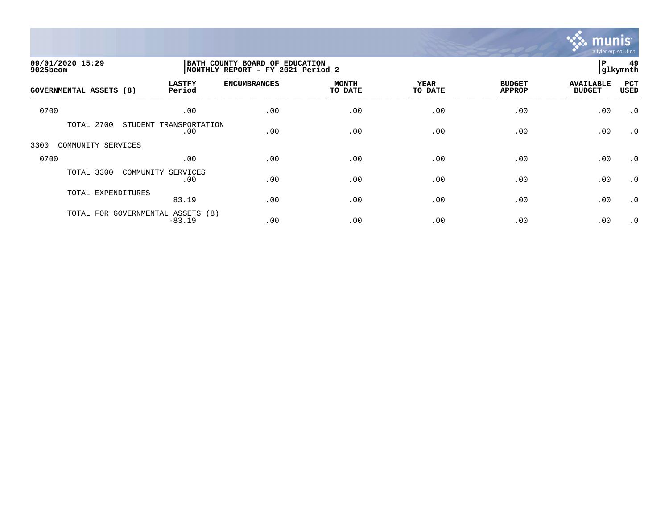

| 09/01/2020 15:29<br>9025bcom |                                               | BATH COUNTY BOARD OF EDUCATION<br>MONTHLY REPORT - FY 2021 Period 2 |                         |                        |                                |                                   |                    |
|------------------------------|-----------------------------------------------|---------------------------------------------------------------------|-------------------------|------------------------|--------------------------------|-----------------------------------|--------------------|
| GOVERNMENTAL ASSETS (8)      | <b>LASTFY</b><br>Period                       | <b>ENCUMBRANCES</b>                                                 | <b>MONTH</b><br>TO DATE | <b>YEAR</b><br>TO DATE | <b>BUDGET</b><br><b>APPROP</b> | <b>AVAILABLE</b><br><b>BUDGET</b> | PCT<br><b>USED</b> |
| 0700                         | .00                                           | .00                                                                 | .00                     | .00                    | .00                            | .00                               | $\cdot$ 0          |
| TOTAL 2700                   | STUDENT<br>TRANSPORTATION<br>.00              | .00                                                                 | .00                     | .00                    | .00                            | .00                               | $\cdot$ 0          |
| 3300<br>COMMUNITY SERVICES   |                                               |                                                                     |                         |                        |                                |                                   |                    |
| 0700                         | .00                                           | .00                                                                 | .00                     | .00                    | .00                            | .00                               | $\cdot$ 0          |
| TOTAL 3300                   | COMMUNITY SERVICES<br>.00                     | .00                                                                 | .00                     | .00                    | .00                            | .00                               | $\cdot$ 0          |
| TOTAL EXPENDITURES           | 83.19                                         | .00                                                                 | .00                     | .00                    | .00                            | .00                               | $\cdot$ 0          |
|                              | TOTAL FOR GOVERNMENTAL ASSETS (8)<br>$-83.19$ | .00                                                                 | .00                     | .00                    | .00                            | .00                               | $\cdot$ 0          |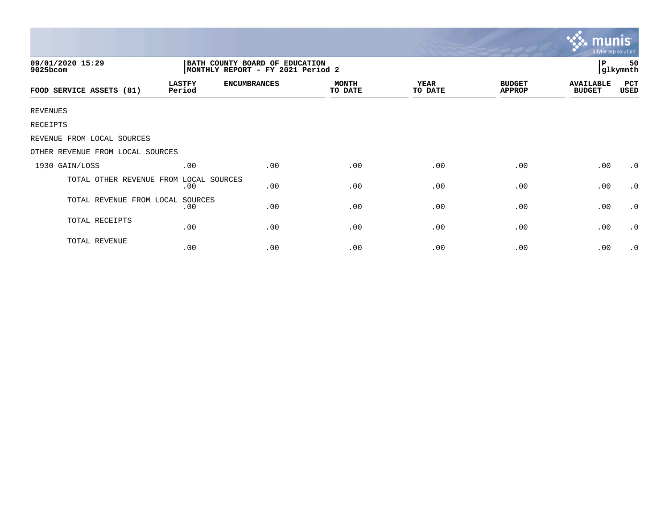|                                        |                                                                     |                     |                         |                        |                                | muı<br>a tyler erp solution.      |                 |
|----------------------------------------|---------------------------------------------------------------------|---------------------|-------------------------|------------------------|--------------------------------|-----------------------------------|-----------------|
| 09/01/2020 15:29<br>9025bcom           | BATH COUNTY BOARD OF EDUCATION<br>MONTHLY REPORT - FY 2021 Period 2 |                     |                         |                        |                                |                                   | 50<br> glkymnth |
| FOOD SERVICE ASSETS (81)               | <b>LASTFY</b><br>Period                                             | <b>ENCUMBRANCES</b> | <b>MONTH</b><br>TO DATE | <b>YEAR</b><br>TO DATE | <b>BUDGET</b><br><b>APPROP</b> | <b>AVAILABLE</b><br><b>BUDGET</b> | PCT<br>USED     |
| <b>REVENUES</b>                        |                                                                     |                     |                         |                        |                                |                                   |                 |
| RECEIPTS                               |                                                                     |                     |                         |                        |                                |                                   |                 |
| REVENUE FROM LOCAL SOURCES             |                                                                     |                     |                         |                        |                                |                                   |                 |
| OTHER REVENUE FROM LOCAL SOURCES       |                                                                     |                     |                         |                        |                                |                                   |                 |
| 1930 GAIN/LOSS                         | .00                                                                 | .00                 | .00                     | .00                    | .00                            | .00                               | $\cdot$ 0       |
| TOTAL OTHER REVENUE FROM LOCAL SOURCES | .00                                                                 | .00                 | .00                     | .00                    | .00                            | .00                               | $\cdot$ 0       |
| TOTAL REVENUE FROM LOCAL               | SOURCES<br>.00                                                      | .00                 | .00                     | .00                    | .00                            | .00                               | $\cdot$ 0       |
| TOTAL RECEIPTS                         | .00                                                                 | .00                 | .00                     | .00                    | .00                            | .00                               | $\cdot$ 0       |
| TOTAL REVENUE                          | .00                                                                 | .00                 | .00                     | .00                    | .00                            | .00                               | $\cdot$ 0       |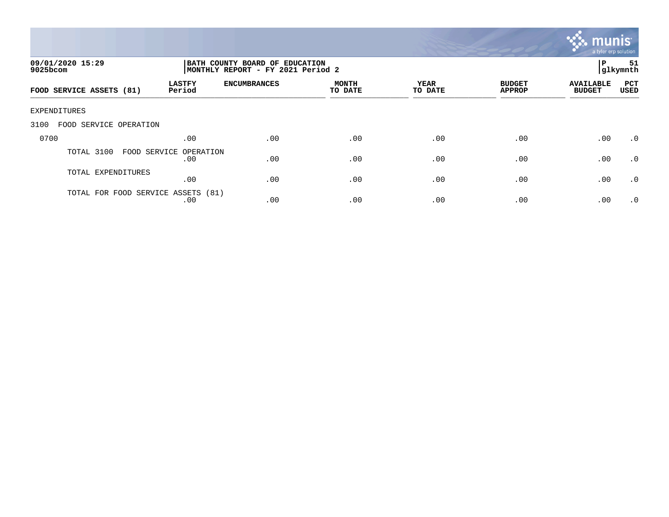

| 09/01/2020 15:29<br>$9025$ bcom    |                               | BATH COUNTY BOARD OF EDUCATION<br>MONTHLY REPORT - FY 2021 Period 2 |                         |                 |                                |                                   |                    |
|------------------------------------|-------------------------------|---------------------------------------------------------------------|-------------------------|-----------------|--------------------------------|-----------------------------------|--------------------|
| FOOD SERVICE ASSETS (81)           | <b>LASTFY</b><br>Period       | <b>ENCUMBRANCES</b>                                                 | <b>MONTH</b><br>TO DATE | YEAR<br>TO DATE | <b>BUDGET</b><br><b>APPROP</b> | <b>AVAILABLE</b><br><b>BUDGET</b> | PCT<br><b>USED</b> |
| EXPENDITURES                       |                               |                                                                     |                         |                 |                                |                                   |                    |
| 3100<br>FOOD SERVICE OPERATION     |                               |                                                                     |                         |                 |                                |                                   |                    |
| 0700                               | .00                           | .00                                                                 | .00                     | .00             | .00                            | .00                               | .0                 |
| TOTAL 3100                         | FOOD SERVICE OPERATION<br>.00 | .00                                                                 | .00                     | .00             | .00                            | .00                               | .0                 |
| TOTAL EXPENDITURES                 | .00                           | .00                                                                 | .00                     | .00             | .00                            | .00                               | $\cdot$ 0          |
| TOTAL FOR FOOD SERVICE ASSETS (81) | .00                           | .00                                                                 | .00                     | .00             | .00                            | .00                               | $\cdot$ 0          |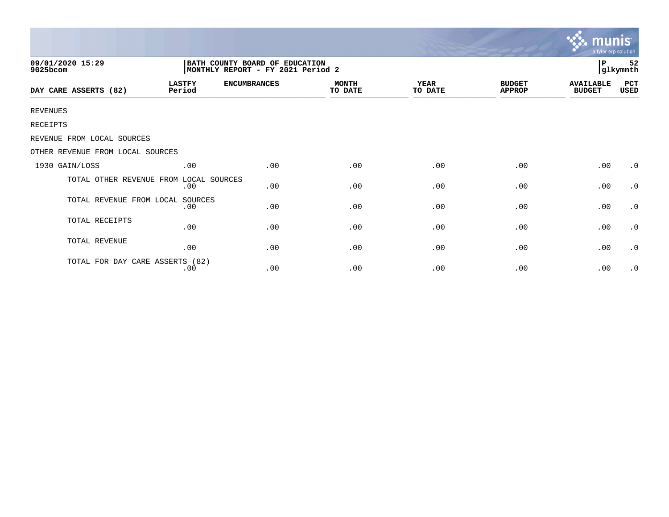|                                        |                                                                      |                     |                         |                 |                                | <b>munis</b><br>a tyler erp solution |                |
|----------------------------------------|----------------------------------------------------------------------|---------------------|-------------------------|-----------------|--------------------------------|--------------------------------------|----------------|
| 09/01/2020 15:29<br>9025bcom           | BATH COUNTY BOARD OF EDUCATION<br> MONTHLY REPORT - FY 2021 Period 2 |                     |                         |                 |                                |                                      | 52<br>glkymnth |
| DAY CARE ASSERTS (82)                  | <b>LASTFY</b><br>Period                                              | <b>ENCUMBRANCES</b> | <b>MONTH</b><br>TO DATE | YEAR<br>TO DATE | <b>BUDGET</b><br><b>APPROP</b> | <b>AVAILABLE</b><br><b>BUDGET</b>    | PCT<br>USED    |
| <b>REVENUES</b>                        |                                                                      |                     |                         |                 |                                |                                      |                |
| RECEIPTS                               |                                                                      |                     |                         |                 |                                |                                      |                |
| REVENUE FROM LOCAL SOURCES             |                                                                      |                     |                         |                 |                                |                                      |                |
| OTHER REVENUE FROM LOCAL SOURCES       |                                                                      |                     |                         |                 |                                |                                      |                |
| 1930 GAIN/LOSS                         | .00                                                                  | .00                 | .00                     | .00             | .00                            | .00                                  | $\cdot$ 0      |
| TOTAL OTHER REVENUE FROM LOCAL SOURCES | .00                                                                  | .00                 | .00                     | .00             | .00                            | .00                                  | $\cdot$ 0      |
| TOTAL REVENUE FROM LOCAL               | SOURCES<br>.00                                                       | .00                 | .00                     | .00             | .00                            | .00                                  | $\cdot$ 0      |
| TOTAL RECEIPTS                         | .00                                                                  | .00                 | .00                     | .00             | .00                            | .00                                  | $\cdot$ 0      |
| TOTAL REVENUE                          | .00                                                                  | .00                 | .00                     | .00             | .00                            | .00                                  | $\cdot$ 0      |
| TOTAL FOR DAY CARE ASSERTS (82)        | .00                                                                  | .00                 | .00                     | .00             | .00                            | .00                                  | $\cdot$ 0      |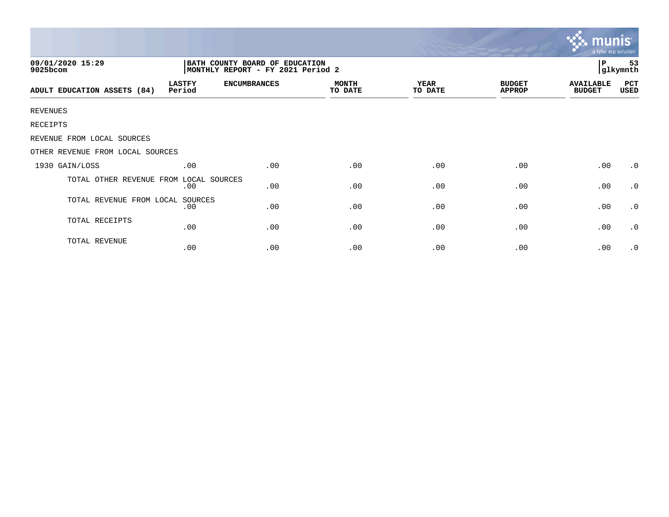| 09/01/2020 15:29<br>9025bcom     |                         |                     | a tyler erp solution<br>P<br>53<br>glkymnth |                        |                                |                                   |             |  |
|----------------------------------|-------------------------|---------------------|---------------------------------------------|------------------------|--------------------------------|-----------------------------------|-------------|--|
| ADULT EDUCATION ASSETS (84)      | <b>LASTFY</b><br>Period | <b>ENCUMBRANCES</b> | <b>MONTH</b><br>TO DATE                     | <b>YEAR</b><br>TO DATE | <b>BUDGET</b><br><b>APPROP</b> | <b>AVAILABLE</b><br><b>BUDGET</b> | PCT<br>USED |  |
| <b>REVENUES</b>                  |                         |                     |                                             |                        |                                |                                   |             |  |
| RECEIPTS                         |                         |                     |                                             |                        |                                |                                   |             |  |
| REVENUE FROM LOCAL SOURCES       |                         |                     |                                             |                        |                                |                                   |             |  |
| OTHER REVENUE FROM LOCAL SOURCES |                         |                     |                                             |                        |                                |                                   |             |  |
| 1930 GAIN/LOSS                   | .00                     | .00                 | .00                                         | .00                    | .00                            | .00                               | $\cdot$ 0   |  |
| TOTAL OTHER REVENUE FROM         | LOCAL SOURCES<br>.00    | .00                 | .00                                         | .00                    | .00                            | .00                               | $\cdot$ 0   |  |
| TOTAL REVENUE FROM LOCAL         | SOURCES<br>.00          | .00                 | .00                                         | .00                    | .00                            | .00                               | $\cdot$ 0   |  |
| TOTAL RECEIPTS                   | .00                     | .00                 | .00                                         | .00                    | .00                            | .00                               | $\cdot$ 0   |  |
| TOTAL REVENUE                    | .00                     | .00                 | .00                                         | .00                    | .00                            | .00                               | $\cdot$ 0   |  |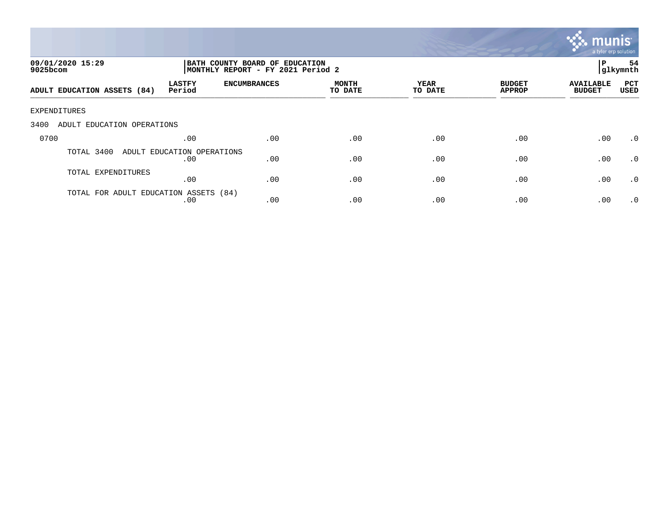

| 09/01/2020 15:29<br>9025bcom          |                                   | BATH COUNTY BOARD OF EDUCATION<br>MONTHLY REPORT - FY 2021 Period 2 |                         |                 |                                |                                   |                    |
|---------------------------------------|-----------------------------------|---------------------------------------------------------------------|-------------------------|-----------------|--------------------------------|-----------------------------------|--------------------|
| ADULT EDUCATION ASSETS (84)           | <b>LASTFY</b><br>Period           | <b>ENCUMBRANCES</b>                                                 | <b>MONTH</b><br>TO DATE | YEAR<br>TO DATE | <b>BUDGET</b><br><b>APPROP</b> | <b>AVAILABLE</b><br><b>BUDGET</b> | PCT<br><b>USED</b> |
| EXPENDITURES                          |                                   |                                                                     |                         |                 |                                |                                   |                    |
| 3400<br>ADULT EDUCATION OPERATIONS    |                                   |                                                                     |                         |                 |                                |                                   |                    |
| 0700                                  | .00                               | .00                                                                 | .00                     | .00             | .00                            | .00                               | $\cdot$ 0          |
| TOTAL 3400                            | ADULT EDUCATION OPERATIONS<br>.00 | .00                                                                 | .00                     | .00             | .00                            | .00                               | $\cdot$ 0          |
| TOTAL EXPENDITURES                    | .00                               | .00                                                                 | .00                     | .00             | .00                            | .00                               | .0                 |
| TOTAL FOR ADULT EDUCATION ASSETS (84) | .00                               | .00                                                                 | .00                     | .00             | .00                            | .00                               | $\cdot$ 0          |